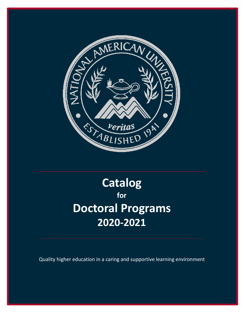

# **Catalog for Doctoral Programs 2020-2021**

Quality higher education in a caring and supportive learning environment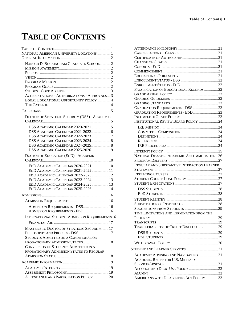# <span id="page-1-0"></span>**TABLE OF CONTENTS**

| NATIONAL AMERICAN UNIVERSITY LOCATIONS  1                                       |
|---------------------------------------------------------------------------------|
|                                                                                 |
| HAROLD D. BUCKINGHAM GRADUATE SCHOOL  2                                         |
|                                                                                 |
|                                                                                 |
|                                                                                 |
|                                                                                 |
|                                                                                 |
| <b>ACCREDITATIONS - AUTHORIZATIONS - APPROVALS3</b>                             |
| EQUAL EDUCATIONAL OPPORTUNITY POLICY  4                                         |
|                                                                                 |
|                                                                                 |
| DOCTOR OF STRATEGIC SECURITY (DSS) - ACADEMIC                                   |
|                                                                                 |
|                                                                                 |
|                                                                                 |
| DSS ACADEMIC CALENDAR 2022-20237                                                |
|                                                                                 |
| DSS ACADEMIC CALENDAR 2024-2025 8                                               |
|                                                                                 |
| DOCTOR OF EDUCATION (EDD) - ACADEMIC                                            |
|                                                                                 |
| EDD ACADEMIC CALENDAR 2020-2021  10                                             |
| EDD ACADEMIC CALENDAR 2021-2022  11                                             |
| EDD ACADEMIC CALENDAR 2022-2023  12                                             |
| EDD ACADEMIC CALENDAR 2023-2024  13                                             |
| EDD ACADEMIC CALENDAR 2024-2025  13                                             |
| EDD ACADEMIC CALENDAR 2025-2026  14                                             |
|                                                                                 |
|                                                                                 |
| ADMISSION REQUIREMENTS - DSS 16                                                 |
| ADMISSION REQUIREMENTS - EDD  16                                                |
| <b>INTERNATIONAL STUDENT ADMISSION REQUIREMENTS16</b>                           |
|                                                                                 |
| MASTER'S TO DOCTOR OF STRATEGIC SECURITY 17<br>PHILOSOPHY AND PROCESS - DSS  17 |
| STUDENTS ADMITTED ON A CONDITIONAL OR                                           |
| PROBATIONARY ADMISSION STATUS 18                                                |
| <b>CONVERSION OF STUDENTS ADMITTED ON A</b>                                     |
| PROBATIONARY ADMISSION STATUS TO REGULAR                                        |
|                                                                                 |
|                                                                                 |
|                                                                                 |
|                                                                                 |
| ATTENDANCE AND PARTICIPATION POLICY  20                                         |
|                                                                                 |

| FALSIFICATION OF EDUCATIONAL RECORDS22                                      |  |
|-----------------------------------------------------------------------------|--|
|                                                                             |  |
|                                                                             |  |
|                                                                             |  |
| GRADUATION REQUIREMENTS - DSS  23                                           |  |
| GRADUATION REQUIREMENTS - EDD23                                             |  |
|                                                                             |  |
| <b>INSTITUTIONAL REVIEW BOARD POLICY  24</b>                                |  |
|                                                                             |  |
|                                                                             |  |
|                                                                             |  |
|                                                                             |  |
|                                                                             |  |
|                                                                             |  |
|                                                                             |  |
| NATURAL DISASTER ACADEMIC ACCOMMODATION26                                   |  |
|                                                                             |  |
| REGULAR AND SUBSTANTIVE INTERACTION LEARNER                                 |  |
|                                                                             |  |
|                                                                             |  |
|                                                                             |  |
|                                                                             |  |
|                                                                             |  |
|                                                                             |  |
|                                                                             |  |
|                                                                             |  |
|                                                                             |  |
|                                                                             |  |
|                                                                             |  |
| TIME LIMITATIONS AND TERMINATION FROM THE                                   |  |
|                                                                             |  |
|                                                                             |  |
| TRANSFERABILITY OF CREDIT DISCLOSURE29                                      |  |
|                                                                             |  |
|                                                                             |  |
|                                                                             |  |
|                                                                             |  |
| ACADEMIC ADVISING AND NAVIGATING 31                                         |  |
| <b>ACADEMIC RELIEF FOR U.S. MILITARY</b>                                    |  |
|                                                                             |  |
| ALCOHOL AND DRUG USE POLICY 32                                              |  |
|                                                                             |  |
| STUDENT AND LEARNER SERVICES31<br>AMERICANS WITH DISABILITIES ACT POLICY 33 |  |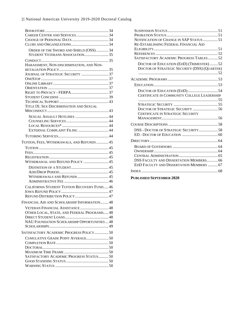#### 2| National American University 2019-2020 Doctoral Catalog

| ORDER OF THE SWORD AND SHIELD (OSS)  34      |  |
|----------------------------------------------|--|
| STUDENT VETERANS ASSOCIATION35               |  |
|                                              |  |
| HARASSMENT, NON-DISCRIMINATION, AND NON-     |  |
|                                              |  |
| JOURNAL OF STRATEGIC SECURITY 37             |  |
|                                              |  |
|                                              |  |
|                                              |  |
|                                              |  |
|                                              |  |
| TITLE IX: SEX DISCRIMINATION AND SEXUAL      |  |
|                                              |  |
|                                              |  |
| SEXUAL ASSAULT HOTLINES  44                  |  |
|                                              |  |
| EXTERNAL COMPLAINT FILING  44                |  |
|                                              |  |
|                                              |  |
| TUITION, FEES, WITHDRAWALS, AND REFUNDS  45  |  |
|                                              |  |
|                                              |  |
|                                              |  |
| WITHDRAWAL AND REFUND POLICY  45             |  |
|                                              |  |
|                                              |  |
| WITHDRAWALS AND REFUNDS 45                   |  |
|                                              |  |
| CALIFORNIA STUDENT TUITION RECOVERY FUND 46  |  |
|                                              |  |
|                                              |  |
| FINANCIAL AID AND SCHOLARSHIP INFORMATION 48 |  |
| VETERAN FINANCIAL ASSISTANCE  48             |  |
| OTHER LOCAL, STATE, AND FEDERAL PROGRAMS 48  |  |
|                                              |  |
| NAU FOUNDATION SCHOLARSHIP OPPORTUNITIES  48 |  |
|                                              |  |
| SATISFACTORY ACADEMIC PROGRESS POLICY50      |  |
|                                              |  |
|                                              |  |
|                                              |  |
|                                              |  |
| SATISFACTORY ACADEMIC PROGRESS STATUS50      |  |
|                                              |  |
|                                              |  |

| NOTIFICATION OF CHANGE IN SAP STATUS 51        |  |
|------------------------------------------------|--|
| RE-ESTABLISHING FEDERAL FINANCIAL AID          |  |
|                                                |  |
|                                                |  |
| SATISFACTORY ACADEMIC PROGRESS TABLES52        |  |
| DOCTOR OF EDUCATION (EDD) (TRIMESTER) 52       |  |
| DOCTOR OF STRATEGIC SECURITY (DSS) (QUARTER)   |  |
|                                                |  |
|                                                |  |
|                                                |  |
|                                                |  |
| CERTIFICATE IN COMMUNITY COLLEGE LEADERSHIP    |  |
|                                                |  |
|                                                |  |
|                                                |  |
| CERTIFICATE IN STRATEGIC SECURITY              |  |
|                                                |  |
|                                                |  |
| DSS - DOCTOR OF STRATEGIC SECURITY58           |  |
|                                                |  |
|                                                |  |
|                                                |  |
|                                                |  |
|                                                |  |
| <b>DSS FACULTY AND DISSERTATION MEMBERS 66</b> |  |
| EDD FACULTY AND DISSERTATION MEMBERS  67       |  |
|                                                |  |
| $     -$<br>$ \alpha$                          |  |

**PUBLISHED SEPTEMBER 2020**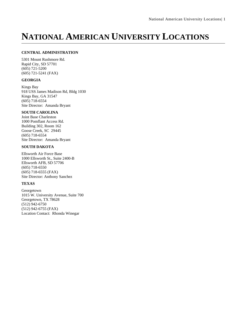# <span id="page-3-0"></span>**NATIONAL AMERICAN UNIVERSITY LOCATIONS**

#### **CENTRAL ADMINISTRATION**

5301 Mount Rushmore Rd. Rapid City, SD 57701 (605) 721-5200 (605) 721-5241 (FAX)

#### **GEORGIA**

Kings Bay 918 USS James Madison Rd, Bldg 1030 Kings Bay, GA 31547 (605) 718-6554 Site Director: Amanda Bryant

#### **SOUTH CAROLINA**

Joint Base Charleston 1000 Pomflant Access Rd. Building 302, Room 162 Goose Creek, SC 29445 (605) 718-6554 Site Director: Amanda Bryant

#### **SOUTH DAKOTA**

Ellsworth Air Force Base 1000 Ellsworth St., Suite 2400-B Ellsworth AFB, SD 57706 (605) 718-6550 (605) 718-6555 (FAX) Site Director: Anthony Sanchez

#### **TEXAS**

Georgetown 1015 W. University Avenue, Suite 700 Georgetown, TX 78628 (512) 942-6750 (512) 942-6755 (FAX) Location Contact: Rhonda Winegar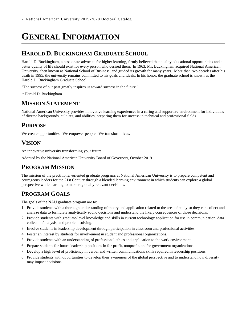# <span id="page-4-0"></span>**GENERAL INFORMATION**

## <span id="page-4-1"></span>**HAROLD D. BUCKINGHAM GRADUATE SCHOOL**

Harold D. Buckingham, a passionate advocate for higher learning, firmly believed that quality educational opportunities and a better quality of life should exist for every person who desired them. In 1963, Mr. Buckingham acquired National American University, then known as National School of Business, and guided its growth for many years. More than two decades after his death in 1995, the university remains committed to his goals and ideals. In his honor, the graduate school is known as the Harold D. Buckingham Graduate School.

"The success of our past greatly inspires us toward success in the future."

~ Harold D. Buckingham

## <span id="page-4-2"></span>**MISSION STATEMENT**

National American University provides innovative learning experiences in a caring and supportive environment for individuals of diverse backgrounds, cultures, and abilities, preparing them for success in technical and professional fields.

### <span id="page-4-3"></span>**PURPOSE**

We create opportunities. We empower people. We transform lives.

# <span id="page-4-4"></span>**VISION**

An innovative university transforming your future.

Adopted by the National American University Board of Governors, October 2019

### <span id="page-4-5"></span>**PROGRAM MISSION**

The mission of the practitioner-oriented graduate programs at National American University is to prepare competent and courageous leaders for the 21st Century through a blended learning environment in which students can explore a global perspective while learning to make regionally relevant decisions.

# <span id="page-4-6"></span>**PROGRAM GOALS**

The goals of the NAU graduate program are to:

- 1. Provide students with a thorough understanding of theory and application related to the area of study so they can collect and analyze data to formulate analytically sound decisions and understand the likely consequences of those decisions.
- 2. Provide students with graduate-level knowledge and skills in current technology application for use in communication, data collection/analysis, and problem solving.
- 3. Involve students in leadership development through participation in classroom and professional activities.
- 4. Foster an interest by students for involvement in student and professional organizations.
- 5. Provide students with an understanding of professional ethics and application to the work environment.
- 6. Prepare students for future leadership positions in for-profit, nonprofit, and/or government organizations.
- 7. Develop a high level of proficiency in verbal and written communications skills required in leadership positions.
- 8. Provide students with opportunities to develop their awareness of the global perspective and to understand how diversity may impact decisions.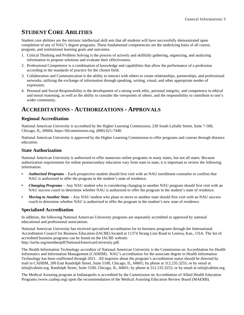# <span id="page-5-0"></span>**STUDENT CORE ABILITIES**

Student core abilities are the intrinsic intellectual skill sets that all students will have successfully demonstrated upon completion of any of NAU's degree programs. These fundamental competencies are the underlying basis of all course, program, and institutional learning goals and outcomes.

- 1. Critical Thinking and Problem Solving is the process of actively and skillfully gathering, organizing, and analyzing information to propose solutions and evaluate their effectiveness.
- 2. Professional Competence is a combination of knowledge and capabilities that allow the performance of a profession according to the standards of practice for the chosen field.
- 3. Collaboration and Communication is the ability to interact with others to create relationships, partnerships, and professional networks, utilizing the exchange of information through speaking, writing, visual, and other appropriate modes of expression.
- 4. Personal and Social Responsibility is the development of a strong work ethic, personal integrity, and competence in ethical and moral reasoning, as well as the ability to consider the viewpoints of others, and the responsibility to contribute to one's wider community.

### <span id="page-5-1"></span>**ACCREDITATIONS - AUTHORIZATIONS - APPROVALS**

#### **Regional Accreditation**

National American University is accredited by the Higher Learning Commission, 230 South LaSalle Street, Suite 7-500, Chicago, IL, 60604, https://hlcommission.org, (800) 621-7440.

National American University is approved by the Higher Learning Commission to offer programs and courses through distance education.

#### **State Authorization**

National American University is authorized to offer numerous online programs in many states, but not all states. Because authorization requirements for online postsecondary education vary from state to state, it is important to review the following information:

- **•** *Authorized Programs* Each prospective student should first visit with an NAU enrollment counselor to confirm that NAU is authorized to offer the program in the student's state of residence.
- *Changing Programs* Any NAU student who is considering changing to another NAU program should first visit with an NAU success coach to determine whether NAU is authorized to offer the program in the student's state of residence.
- **•** *Moving to Another State* Any NAU student who plans to move to another state should first visit with an NAU success coach to determine whether NAU is authorized to offer the program in the student's new state of residence.

#### **Specialized Accreditation**

In addition, the following National American University programs are separately accredited or approved by national educational and professional associations.

National American University has received specialized accreditation for its business programs through the International Accreditation Council for Business Education (IACBE) located at 11374 Strang Line Road in Lenexa, Kan., USA. The list of accredited business programs can be found on the IACBE website: http://iacbe.org/memberpdf/NationalAmericanUniversity.pdf.

The Health Information Technology accreditor of National American University is the Commission on Accreditation for Health Informatics and Information Management (CAHIIM). NAU's accreditation for the associate degree in Health Information Technology has been reaffirmed through 2021. All inquiries about the program's accreditation status should be directed by mail to CAHIIM, 200 East Randolph Street, Suite 5100, Chicago, IL, 60601; by phone at 312.235.3255; or by email at info@cahiim.org. Randolph Street, Suite 5100, Chicago, IL, 60601; by phone at 312.235.3255; or by email at info@cahiim.org.

The Medical Assisting program at Indianapolis is accredited by the Commission on Accreditation of Allied Health Education Programs (www.caahep.org) upon the recommendation of the Medical Assisting Education Review Board (MAERB).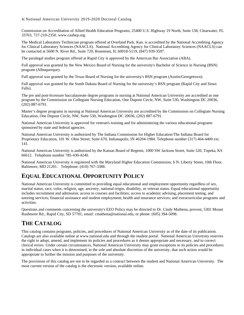#### 4| National American University 2019-2020 Doctoral Catalog

Commission on Accreditation of Allied Health Education Programs, 25400 U.S. Highway 19 North, Suite 158, Clearwater, FL 33763, 727-210-2350. www.caahep.org.

The Medical Laboratory Technician program offered at Overland Park, Kan. is accredited by the National Accrediting Agency for Clinical Laboratory Sciences (NAACLS). National Accrediting Agency for Clinical Laboratory Sciences (NAACLS) can be contacted at 5600 N. River Rd., Suite 720, Rosemont, IL 60018-5119, (847) 939-3597.

The paralegal studies program offered at Rapid City is approved by the American Bar Association (ABA).

Full approval was granted by the New Mexico Board of Nursing for the university's Bachelor of Science in Nursing (BSN) program (Albuquerque).

Full approval was granted by the Texas Board of Nursing for the university's BSN program (Austin/Georgetown).

Full approval was granted by the South Dakota Board of Nursing for the university's BSN program (Rapid City and Sioux Falls).

The pre and post-licensure baccalaureate degree programs in nursing at National American University are accredited as one program by the Commission on Collegiate Nursing Education, One Dupont Circle, NW, Suite 530, Washington DC 20036, (202) 887-6791.

Master's degree programs in nursing at National American University are accredited by the Commission on Collegiate Nursing Education, One Dupont Circle, NW, Suite 530, Washington DC 20036, (202) 887-6791.

National American University is approved for veteran's training and for administering the various educational programs sponsored by state and federal agencies.

National American University is authorized by The Indiana Commission for Higher Education/The Indiana Board for Proprietary Education, 101 W. Ohio Street, Suite 670, Indianapolis, IN 46204-1984. Telephone number (317) 464-4400 ext. 141.

National American University is authorized by the Kansas Board of Regents, 1000 SW Jackson Street, Suite 520, Topeka, KS 66612. Telephone number 785-430-4240.

National American University is registered with the Maryland Higher Education Commission, 6 N. Liberty Street, 10th Floor, Baltimore, MD 21201. Telephone: (410) 767-3388.

# <span id="page-6-0"></span>**EQUAL EDUCATIONAL OPPORTUNITY POLICY**

National American University is committed to providing equal educational and employment opportunity regardless of sex, marital status, race, color, religion, age, ancestry, national origin, disability, or veteran status. Equal educational opportunity includes recruitment and admission; access to courses and facilities; access to academic advising, placement testing, and tutoring services; financial assistance and student employment; health and insurance services; and extracurricular programs and activities.

Questions and comments concerning the university's EEO Policy may be directed to Dr. Cindy Mathena, provost, 5301 Mount Rushmore Rd., Rapid City, SD 57701, email: cmathena@national.edu, or phone: (605) 394-5098.

### <span id="page-6-1"></span>**THE CATALOG**

This catalog contains programs, policies, and procedures of National American University as of the date of its publication. Catalogs are also available online at www.national.edu and through the student portal. National American University reserves the right to adopt, amend, and implement its policies and procedures as it deems appropriate and necessary, and to correct clerical errors. Under certain circumstances, National American University may grant exceptions to its policies and procedures in individual cases when it is determined, in the sole and absolute discretion of the university, that such action would be appropriate to further the mission and purposes of the university.

The provisions of this catalog are not to be regarded as a contract between the student and National American University. The most current version of the catalog is the electronic version, available online.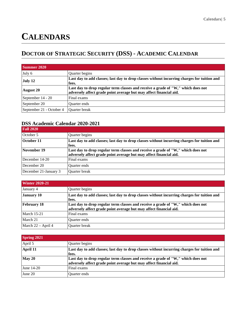# <span id="page-7-0"></span>**CALENDARS**

# <span id="page-7-1"></span>**DOCTOR OF STRATEGIC SECURITY (DSS) - ACADEMIC CALENDAR**

| <b>Summer 2020</b>       |                                                                                                                                                        |
|--------------------------|--------------------------------------------------------------------------------------------------------------------------------------------------------|
| July 6                   | Quarter begins                                                                                                                                         |
| July 12                  | Last day to add classes; last day to drop classes without incurring charges for tuition and<br>fees.                                                   |
| <b>August 20</b>         | Last day to drop regular term classes and receive a grade of "W," which does not<br>adversely affect grade point average but may affect financial aid. |
| September 14 - 20        | Final exams                                                                                                                                            |
| September 20             | Quarter ends                                                                                                                                           |
| September 21 - October 4 | Quarter break                                                                                                                                          |

### <span id="page-7-2"></span>**DSS Academic Calendar 2020-2021**

| <b>Fall 2020</b>      |                                                                                                                                                        |
|-----------------------|--------------------------------------------------------------------------------------------------------------------------------------------------------|
| October 5             | Quarter begins                                                                                                                                         |
| October 11            | Last day to add classes; last day to drop classes without incurring charges for tuition and<br>fees.                                                   |
| November 19           | Last day to drop regular term classes and receive a grade of "W," which does not<br>adversely affect grade point average but may affect financial aid. |
| December 14-20        | Final exams                                                                                                                                            |
| December 20           | <b>Ouarter</b> ends                                                                                                                                    |
| December 21-January 3 | Quarter break                                                                                                                                          |

| <b>Winter 2020-21</b> |                                                                                                                                                        |
|-----------------------|--------------------------------------------------------------------------------------------------------------------------------------------------------|
| January 4             | Quarter begins                                                                                                                                         |
| January 10            | Last day to add classes; last day to drop classes without incurring charges for tuition and<br>fees.                                                   |
| <b>February 18</b>    | Last day to drop regular term classes and receive a grade of "W," which does not<br>adversely affect grade point average but may affect financial aid. |
| <b>March 15-21</b>    | Final exams                                                                                                                                            |
| March 21              | <b>Ouarter</b> ends                                                                                                                                    |
| March 22 - April 4    | Quarter break                                                                                                                                          |

| <b>Spring 2021</b>              |                                                                                                                                                        |
|---------------------------------|--------------------------------------------------------------------------------------------------------------------------------------------------------|
| April 5                         | Quarter begins                                                                                                                                         |
| April 11                        | Last day to add classes; last day to drop classes without incurring charges for tuition and<br>fees.                                                   |
| $\boldsymbol{\mathrm{May\ 20}}$ | Last day to drop regular term classes and receive a grade of "W," which does not<br>adversely affect grade point average but may affect financial aid. |
| June 14-20                      | Final exams                                                                                                                                            |
| June 20                         | <b>Ouarter</b> ends                                                                                                                                    |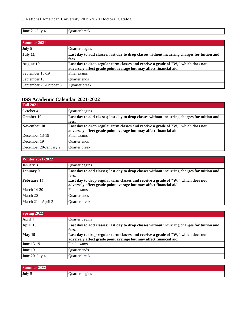| June 21-July 4         | Quarter break                                                                               |
|------------------------|---------------------------------------------------------------------------------------------|
|                        |                                                                                             |
| Summer 2021            |                                                                                             |
| July 5                 | Quarter begins                                                                              |
| July 11                | Last day to add classes; last day to drop classes without incurring charges for tuition and |
|                        | fees.                                                                                       |
| <b>August</b> 19       | Last day to drop regular term classes and receive a grade of "W," which does not            |
|                        | adversely affect grade point average but may affect financial aid.                          |
| September 13-19        | Final exams                                                                                 |
| September 19           | <b>Ouarter</b> ends                                                                         |
| September 20-October 3 | <b>Ouarter</b> break                                                                        |

# <span id="page-8-0"></span>**DSS Academic Calendar 2021-2022**

| <b>Fall 2021</b>      |                                                                                                                                                        |
|-----------------------|--------------------------------------------------------------------------------------------------------------------------------------------------------|
| October 4             | Quarter begins                                                                                                                                         |
| October 10            | Last day to add classes; last day to drop classes without incurring charges for tuition and<br>fees.                                                   |
| November 18           | Last day to drop regular term classes and receive a grade of "W," which does not<br>adversely affect grade point average but may affect financial aid. |
| December $13-19$      | Final exams                                                                                                                                            |
| December 19           | Ouarter ends                                                                                                                                           |
| December 20-January 2 | Quarter break                                                                                                                                          |

| <b>Winter 2021-2022</b> |                                                                                                                                                        |
|-------------------------|--------------------------------------------------------------------------------------------------------------------------------------------------------|
| January 3               | Quarter begins                                                                                                                                         |
| <b>January 9</b>        | Last day to add classes; last day to drop classes without incurring charges for tuition and<br>fees.                                                   |
| <b>February 17</b>      | Last day to drop regular term classes and receive a grade of "W," which does not<br>adversely affect grade point average but may affect financial aid. |
| <b>March 14-20</b>      | Final exams                                                                                                                                            |
| March 20                | <b>Ouarter</b> ends                                                                                                                                    |
| March 21 – April 3      | Quarter break                                                                                                                                          |

| <b>Spring 2022</b> |                                                                                                                                                        |
|--------------------|--------------------------------------------------------------------------------------------------------------------------------------------------------|
| April 4            | Quarter begins                                                                                                                                         |
| April 10           | Last day to add classes; last day to drop classes without incurring charges for tuition and<br>fees.                                                   |
| May 19             | Last day to drop regular term classes and receive a grade of "W," which does not<br>adversely affect grade point average but may affect financial aid. |
| June 13-19         | Final exams                                                                                                                                            |
| June 19            | <b>Ouarter</b> ends                                                                                                                                    |
| June 20-July 4     | Quarter break                                                                                                                                          |

| <b>Summer</b><br>2022 |                |
|-----------------------|----------------|
| July 5                | Quarter begins |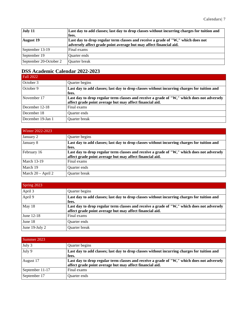| July 11                | Last day to add classes; last day to drop classes without incurring charges for tuition and<br>fees.                                                   |
|------------------------|--------------------------------------------------------------------------------------------------------------------------------------------------------|
| <b>August</b> 19       | Last day to drop regular term classes and receive a grade of "W," which does not<br>adversely affect grade point average but may affect financial aid. |
| September 13-19        | Final exams                                                                                                                                            |
| September 19           | <b>Ouarter</b> ends                                                                                                                                    |
| September 20-October 2 | Quarter break                                                                                                                                          |

# <span id="page-9-0"></span>**DSS Academic Calendar 2022-2023**

| <b>Fall 2022</b>  |                                                                                                      |
|-------------------|------------------------------------------------------------------------------------------------------|
| October 3         | Quarter begins                                                                                       |
| October 9         | Last day to add classes; last day to drop classes without incurring charges for tuition and<br>fees. |
|                   |                                                                                                      |
| November 17       | Last day to drop regular term classes and receive a grade of "W," which does not adversely           |
|                   | affect grade point average but may affect financial aid.                                             |
| December 12-18    | Final exams                                                                                          |
| December 18       | Quarter ends                                                                                         |
| December 19-Jan 1 | Quarter break                                                                                        |

| Winter 2022-2023     |                                                                                                                                                        |
|----------------------|--------------------------------------------------------------------------------------------------------------------------------------------------------|
| January 2            | Quarter begins                                                                                                                                         |
| January 8            | Last day to add classes; last day to drop classes without incurring charges for tuition and<br>fees.                                                   |
| February 16          | Last day to drop regular term classes and receive a grade of "W," which does not adversely<br>affect grade point average but may affect financial aid. |
| <b>March 13-19</b>   | Final exams                                                                                                                                            |
| March 19             | Quarter ends                                                                                                                                           |
| March $20 -$ April 2 | Quarter break                                                                                                                                          |

| Spring 2023    |                                                                                                                                                        |
|----------------|--------------------------------------------------------------------------------------------------------------------------------------------------------|
| April 3        | Quarter begins                                                                                                                                         |
| April 9        | Last day to add classes; last day to drop classes without incurring charges for tuition and<br>fees.                                                   |
| May 18         | Last day to drop regular term classes and receive a grade of "W," which does not adversely<br>affect grade point average but may affect financial aid. |
| June 12-18     | Final exams                                                                                                                                            |
| June 18        | <b>Ouarter</b> ends                                                                                                                                    |
| June 19-July 2 | Quarter break                                                                                                                                          |

| Summer 2023     |                                                                                                                                                        |
|-----------------|--------------------------------------------------------------------------------------------------------------------------------------------------------|
| July 3          | Quarter begins                                                                                                                                         |
| July 9          | Last day to add classes; last day to drop classes without incurring charges for tuition and<br>fees.                                                   |
| August 17       | Last day to drop regular term classes and receive a grade of "W," which does not adversely<br>affect grade point average but may affect financial aid. |
| September 11-17 | Final exams                                                                                                                                            |
| September 17    | <b>Ouarter</b> ends                                                                                                                                    |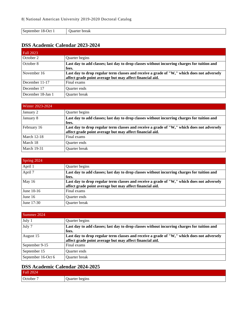| ິ<br>September<br>tember 18-Oct 1 | break<br>וו<br>ະ ເຕະ<br>. |
|-----------------------------------|---------------------------|

### <span id="page-10-0"></span>**DSS Academic Calendar 2023-2024**

| Fall 2023         |                                                                                                                                                        |
|-------------------|--------------------------------------------------------------------------------------------------------------------------------------------------------|
| October 2         | Quarter begins                                                                                                                                         |
| October 8         | Last day to add classes; last day to drop classes without incurring charges for tuition and<br>fees.                                                   |
| November 16       | Last day to drop regular term classes and receive a grade of "W," which does not adversely<br>affect grade point average but may affect financial aid. |
| December 11-17    | Final exams                                                                                                                                            |
| December 17       | Ouarter ends                                                                                                                                           |
| December 18-Jan 1 | Quarter break                                                                                                                                          |

| Winter $2023 - 2024$ |                                                                                                                                                        |
|----------------------|--------------------------------------------------------------------------------------------------------------------------------------------------------|
| January 2            | Quarter begins                                                                                                                                         |
| January 8            | Last day to add classes; last day to drop classes without incurring charges for tuition and<br>fees.                                                   |
| February 16          | Last day to drop regular term classes and receive a grade of "W," which does not adversely<br>affect grade point average but may affect financial aid. |
| <b>March 12-18</b>   | Final exams                                                                                                                                            |
| March 18             | <b>Ouarter</b> ends                                                                                                                                    |
| <b>March 19-31</b>   | Quarter break                                                                                                                                          |

| Spring 2024 |                                                                                                                                                        |
|-------------|--------------------------------------------------------------------------------------------------------------------------------------------------------|
| April 1     | Quarter begins                                                                                                                                         |
| April 7     | Last day to add classes; last day to drop classes without incurring charges for tuition and<br>fees.                                                   |
| May 16      | Last day to drop regular term classes and receive a grade of "W," which does not adversely<br>affect grade point average but may affect financial aid. |
| June 10-16  | Final exams                                                                                                                                            |
| June 16     | <b>Ouarter</b> ends                                                                                                                                    |
| June 17-30  | Quarter break                                                                                                                                          |

| Summer 2024        |                                                                                                                                                        |
|--------------------|--------------------------------------------------------------------------------------------------------------------------------------------------------|
| July 1             | Quarter begins                                                                                                                                         |
| July 7             | Last day to add classes; last day to drop classes without incurring charges for tuition and<br>fees.                                                   |
| August 15          | Last day to drop regular term classes and receive a grade of "W," which does not adversely<br>affect grade point average but may affect financial aid. |
| September 9-15     | Final exams                                                                                                                                            |
| September 15       | <b>Ouarter</b> ends                                                                                                                                    |
| September 16-Oct 6 | Quarter break                                                                                                                                          |

### <span id="page-10-1"></span>**DSS Academic Calendar 2024-2025**

| <b>Fall 2024</b> |                |
|------------------|----------------|
| October          | Juarter begins |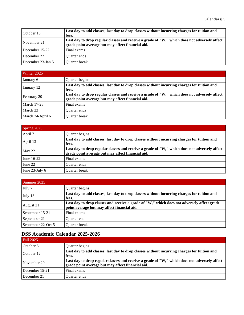| October 13        | Last day to add classes; last day to drop classes without incurring charges for tuition and<br>fees.                                              |
|-------------------|---------------------------------------------------------------------------------------------------------------------------------------------------|
| November 21       | Last day to drop regular classes and receive a grade of "W," which does not adversely affect<br>grade point average but may affect financial aid. |
| December 15-22    | Final exams                                                                                                                                       |
| December 22       | <b>Ouarter ends</b>                                                                                                                               |
| December 23-Jan 5 | Quarter break                                                                                                                                     |

| Winter 2025        |                                                                                                                                                   |
|--------------------|---------------------------------------------------------------------------------------------------------------------------------------------------|
| January 6          | Quarter begins                                                                                                                                    |
| January 12         | Last day to add classes; last day to drop classes without incurring charges for tuition and<br>fees.                                              |
| February 20        | Last day to drop regular classes and receive a grade of "W," which does not adversely affect<br>grade point average but may affect financial aid. |
| <b>March 17-23</b> | Final exams                                                                                                                                       |
| March 23           | <b>Ouarter</b> ends                                                                                                                               |
| March 24-April 6   | Quarter break                                                                                                                                     |

| Spring 2025    |                                                                                                                                                   |
|----------------|---------------------------------------------------------------------------------------------------------------------------------------------------|
| April 7        | Quarter begins                                                                                                                                    |
| April 13       | Last day to add classes; last day to drop classes without incurring charges for tuition and<br>fees.                                              |
| May 22         | Last day to drop regular classes and receive a grade of "W," which does not adversely affect<br>grade point average but may affect financial aid. |
| June 16-22     | Final exams                                                                                                                                       |
| June 22        | <b>Ouarter</b> ends                                                                                                                               |
| June 23-July 6 | <b>Ouarter</b> break                                                                                                                              |

| Summer 2025        |                                                                                                                                           |
|--------------------|-------------------------------------------------------------------------------------------------------------------------------------------|
| July 7             | Quarter begins                                                                                                                            |
| July 13            | Last day to add classes; last day to drop classes without incurring charges for tuition and<br>fees.                                      |
| August 21          | Last day to drop classes and receive a grade of "W," which does not adversely affect grade<br>point average but may affect financial aid. |
| September 15-21    | Final exams                                                                                                                               |
| September 21       | Quarter ends                                                                                                                              |
| September 22-Oct 5 | Quarter break                                                                                                                             |

### <span id="page-11-0"></span>**DSS Academic Calendar 2025-2026**

| <b>Fall 2025</b> |                                                                                                                                                   |
|------------------|---------------------------------------------------------------------------------------------------------------------------------------------------|
| October 6        | Quarter begins                                                                                                                                    |
| October 12       | Last day to add classes; last day to drop classes without incurring charges for tuition and<br>fees.                                              |
| November 20      | Last day to drop regular classes and receive a grade of "W," which does not adversely affect<br>grade point average but may affect financial aid. |
| December 15-21   | Final exams                                                                                                                                       |
| December 21      | <b>Ouarter</b> ends                                                                                                                               |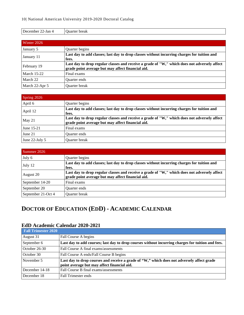| December 22-Jan 4  | <b>Ouarter</b> break                                                                                                                              |
|--------------------|---------------------------------------------------------------------------------------------------------------------------------------------------|
|                    |                                                                                                                                                   |
| Winter 2026        |                                                                                                                                                   |
| January 5          | Quarter begins                                                                                                                                    |
| January 11         | Last day to add classes; last day to drop classes without incurring charges for tuition and<br>fees.                                              |
| February 19        | Last day to drop regular classes and receive a grade of "W," which does not adversely affect<br>grade point average but may affect financial aid. |
| <b>March 15-22</b> | Final exams                                                                                                                                       |
| March 22           | <b>Ouarter ends</b>                                                                                                                               |
| March 22-Apr 5     | <b>Ouarter</b> break                                                                                                                              |

| Spring 2026    |                                                                                                                                                   |
|----------------|---------------------------------------------------------------------------------------------------------------------------------------------------|
| April 6        | Quarter begins                                                                                                                                    |
| April 12       | Last day to add classes; last day to drop classes without incurring charges for tuition and<br>fees.                                              |
| May 21         | Last day to drop regular classes and receive a grade of "W," which does not adversely affect<br>grade point average but may affect financial aid. |
| June 15-21     | Final exams                                                                                                                                       |
| June 21        | Quarter ends                                                                                                                                      |
| June 22-July 5 | <b>Ouarter</b> break                                                                                                                              |

| Summer 2026        |                                                                                                                                                   |
|--------------------|---------------------------------------------------------------------------------------------------------------------------------------------------|
| July 6             | Quarter begins                                                                                                                                    |
| July 12            | Last day to add classes; last day to drop classes without incurring charges for tuition and<br>fees.                                              |
| August 20          | Last day to drop regular classes and receive a grade of "W," which does not adversely affect<br>grade point average but may affect financial aid. |
| September 14-20    | Final exams                                                                                                                                       |
| September 20       | <b>Ouarter</b> ends                                                                                                                               |
| September 21-Oct 4 | Quarter break                                                                                                                                     |

# <span id="page-12-0"></span>**DOCTOR OF EDUCATION (EDD) - ACADEMIC CALENDAR**

### <span id="page-12-1"></span>**EdD Academic Calendar 2020-2021**

| <b>Fall Trimester 2020</b> |                                                                                                                                           |
|----------------------------|-------------------------------------------------------------------------------------------------------------------------------------------|
| August 31                  | Fall Course A begins                                                                                                                      |
| September 6                | Last day to add courses; last day to drop courses without incurring charges for tuition and fees.                                         |
| October $26-30$            | Fall Course A final exams/assessments                                                                                                     |
| October 30                 | Fall Course A ends/Fall Course B begins                                                                                                   |
| November 5                 | Last day to drop courses and receive a grade of "W," which does not adversely affect grade<br>point average but may affect financial aid. |
| December 14-18             | Fall Course B final exams/assessments                                                                                                     |
| December 18                | Fall Trimester ends                                                                                                                       |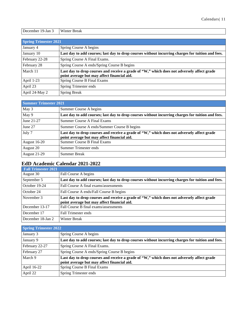| $\overline{\phantom{a}}$<br>December<br>$19$ -Jan | Winter<br><b>Break</b> |
|---------------------------------------------------|------------------------|
|                                                   |                        |

| <b>Spring Trimester 2021</b> |                                                                                                                                           |
|------------------------------|-------------------------------------------------------------------------------------------------------------------------------------------|
| January 4                    | Spring Course A begins                                                                                                                    |
| January 10                   | Last day to add courses; last day to drop courses without incurring charges for tuition and fees.                                         |
| February 22-28               | Spring Course A Final Exams.                                                                                                              |
| February 28                  | Spring Course A ends/Spring Course B begins                                                                                               |
| March 11                     | Last day to drop courses and receive a grade of "W," which does not adversely affect grade<br>point average but may affect financial aid. |
| April 1-23                   | <b>Spring Course B Final Exams</b>                                                                                                        |
| April 23                     | Spring Trimester ends                                                                                                                     |
| April 24-May 2               | <b>Spring Break</b>                                                                                                                       |

| <b>Summer Trimester 2021</b> |                                                                                                                                           |
|------------------------------|-------------------------------------------------------------------------------------------------------------------------------------------|
| May 3                        | Summer Course A begins                                                                                                                    |
| May 9                        | Last day to add courses; last day to drop courses without incurring charges for tuition and fees.                                         |
| June 21-27                   | Summer Course A Final Exams                                                                                                               |
| June 27                      | Summer Course A ends/Summer Course B begins                                                                                               |
| July 7                       | Last day to drop courses and receive a grade of "W," which does not adversely affect grade<br>point average but may affect financial aid. |
| <b>August 16-20</b>          | <b>Summer Course B Final Exams</b>                                                                                                        |
| August 20                    | Summer Trimester ends                                                                                                                     |
| <b>August 21-29</b>          | <b>Summer Break</b>                                                                                                                       |

### <span id="page-13-0"></span>**EdD Academic Calendar 2021-2022**

| <b>Fall Trimester 2021</b> |                                                                                                                                           |
|----------------------------|-------------------------------------------------------------------------------------------------------------------------------------------|
| August 30                  | Fall Course A begins                                                                                                                      |
| September 5                | Last day to add courses; last day to drop courses without incurring charges for tuition and fees.                                         |
| October 19-24              | Fall Course A final exams/assessments                                                                                                     |
| October 24                 | Fall Course A ends/Fall Course B begins                                                                                                   |
| November 3                 | Last day to drop courses and receive a grade of "W," which does not adversely affect grade<br>point average but may affect financial aid. |
| December 13-17             | Fall Course B final exams/assessments                                                                                                     |
| December 17                | Fall Trimester ends                                                                                                                       |
| December 18-Jan 2          | Winter Break                                                                                                                              |

| <b>Spring Trimester 2022</b> |                                                                                                                                           |
|------------------------------|-------------------------------------------------------------------------------------------------------------------------------------------|
| January 3                    | Spring Course A begins                                                                                                                    |
| January 9                    | Last day to add courses; last day to drop courses without incurring charges for tuition and fees.                                         |
| February 22-27               | Spring Course A Final Exams.                                                                                                              |
| February 27                  | Spring Course A ends/Spring Course B begins                                                                                               |
| March 9                      | Last day to drop courses and receive a grade of "W," which does not adversely affect grade<br>point average but may affect financial aid. |
| April 16-22                  | Spring Course B Final Exams                                                                                                               |
| April 22                     | Spring Trimester ends                                                                                                                     |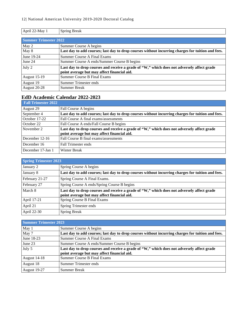| April 22-May 1               | <b>Spring Break</b>                                                                               |
|------------------------------|---------------------------------------------------------------------------------------------------|
|                              |                                                                                                   |
| <b>Summer Trimester 2022</b> |                                                                                                   |
| May 2                        | Summer Course A begins                                                                            |
| May 8                        | Last day to add courses; last day to drop courses without incurring charges for tuition and fees. |
| June 19-24                   | <b>Summer Course A Final Exams</b>                                                                |
| June 24                      | Summer Course A ends/Summer Course B begins                                                       |
| July 2                       | Last day to drop courses and receive a grade of "W," which does not adversely affect grade        |
|                              | point average but may affect financial aid.                                                       |
| <b>August 15-19</b>          | <b>Summer Course B Final Exams</b>                                                                |
| August 19                    | Summer Trimester ends                                                                             |
| August 20-28                 | <b>Summer Break</b>                                                                               |

### <span id="page-14-0"></span>**EdD Academic Calendar 2022-2023**

| <b>Fall Trimester 2022</b> |                                                                                                                                           |
|----------------------------|-------------------------------------------------------------------------------------------------------------------------------------------|
| August 29                  | Fall Course A begins                                                                                                                      |
| September 4                | Last day to add courses; last day to drop courses without incurring charges for tuition and fees.                                         |
| October 17-22              | Fall Course A final exams/assessments                                                                                                     |
| October 22                 | Fall Course A ends/Fall Course B begins                                                                                                   |
| November 2                 | Last day to drop courses and receive a grade of "W," which does not adversely affect grade<br>point average but may affect financial aid. |
| December 12-16             | Fall Course B final exams/assessments                                                                                                     |
| December 16                | Fall Trimester ends                                                                                                                       |
| December 17-Jan 1          | <b>Winter Break</b>                                                                                                                       |

| <b>Spring Trimester 2023</b> |                                                                                                                                           |
|------------------------------|-------------------------------------------------------------------------------------------------------------------------------------------|
| January 2                    | Spring Course A begins                                                                                                                    |
| January 8                    | Last day to add courses; last day to drop courses without incurring charges for tuition and fees.                                         |
| February 21-27               | Spring Course A Final Exams.                                                                                                              |
| February 27                  | Spring Course A ends/Spring Course B begins                                                                                               |
| March 8                      | Last day to drop courses and receive a grade of "W," which does not adversely affect grade<br>point average but may affect financial aid. |
| April 17-21                  | Spring Course B Final Exams                                                                                                               |
| April 21                     | Spring Trimester ends                                                                                                                     |
| April 22-30                  | <b>Spring Break</b>                                                                                                                       |

| <b>Summer Trimester 2023</b> |                                                                                                                                           |
|------------------------------|-------------------------------------------------------------------------------------------------------------------------------------------|
| May 1                        | Summer Course A begins                                                                                                                    |
| May 7                        | Last day to add courses; last day to drop courses without incurring charges for tuition and fees.                                         |
| June 18-23                   | Summer Course A Final Exams                                                                                                               |
| June 23                      | Summer Course A ends/Summer Course B begins                                                                                               |
| July 5                       | Last day to drop courses and receive a grade of "W," which does not adversely affect grade<br>point average but may affect financial aid. |
| <b>August 14-18</b>          | <b>Summer Course B Final Exams</b>                                                                                                        |
| August 18                    | Summer Trimester ends                                                                                                                     |
| August 19-27                 | <b>Summer Break</b>                                                                                                                       |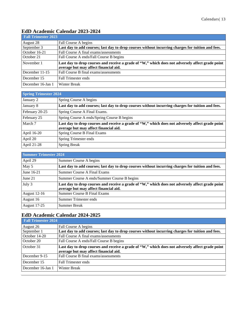### <span id="page-15-0"></span>**EdD Academic Calendar 2023-2024**

| <b>Fall Trimester 2023</b> |                                                                                                                                           |
|----------------------------|-------------------------------------------------------------------------------------------------------------------------------------------|
| August 28                  | Fall Course A begins                                                                                                                      |
| September 3                | Last day to add courses; last day to drop courses without incurring charges for tuition and fees.                                         |
| October 16-21              | Fall Course A final exams/assessments                                                                                                     |
| October 21                 | Fall Course A ends/Fall Course B begins                                                                                                   |
| November 1                 | Last day to drop courses and receive a grade of "W," which does not adversely affect grade point<br>average but may affect financial aid. |
| December 11-15             | Fall Course B final exams/assessments                                                                                                     |
| December 15                | <b>Fall Trimester ends</b>                                                                                                                |
|                            |                                                                                                                                           |

| <b>Spring Trimester 2024</b> |                                                                                                                                           |
|------------------------------|-------------------------------------------------------------------------------------------------------------------------------------------|
| January 2                    | Spring Course A begins                                                                                                                    |
| January 8                    | Last day to add courses; last day to drop courses without incurring charges for tuition and fees.                                         |
| February 20-25               | Spring Course A Final Exams.                                                                                                              |
| February 25                  | Spring Course A ends/Spring Course B begins                                                                                               |
| March 7                      | Last day to drop courses and receive a grade of "W," which does not adversely affect grade point<br>average but may affect financial aid. |
| April 16-20                  | Spring Course B Final Exams                                                                                                               |
| April 20                     | Spring Trimester ends                                                                                                                     |
| April 21-28                  | <b>Spring Break</b>                                                                                                                       |

| <b>Summer Trimester 2024</b> |                                                                                                                                           |
|------------------------------|-------------------------------------------------------------------------------------------------------------------------------------------|
| April 29                     | Summer Course A begins                                                                                                                    |
| May 5                        | Last day to add courses; last day to drop courses without incurring charges for tuition and fees.                                         |
| June 16-21                   | <b>Summer Course A Final Exams</b>                                                                                                        |
| June 21                      | Summer Course A ends/Summer Course B begins                                                                                               |
| July 3                       | Last day to drop courses and receive a grade of "W," which does not adversely affect grade point<br>average but may affect financial aid. |
| <b>August 12-16</b>          | Summer Course B Final Exams                                                                                                               |
| August 16                    | Summer Trimester ends                                                                                                                     |
| <b>August 17-25</b>          | <b>Summer Break</b>                                                                                                                       |

### <span id="page-15-1"></span>**EdD Academic Calendar 2024-2025**

| <b>Fall Trimester 2024</b> |                                                                                                                                           |
|----------------------------|-------------------------------------------------------------------------------------------------------------------------------------------|
| August 26                  | Fall Course A begins                                                                                                                      |
| September 1                | Last day to add courses; last day to drop courses without incurring charges for tuition and fees.                                         |
| October 14-20              | Fall Course A final exams/assessments                                                                                                     |
| October 20                 | Fall Course A ends/Fall Course B begins                                                                                                   |
| October 31                 | Last day to drop courses and receive a grade of "W," which does not adversely affect grade point<br>average but may affect financial aid. |
| December 9-15              | Fall Course B final exams/assessments                                                                                                     |
| December 15                | <b>Fall Trimester ends</b>                                                                                                                |
| December 16-Jan 1          | <b>Winter Break</b>                                                                                                                       |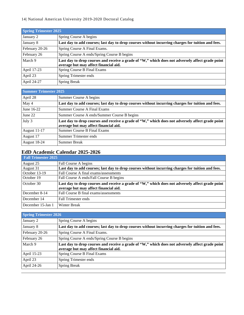#### 14| National American University 2019-2020 Doctoral Catalog

| <b>Spring Trimester 2025</b> |                                                                                                                                           |
|------------------------------|-------------------------------------------------------------------------------------------------------------------------------------------|
| January 2                    | Spring Course A begins                                                                                                                    |
| January 8                    | Last day to add courses; last day to drop courses without incurring charges for tuition and fees.                                         |
| February 20-26               | Spring Course A Final Exams.                                                                                                              |
| February 26                  | Spring Course A ends/Spring Course B begins                                                                                               |
| March 9                      | Last day to drop courses and receive a grade of "W," which does not adversely affect grade point<br>average but may affect financial aid. |
| April 17-23                  | Spring Course B Final Exams                                                                                                               |
| April 23                     | Spring Trimester ends                                                                                                                     |
| April 24-27                  | <b>Spring Break</b>                                                                                                                       |

| <b>Summer Trimester 2025</b> |                                                                                                                                           |
|------------------------------|-------------------------------------------------------------------------------------------------------------------------------------------|
| April 28                     | Summer Course A begins                                                                                                                    |
| May 4                        | Last day to add courses; last day to drop courses without incurring charges for tuition and fees.                                         |
| June 16-22                   | <b>Summer Course A Final Exams</b>                                                                                                        |
| June 22                      | Summer Course A ends/Summer Course B begins                                                                                               |
| July 3                       | Last day to drop courses and receive a grade of "W," which does not adversely affect grade point<br>average but may affect financial aid. |
| <b>August 11-17</b>          | <b>Summer Course B Final Exams</b>                                                                                                        |
| August 17                    | Summer Trimester ends                                                                                                                     |
| August 18-24                 | <b>Summer Break</b>                                                                                                                       |

# <span id="page-16-0"></span>**EdD Academic Calendar 2025-2026**

| <b>Fall Trimester 2025</b> |                                                                                                   |
|----------------------------|---------------------------------------------------------------------------------------------------|
| August 25                  | Fall Course A begins                                                                              |
| August 31                  | Last day to add courses; last day to drop courses without incurring charges for tuition and fees. |
| October 13-19              | Fall Course A final exams/assessments                                                             |
| October 19                 | Fall Course A ends/Fall Course B begins                                                           |
| October 30                 | Last day to drop courses and receive a grade of "W," which does not adversely affect grade point  |
|                            | average but may affect financial aid.                                                             |
| December 8-14              | Fall Course B final exams/assessments                                                             |
| December 14                | <b>Fall Trimester ends</b>                                                                        |
| December 15-Jan 1          | <b>Winter Break</b>                                                                               |

| <b>Spring Trimester 2026</b> |                                                                                                                                           |
|------------------------------|-------------------------------------------------------------------------------------------------------------------------------------------|
| January 2                    | Spring Course A begins                                                                                                                    |
| January 8                    | Last day to add courses; last day to drop courses without incurring charges for tuition and fees.                                         |
| February 20-26               | Spring Course A Final Exams.                                                                                                              |
| February 26                  | Spring Course A ends/Spring Course B begins                                                                                               |
| March 9                      | Last day to drop courses and receive a grade of "W," which does not adversely affect grade point<br>average but may affect financial aid. |
| April 15-23                  | Spring Course B Final Exams                                                                                                               |
| April 23                     | Spring Trimester ends                                                                                                                     |
| April 24-26                  | <b>Spring Break</b>                                                                                                                       |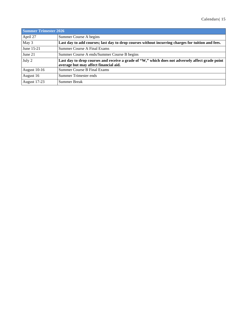| <b>Summer Trimester 2026</b> |                                                                                                                                           |
|------------------------------|-------------------------------------------------------------------------------------------------------------------------------------------|
| April 27                     | Summer Course A begins                                                                                                                    |
| May 3                        | Last day to add courses; last day to drop courses without incurring charges for tuition and fees.                                         |
| June 15-21                   | Summer Course A Final Exams                                                                                                               |
| June 21                      | Summer Course A ends/Summer Course B begins                                                                                               |
| July 2                       | Last day to drop courses and receive a grade of "W," which does not adversely affect grade point<br>average but may affect financial aid. |
| <b>August 10-16</b>          | <b>Summer Course B Final Exams</b>                                                                                                        |
| August 16                    | Summer Trimester ends                                                                                                                     |
| August 17-23                 | Summer Break                                                                                                                              |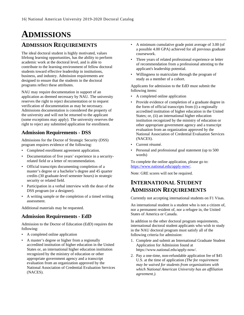# <span id="page-18-0"></span>**ADMISSIONS**

### <span id="page-18-1"></span>**ADMISSION REQUIREMENTS**

The ideal doctoral student is highly motivated, values lifelong learning opportunities, has the ability to perform academic work at the doctoral level, and is able to contribute to the learning environment of fellow doctoral students toward effective leadership in institutions, business, and industry. Admission requirements are designed to ensure that the students in the doctoral programs reflect these attributes.

NAU may require documentation in support of an application as deemed necessary by NAU. The university reserves the right to reject documentation or to request verification of documentation as may be necessary. Admissions documentation is considered the property of the university and will not be returned to the applicant (some exceptions may apply). The university reserves the right to reject any submitted application for enrollment.

#### <span id="page-18-2"></span>**Admission Requirements - DSS**

Admissions for the Doctor of Strategic Security (DSS) program requires evidence of the following:

- Completed enrollment agreement application.
- Documentation of five years' experience in a securityrelated field or a letter of recommendation.
- Official transcripts documenting completion of a master's degree or a bachelor's degree and 45 quarter credits (30 graduate-level semester hours) in strategic security or related field.
- Participation in a verbal interview with the dean of the DSS program (or a designee).
- A writing sample or the completion of a timed writing assessment.

Additional materials may be requested.

#### <span id="page-18-3"></span>**Admission Requirements - EdD**

Admission to the Doctor of Education (EdD) requires the following:

- A completed online application
- A master's degree or higher from a regionally accredited institution of higher education in the United States or, an international higher education institution recognized by the ministry of education or other appropriate government agency and a transcript evaluation from an organization approved by the National Association of Credential Evaluation Services (NACES).
- A minimum cumulative grade point average of 3.00 (of a possible 4.00 GPA) achieved for all previous graduate coursework.
- Three years of related professional experience or letter of recommendation from a professional attesting to the applicant's leadership potential.
- Willingness to matriculate through the program of study as a member of a cohort.

Applicants for admission to the EdD must submit the following items:

- A completed online application
- Provide evidence of completion of a graduate degree in the form of official transcripts from (i) a regionally accredited institution of higher education in the United States; or, (ii) an international higher education institution recognized by the ministry of education or other appropriate government agency and a transcript evaluation from an organization approved by the National Association of Credential Evaluation Services (NACES).
- Current résumé.
- Personal and professional goal statement (up to 500 words)

To complete the online application, please go to: [https://www.national.edu/apply-now/.](https://www.national.edu/apply-now/)

<span id="page-18-4"></span>Note: GRE scores will not be required.

### **INTERNATIONAL STUDENT ADMISSION REQUIREMENTS**

Currently not accepting international students on F1 Visas.

An international student is a student who is not a citizen of, nor a permanent resident of, nor a refugee in, the United States of America or Canada.

In addition to the other doctoral program requirements, international doctoral student applicants who wish to study in the NAU doctoral program must satisfy all of the following criteria for admission:

- 1. Complete and submit an International Graduate Student Application for Admission found at https://www.national.edu/apply-now/.
- 2. Pay a one-time, non-refundable application fee of \$45 U.S. at the time of application *(The fee requirement may be waived for students from organizations with which National American University has an affiliation agreement.).*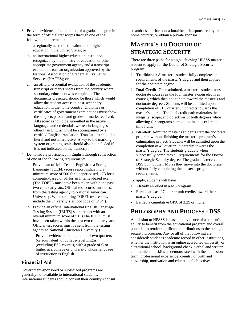- 3. Provide evidence of completion of a graduate degree in the form of official transcripts through one of the following requirements:
	- a. a regionally accredited institution of higher education in the United States; or
	- b. an international higher education institution recognized by the ministry of education or other appropriate government agency and a transcript evaluation from an organization approved by the National Association of Credential Evaluation Services (NACES); or
	- c. an official credential evaluation of the academic transcript or marks sheets from the country where secondary education was completed. The documents presented should be those which would allow the student access to post-secondary education in the home country. Diplomas or certificates of government examinations must show the subjects passed, and grades or marks received. All records should be submitted in the native language, and credentials written in languages other than English must be accompanied by a certified English translation. Translations should be literal and not interpretive. A key to the marking system or grading scale should also be included if it is not indicated on the transcript.
- 4. Demonstrate proficiency in English through satisfaction of one of the following requirements:
	- a. Provide an official Test of English as a Foreign Language (TOEFL) score report indicating a minimum score of 500 for a paper-based, 173 for a computer-based or 61 for an Internet-based exam (The TOEFL must have been taken within the past two calendar years. Official test scores must be sent from the testing agency to National American University. When ordering TOEFL test results, include the university's school code of 6464.).
	- b. Provide an official International English Language Testing System (IELTS) score report with an overall minimum score of 5.0. (The IELTS must have been taken within the past two calendar years. Official test scores must be sent from the testing agency to National American University.)
	- c. Provide evidence of completion of two quarters (or equivalent) of college-level English (excluding ESL courses) with a grade of C or higher at a college or university whose language of instruction is English.

#### <span id="page-19-0"></span>**Financial Aid**

Government-sponsored or subsidized programs are generally not available to international students. International students should consult their country's consul or ambassador for educational benefits sponsored by their home country, or obtain a private sponsor.

# <span id="page-19-1"></span>**MASTER'S TO DOCTOR OF STRATEGIC SECURITY**

There are three paths for a high achieving HPSSS master's student to apply for the Doctor of Strategic Security program:

- 1. **Traditional:** A master's student fully completes the requirements of the master's degree and then applies for the doctorate degree.
- 2. **Dual Credit:** Once admitted, a master's student uses doctorate courses as the four master's open electives courses, which then count both toward the master's and doctorate degrees. Students will be admitted upon completion of 31.5 quarter unit credits towards the master's degree. The dual credit path maintains the integrity, scope, and objectives of both degrees while allowing for programs completion in an accelerated time frame.
- 3. **Blended:** Admitted master's students start the doctorate program without finishing the master's program's culminating project. Students will be admitted upon the completion of 45 quarter unit credits towards the master's degree. The students graduate when successfully completes all requirements for the Doctor of Strategic Security degree. The graduates receive the DSS but not their MS as they move into the doctorate without fully completing the master's program requirements.

To apply, students will have

- Already enrolled in a MS program.
- Earned at least 27 quarter unit credits toward their master's degree.
- <span id="page-19-2"></span>• Earned a cumulative GPA of 3.25 or higher.

### **PHILOSOPHY AND PROCESS - DSS**

Admission to HPSSS is based on evidence of a student's ability to benefit from the educational program and overall potential to render significant contributions to the strategic security profession. Any or all of the following are considered: student's academic record in other institutions, whether the institution is an online accredited university or a traditional school, background check, verbal and written communication skills as demonstrated with the admissions team, professional experience, country of birth and citizenship, motivation and educational objectives.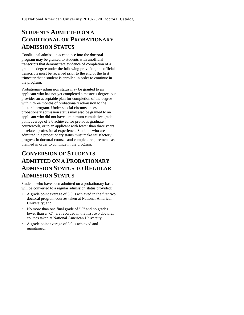# <span id="page-20-0"></span>**STUDENTS ADMITTED ON A CONDITIONAL OR PROBATIONARY ADMISSION STATUS**

Conditional admission acceptance into the doctoral program may be granted to students with unofficial transcripts that demonstrate evidence of completion of a graduate degree under the following provision; the official transcripts must be received prior to the end of the first trimester that a student is enrolled in order to continue in the program.

Probationary admission status may be granted to an applicant who has not yet completed a master's degree, but provides an acceptable plan for completion of the degree within three months of probationary admission to the doctoral program. Under special circumstances, probationary admission status may also be granted to an applicant who did not have a minimum cumulative grade point average of 3.0 achieved for previous graduate coursework, or to an applicant with fewer than three years of related professional experience. Students who are admitted in a probationary status must make satisfactory progress in doctoral courses and complete requirements as planned in order to continue in the program.

# <span id="page-20-1"></span>**CONVERSION OF STUDENTS ADMITTED ON A PROBATIONARY ADMISSION STATUS TO REGULAR ADMISSION STATUS**

Students who have been admitted on a probationary basis will be converted to a regular admission status provided:

- A grade point average of 3.0 is achieved in the first two doctoral program courses taken at National American University; and,
- No more than one final grade of "C" and no grades lower than a "C", are recorded in the first two doctoral courses taken at National American University.
- A grade point average of 3.0 is achieved and maintained.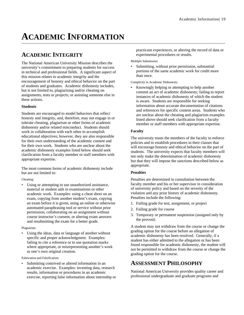# <span id="page-21-0"></span>**ACADEMIC INFORMATION**

# <span id="page-21-1"></span>**ACADEMIC INTEGRITY**

The National American University Mission describes the university's commitment to preparing students for success in technical and professional fields. A significant aspect of this mission relates to academic integrity and the encouragement of honesty and ethical behavior on the part of students and graduates. Academic dishonesty includes, but is not limited to, plagiarizing and/or cheating on assignments, tests or projects; or assisting someone else in these actions.

#### **Students**

Students are encouraged to model behaviors that reflect honesty and integrity, and, therefore, may not engage in or tolerate cheating, plagiarism or other forms of academic dishonesty and/or related misconduct. Students should work in collaboration with each other to accomplish educational objectives; however, they are also responsible for their own understanding of the academic content and for their own work. Students who are unclear about the academic dishonesty examples listed below should seek clarification from a faculty member or staff members with appropriate expertise.

The most common forms of academic dishonesty include but are not limited to:

Cheating:

Using or attempting to use unauthorized assistance, material or student aids in examinations or other academic work. Examples: using a cheat sheet on an exam, copying from another student's exam, copying an exam before it is given, using an online or otherwise automated paraphrasing tool or service without prior permission, collaborating on an assignment without course instructor's consent, or altering exam answers and resubmitting the exam for a better grade.

#### Plagiarism:

Using the ideas, data or language of another without specific and proper acknowledgment. Examples: failing to cite a reference or to use quotation marks where appropriate, or misrepresenting another's work as one's own original creation.

Fabrication and Falsification:

Submitting contrived or altered information in an academic exercise. Examples: inventing data, research results, information or procedures in an academic exercise, reporting false information about internship or practicum experiences, or altering the record of data or experimental procedures or results.

Multiple Submission:

Submitting, without prior permission, substantial portions of the same academic work for credit more than once.

Complicity in Academic Dishonesty:

Knowingly helping or attempting to help another commit an act of academic dishonesty; failing to report instances of academic dishonesty of which the student is aware. Students are responsible for seeking information about accurate documentation of citations and references for specific content areas. Students who are unclear about the cheating and plagiarism examples listed above should seek clarification from a faculty member or staff members with appropriate expertise.

#### **Faculty**

The university trusts the members of the faculty to enforce policies and to establish procedures in their classes that will encourage honesty and ethical behavior on the part of students. The university expects that faculty members will not only make the determination of academic dishonesty but that they will impose the sanctions described below as appropriate.

#### **Penalties**

Penalties are determined in consultation between the faculty member and his or her supervisor in consideration of university policy and based on the severity of the violation and any prior history of academic dishonesty. Penalties include the following:

- 1. Failing grade for test, assignment, or project
- 2. Failing grade for course
- 3. Temporary or permanent suspension (assigned only by the provost)

A student may not withdraw from the course or change the grading option for the course before an allegation of academic dishonesty has been resolved. Generally, if a student has either admitted to the allegation or has been found responsible for academic dishonesty, the student will not be permitted to withdraw from the course or change the grading option for the course.

### <span id="page-21-2"></span>**ASSESSMENT PHILOSOPHY**

National American University provides quality career and professional undergraduate and graduate programs and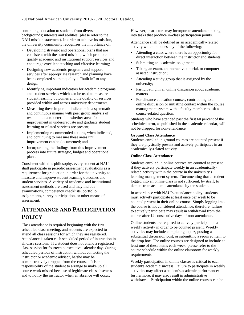continuing education to students from diverse backgrounds; interests and abilities (please refer to the NAU mission statement). In order to achieve its mission, the university community recognizes the importance of:

- Developing strategic and operational plans that are consistent with the stated mission, which promote quality academic and institutional support services and encourage excellent teaching and effective learning;
- Designing new academic programs and support services after appropriate research and planning have been completed so that quality is "built in" to any design;
- Identifying important indicators for academic programs and student services which can be used to measure student learning outcomes and the quality of services provided within and across university departments;
- Measuring these important indicators in a systematic and continuous manner with peer group analysis of resultant data to determine whether areas for improvement in undergraduate and graduate student learning or related services are present;
- Implementing recommended actions, when indicated, and continuing to measure these areas until improvement can be documented; and
- Incorporating the findings from this improvement process into future strategic, budget and operational plans.

Consistent with this philosophy, every student at NAU shall participate in periodic assessment evaluations as a requirement for graduation in order for the university to measure and improve student learning outcomes and student services. A variety of academic and institutional assessment methods are used and may include examinations, competency checklists, portfolio assignments, survey participation, or other means of assessment.

### <span id="page-22-0"></span>**ATTENDANCE AND PARTICIPATION POLICY**

Class attendance is required beginning with the first scheduled class meeting, and students are expected to attend all class sessions for which they are registered. Attendance is taken each scheduled period of instruction in all class sessions. If a student does not attend a registered class session for fourteen consecutive calendar days during scheduled periods of instruction without contacting the instructor or academic advisor, he/she may be administratively dropped from the course. It is the responsibility of the student to arrange to make up all course work missed because of legitimate class absences and to notify the instructor when an absence will occur.

However, instructors may incorporate attendance-taking into tasks that produce in-class participation points.

Attendance shall be defined as an academically-related activity which includes any of the following:

- Attending a class where there is an opportunity for direct interaction between the instructor and students;
- Submitting an academic assignment;
- Taking an exam, an interactive tutorial, or computerassisted instruction;
- Attending a study group that is assigned by the university;
- Participating in an online discussion about academic matters.
- For distance education courses, contributing to an online discussion or initiating contact within the course management system with a faculty member to ask a course-related question.

Students who have attended past the first 60 percent of the scheduled term, as published in the academic calendar, will not be dropped for non-attendance.

#### **Ground Class Attendance**

Students enrolled in ground courses are counted present if they are physically present and actively participates in an academically-related activity.

#### **Online Class Attendance**

Students enrolled in online courses are counted as present if they actively participate weekly in an academicallyrelated activity within the course in the university's learning management system. Documenting that a student logged into an online class is not sufficient, by itself, to demonstrate academic attendance by the student.

In accordance with NAU's attendance policy, students must actively participate at least once per week to be counted present in their online course. Simply logging into the course is not considered attendance; therefore, failure to actively participate may result in withdrawal from the course after 14 consecutive days of non-attendance.

Online students are required to actively participate in a weekly activity in order to be counted present. Weekly activities may include completing a quiz, posting a substantial discussion post, or submitting a required item to the drop box. The online courses are designed to include at least one of these items each week, please refer to the course schedule within the online classroom for weekly requirements.

Weekly participation in online classes is critical to each student's academic success. Failure to participate in weekly activities may affect a student's academic performance; furthermore, it may also result in administrative withdrawal. Participation within the online courses can be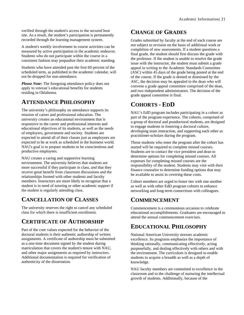verified through the student's access to the secured host site. As a result, the student's participation is permanently recorded through the learning management system.

A student's weekly involvement in course activities can be measured by active participation in the academic endeavor. Students who do not participate within the course in a consistent fashion may jeopardize their academic standing.

Students who have attended past the first 60 percent of the scheduled term, as published in the academic calendar, will not be dropped for non-attendance.

*Please Note:* The foregoing attendance policy does not apply to veteran's educational benefits for students residing in Oklahoma.

### <span id="page-23-0"></span>**ATTENDANCE PHILOSOPHY**

The university's philosophy on attendance supports its mission of career and professional education. The university creates an educational environment that is responsive to the career and professional interests and educational objectives of its students, as well as the needs of employers, government and society. Students are expected to attend all of their classes just as employees are expected to be at work as scheduled in the business world. NAU's goal is to prepare students to be conscientious and productive employees.

NAU creates a caring and supportive learning environment. The university believes that students are more successful if they participate in class, and that they receive great benefit from classroom discussions and the relationships formed with other students and faculty members. Instructors are more likely to recognize that a student is in need of tutoring or other academic support if the student is regularly attending class.

### <span id="page-23-1"></span>**CANCELLATION OF CLASSES**

The university reserves the right to cancel any scheduled class for which there is insufficient enrollment.

# <span id="page-23-2"></span>**CERTIFICATE OF AUTHORSHIP**

Part of the core values expected for the behavior of the doctoral students is their authentic authorship of written assignments. A certificate of authorship must be submitted as a one-time document signed by the student during matriculation that covers the student's tenure with NAU, and other major assignments as required by instructors. Additional documentation is required for verification of authenticity of the dissertation.

# <span id="page-23-3"></span>**CHANGE OF GRADES**

Grades submitted by faculty at the end of each course are not subject to revision on the basis of additional work or completion of new assessments. If a student questions a final grade, the student should first discuss the grade with the professor. If the student is unable to resolve the grade issue with the instructor, the student must submit a grade appeal in writing to the Academic Standards Committee (ASC) within 45 days of the grade being posted at the end of the course. If the grade is denied or dismissed by the ASC, the decision may be appealed to the dean who will convene a grade appeal committee comprised of the dean, and two independent administrators. The decision of the grade appeal committee is final.

# <span id="page-23-4"></span>**COHORTS - EDD**

NAU's EdD program includes participating in a cohort as part of the program experience. The cohorts, comprised of a group of doctoral and postdoctoral students, are designed to engage students in fostering a doctoral culture, developing team interaction, and supporting each other as practitioner-scholars during the program.

Those students who enter the program after the cohort has started will be required to complete missed courses. Students are to contact the vice president and dean to determine options for completing missed courses. All expenses for completing missed courses are the responsibility of the student. Students may visit with their finance counselor to determine funding options that may be available to assist in covering these costs.

Cohort members are urged to foster ties with one another as well as with other EdD program cohorts to enhance networking and long-term connections with colleagues.

### <span id="page-23-5"></span>**COMMENCEMENT**

Commencement is a ceremonious occasion to celebrate educational accomplishments. Graduates are encouraged to attend the annual commencement exercises.

# <span id="page-23-6"></span>**EDUCATIONAL PHILOSOPHY**

National American University stresses academic excellence. Its programs emphasize the importance of thinking rationally, communicating effectively, acting purposefully, and dealing effectively with others and with the environment. The curriculum is designed to enable students to acquire a breadth as well as a depth of knowledge.

NAU faculty members are committed to excellence in the classroom and to the challenge of nurturing the intellectual growth of students. Additionally, because of the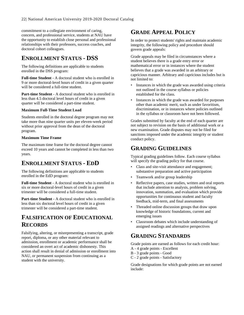commitment to a collegiate environment of caring, concern, and professional service, students at NAU have the opportunity to establish close personal and professional relationships with their professors, success coaches, and doctoral cohort colleagues.

# <span id="page-24-0"></span>**ENROLLMENT STATUS - DSS**

The following definitions are applicable to students enrolled in the DSS program:

**Full-time Student** - A doctoral student who is enrolled in 9 or more doctoral-level hours of credit in a given quarter will be considered a full-time student.

**Part-time Student** - A doctoral student who is enrolled in less than 4.5 doctoral level hours of credit in a given quarter will be considered a part-time student.

#### **Maximum Full-Time Student Load**

Students enrolled in the doctoral degree program may not take more than nine quarter units per eleven-week period without prior approval from the dean of the doctoral program.

#### **Maximum Time Frame**

The maximum time frame for the doctoral degree cannot exceed 10 years and cannot be completed in less than two years.

### <span id="page-24-1"></span>**ENROLLMENT STATUS - EDD**

The following definitions are applicable to students enrolled in the EdD program:

**Full-time Student** - A doctoral student who is enrolled in six or more doctoral-level hours of credit in a given trimester will be considered a full-time student.

**Part-time Student** - A doctoral student who is enrolled in less than six doctoral level hours of credit in a given trimester will be considered a part-time student.

# <span id="page-24-2"></span>**FALSIFICATION OF EDUCATIONAL RECORDS**

Falsifying, altering, or misrepresenting a transcript, grade report, diploma, or any other material relevant to admission, enrollment or academic performance shall be considered an overt act of academic dishonesty. This action shall result in denial of admission or enrollment into NAU, or permanent suspension from continuing as a student with the university.

# <span id="page-24-3"></span>**GRADE APPEAL POLICY**

In order to protect students' rights and maintain academic integrity, the following policy and procedure should govern grade appeals:

Grade appeals may be filed in circumstances where a student believes there is a grade entry error or mathematical error or in instances where the student believes that a grade was awarded in an arbitrary or capricious manner. Arbitrary and capricious includes but is not limited to:

- Instances in which the grade was awarded using criteria not outlined in the course syllabus or policies established for the class.
- Instances in which the grade was awarded for purposes other than academic merit, such as under favoritism, discrimination, or in instances where policies outlined in the syllabus or classroom have not been followed.

Grades submitted by faculty at the end of each quarter are not subject to revision on the basis of additional work or a new examination. Grade disputes may not be filed for sanctions imposed under the academic integrity or student conduct policy.

## <span id="page-24-4"></span>**GRADING GUIDELINES**

Typical grading guidelines follow. Each course syllabus will specify the grading policy for that course.

- Class and site-visit attendance and engagement; substantive preparation and active participation
- Teamwork and/or group leadership
- Reflective papers, case studies, written and oral reports that include attention to analysis, problem solving, innovation, summation, and evaluation which provide opportunities for continuous student and faculty feedback, mid-term, and final assessments
- Threaded online discussion groups that draw upon knowledge of historic foundations, current and emerging issues
- Classroom debates which include understanding of assigned readings and alternative perspectives

# <span id="page-24-5"></span>**GRADING STANDARDS**

Grade points are earned as follows for each credit hour:

- A 4 grade points Excellent
- B 3 grade points Good
- C 2 grade points Satisfactory

Grade designations for which grade points are not earned include: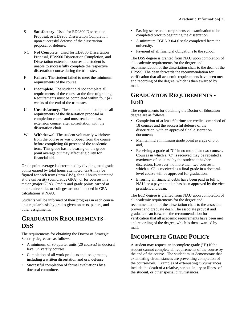- S **Satisfactory**. Used for ED9800 Dissertation Proposal, or ED9900 Dissertation Completion upon successful defense of the dissertation proposal or defense.
- NC **Not Complete**. Used for ED9800 Dissertation Proposal, ED9900 Dissertation Completion, and Dissertation extension courses if a student is unable to successfully complete the respective dissertation course during the trimester.
- F **Failure**. The student failed to meet the minimum requirements of the course.
- I **Incomplete**. The student did not complete all requirements of the course at the time of grading. Requirements must be completed within four (4) weeks of the end of the trimester.
- U **Unsatisfactory.** The student did not complete all requirements of the dissertation proposal or completion course and must retake the last extension course, after consultation with the dissertation chair.
- W **Withdrawal**. The student voluntarily withdrew from the course or was dropped from the course before completing 60 percent of the academic term. This grade has no bearing on the grade point average but may affect eligibility for financial aid.

Grade point average is determined by dividing total grade points earned by total hours attempted. GPA may be figured for each term (term GPA), for all hours attempted at the university (cumulative GPA), or for courses in a major (major GPA). Credits and grade points earned at other universities or colleges are not included in GPA calculations at NAU.

Students will be informed of their progress in each course on a regular basis by grades given on tests, papers, and other assignments.

### <span id="page-25-0"></span>**GRADUATION REQUIREMENTS - DSS**

The requirements for obtaining the Doctor of Strategic Security degree are as follows:

- A minimum of 90 quarter units (20 courses) in doctoral level university courses.
- Completion of all work products and assignments, including a written dissertation and oral defense.
- Successful completion of formal evaluations by a doctoral committee.
- Passing score on a comprehensive examination to be completed prior to beginning the dissertation
- A minimum CGPA 3.0/4.0 scale completed from the university.
- Payment of all financial obligations to the school.

The DSS degree is granted from NAU upon completion of all academic requirements for the degree and recommendation of the dissertation chair to the dean of the HPSSS. The dean forwards the recommendation for verification that all academic requirements have been met and recording of the degree, which is then awarded by mail.

## <span id="page-25-1"></span>**GRADUATION REQUIREMENTS - EDD**

The requirements for obtaining the Doctor of Education degree are as follows:

- Completion of at least 60 trimester-credits comprised of 18 courses and the successful defense of the dissertation, with an approved final dissertation document;
- Maintaining a minimum grade point average of 3.0; and,
- Receiving a grade of "C" in no more than two courses. Courses in which a "C" is received may be repeated a maximum of one time by the student at his/her discretion. However, no more than two courses in which a "C" is received as a final grade in a doctorallevel course will be approved for graduation.
- Ensuring all financial debts have been paid in full to NAU, or a payment plan has been approved by the vice president and dean.

The EdD degree is granted from NAU upon completion of all academic requirements for the degree and recommendation of the dissertation chair to the associate provost and graduate dean. The associate provost and graduate dean forwards the recommendation for verification that all academic requirements have been met and recording of the degree, which is then awarded by mail.

# <span id="page-25-2"></span>**INCOMPLETE GRADE POLICY**

A student may request an incomplete grade ("I") if the student cannot complete all requirements of the course by the end of the course. The student must demonstrate that extenuating circumstances are preventing completion of the coursework. Examples of extenuating circumstances include the death of a relative, serious injury or illness of the student, or other special circumstances.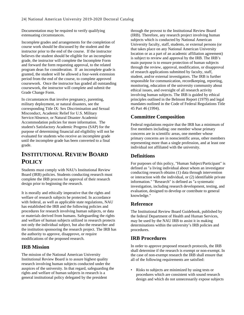Documentation may be required to verify qualifying extenuating circumstances.

Incomplete grades and arrangements for the completion of course work should be discussed by the student and the instructor prior to the end of the course. If the instructor believes the student should be eligible for an incomplete grade, the instructor will complete the Incomplete Form and forward the form requesting approval, to the related program dean for consideration. If an incomplete grade is granted, the student will be allowed a four-week extension period from the end of the course, to complete approved coursework. Once the instructor has graded all outstanding coursework, the instructor will complete and submit the Grade Change Form.

In circumstances that involve pregnancy, parenting, military deployment, or natural disasters, see the corresponding Title IX: Sex Discrimination and Sexual Misconduct, Academic Relief for U.S. Military Service/Absence, or Natural Disaster Academic Accommodation policies for more information. The student's Satisfactory Academic Progress (SAP) for the purpose of determining financial aid eligibility will not be evaluated for students who receive an incomplete grade until the incomplete grade has been converted to a final grade.

## <span id="page-26-0"></span>**INSTITUTIONAL REVIEW BOARD POLICY**

Students must comply with NAU's Institutional Review Board (IRB) policies. Students conducting research must complete the IRB process for approval of their research design prior to beginning the research.

It is morally and ethically imperative that the rights and welfare of research subjects be protected. In accordance with federal, as well as applicable state regulations, NAU has established the IRB and the following policies and procedures for research involving human subjects, or data or materials derived from humans. Safeguarding the rights and welfare of human subjects utilized in research protects not only the individual subject, but also the researcher and the institution sponsoring the research project. The IRB has the authority to approve, disapprove, or require modifications of the proposed research.

#### <span id="page-26-1"></span>**IRB Mission**

The mission of the National American University Institutional Review Board is to assure highest quality research involving human subjects conducted under the auspices of the university. In that regard, safeguarding the rights and welfare of human subjects in research is a general institutional policy delegated by the president

through the provost to the Institutional Review Board (IRB). Therefore, any research project involving human subjects which is conducted by National American University faculty, staff, students, or external persons (or that takes place on any National American University location or as a part of an academic affiliation agreement) is subject to review and approval by the IRB. The IRB's main purpose is to ensure protection of human subjects through the review, approval, modification, or disapproval of research applications submitted by faculty, staff, student, and/or external investigators. The IRB is further responsible for communication, recordkeeping, reporting, monitoring, education of the university community about ethical issues, and oversight of all research activity involving human subjects. The IRB is guided by ethical principles outlined in the Belmont Report (1979) and legal mandates outlined in the Code of Federal Regulations Title 45 Part 46 (1994).

### <span id="page-26-2"></span>**Committee Composition**

Federal regulations require that the IRB has a minimum of five members including: one member whose primary concerns are in scientific areas, one member whose primary concerns are in nonscientific areas, other members representing more than a single profession, and at least one individual not affiliated with the university.

### <span id="page-26-3"></span>**Definitions**

For purposes of this policy, "Human Subject/Participant" is defined as "a living individual about whom an investigator conducting research obtains (1) data through intervention or interaction with the individual, or (2) identifiable private information." "Research" is defined as "a systematic investigation, including research development, testing, and evaluation, designed to develop or contribute to general knowledge."

#### <span id="page-26-4"></span>**Reference**

The Institutional Review Board Guidebook, published by the federal Department of Health and Human Services, may be used by the NAU IRB to assist it in making determinations within the university's IRB policies and procedures.

### <span id="page-26-5"></span>**IRB Procedures**

In order to approve proposed research protocols, the IRB shall determine if the research is exempt or non-exempt. In the case of non-exempt research the IRB shall ensure that all of the following requirements are satisfied:

• Risks to subjects are minimized by using tests or procedures which are consistent with sound research design and which do not unnecessarily expose subjects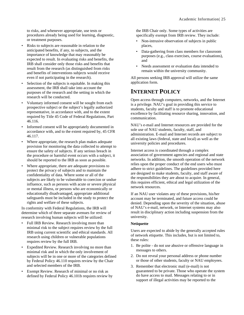to risks, and whenever appropriate, use tests or procedures already being used for learning, diagnostic, or treatment purposes.

- Risks to subjects are reasonable in relation to the anticipated benefits, if any, to subjects, and the importance of knowledge that may reasonably be expected to result. In evaluating risks and benefits, the IRB shall consider only those risks and benefits that result from the research (as distinguished from risks and benefits of interventions subjects would receive even if not participating in the research).
- Selection of the subjects is equitable. In making this assessment, the IRB shall take into account the purposes of the research and the setting in which the research will be conducted.
- Voluntary informed consent will be sought from each prospective subject or the subject's legally authorized representative, in accordance with, and to the extent required by Title 45 Code of Federal Regulations, Part 46.116.
- Informed consent will be appropriately documented in accordance with, and to the extent required by, 45 CFR 46.117.
- Where appropriate, the research plan makes adequate provision for monitoring the data collected to attempt to ensure the safety of subjects. If any serious breach in the procedure or harmful event occurs with a subject, it should be reported to the IRB as soon as possible.
- Where appropriate, there are adequate provisions to protect the privacy of subjects and to maintain the confidentiality of data. Where some or all of the subjects are likely to be vulnerable to coercion or undue influence, such as persons with acute or severe physical or mental illness, or persons who are economically or educationally disadvantaged, appropriate additional safeguards must be included in the study to protect the rights and welfare of these subjects.

In conformity with Federal Regulations, the IRB will determine which of three separate avenues for review of research involving human subjects will be utilized:

- Full IRB Review. Research involving more than minimal risk to the subject requires review by the full IRB using current scientific and ethical standards. All research using children or vulnerable populations requires review by the full IRB.
- Expedited Review. Research involving no more than minimal risk and in which the only involvement of subjects will be in one or more of the categories defined by Federal Policy 46.110 requires review by the Chair and selected members of the IRB.
- Exempt Review. Research of minimal or no risk as defined by Federal Policy 46.101b requires review by

the IRB Chair only. Some types of activities are specifically exempt from IRB review. They include:

- Non-intrusive observation of subjects in public places,
- Data-gathering from class members for classroom purposes (e.g., class exercises, course evaluations), and
- Needs assessment or evaluation data intended to remain within the university community.

All persons seeking IRB approval will utilize the same application form.

# <span id="page-27-0"></span>**INTERNET POLICY**

Open access through computers, networks, and the Internet is a privilege. NAU's goal in providing this service to students, faculty and staff is to promote educational excellence by facilitating resource sharing, innovation, and communication.

NAU's e-mail and Internet resources are provided for the sole use of NAU students, faculty, staff, and administration. E-mail and Internet records are subject to all existing laws (federal, state and local) as well as the university policies and procedures.

Internet access is coordinated through a complex association of government agencies and regional and state networks. In addition, the smooth operation of the network relies upon the proper conduct of the end users who must adhere to strict guidelines. The guidelines provided here are designed to make students, faculty, and staff aware of the responsibilities they are about to acquire. In general, this requires efficient, ethical and legal utilization of the network resources.

If an NAU user violates any of these provisions, his/her account may be terminated, and future access could be denied. Depending upon the severity of the situation, abuse of NAU's e-mail, network, or Internet systems may also result in disciplinary action including suspension from the university.

#### **Netiquette**

Users are expected to abide by the generally accepted rules of network etiquette. This includes, but is not limited to, these rules:

- 1. Be polite do not use abusive or offensive language in messages to others.
- 2. Do not reveal your personal address or phone number or those of other students, faculty or NAU employees.
- 3. Remember that electronic mail (e-mail) is not guaranteed to be private. Those who operate the system do have access to mail. Messages relating to or in support of illegal activities may be reported to the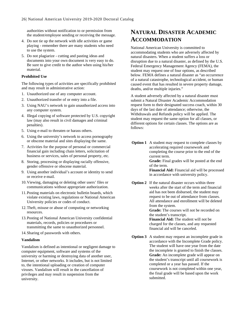authorities without notification to or permission from the student/employee sending or receiving the message.

- 4. Do not tie up the network with idle activities or game playing - remember there are many students who need to use the system.
- 5. Do not plagiarize cutting and pasting ideas and documents into your own document is very easy to do. Be sure to give credit to the author when using his/her material.

#### **Prohibited Use**

The following types of activities are specifically prohibited and may result in administrative action:

- 1. Unauthorized use of any computer account.
- 2. Unauthorized transfer of or entry into a file.
- 3. Using NAU's network to gain unauthorized access into any computer system.
- 4. Illegal copying of software protected by U.S. copyright law (may also result in civil damages and criminal penalties).
- 5. Using e-mail to threaten or harass others.
- 6. Using the university's network to access pornography or obscene material and sites displaying the same.
- 7. Activities for the purpose of personal or commercial financial gain including chain letters, solicitation of business or services, sales of personal property, etc.
- 8. Storing, processing or displaying racially offensive, gender offensive or obscene material.
- 9. Using another individual's account or identity to send or receive e-mail.
- 10.Viewing, damaging or deleting other users' files or communications without appropriate authorization.
- 11.Posting materials on electronic bulletin boards, which violate existing laws, regulations or National American University policies or codes of conduct.
- 12.Theft, misuse or abuse of computing or networking resources.
- 13.Posting of National American University confidential materials, records, policies or procedures or transmitting the same to unauthorized personnel.
- 14.Sharing of passwords with others.

#### **Vandalism**

Vandalism is defined as intentional or negligent damage to computer equipment, software and systems of the university or harming or destroying data of another user, Internet, or other networks. It includes, but is not limited to, the intentional uploading or creation of computer viruses. Vandalism will result in the cancellation of privileges and may result in suspension from the university.

## <span id="page-28-0"></span>**NATURAL DISASTER ACADEMIC ACCOMMODATION**

National American University is committed to accommodating students who are adversely affected by natural disasters. When a student suffers a loss or disruption due to a natural disaster, as defined by the U.S. Federal Emergency Management Agency (FEMA), the student may request one of four options, as described below. FEMA defines a natural disaster as "an occurrence of a natural catastrophe, technological accident, or human caused event that has resulted in severe property damage, deaths, and/or multiple injuries."

A student adversely affected by a natural disaster must submit a Natural Disaster Academic Accommodation request form to their designated success coach, within 30 days of the last date of attendance; otherwise, the Withdrawals and Refunds policy will be applied. The student may request the same option for all classes, or different options for certain classes. The options are as follows:

**Option 1** A student may request to complete classes by accelerating required coursework and completing the course prior to the end of the current term.

**Grade:** Final grades will be posted at the end of the term.

**Financial Aid:** Financial aid will be processed in accordance with university policy.

**Option 2** If the natural disaster occurs within three weeks after the start of the term and financial aid has not been disbursed, the student may request to be out of attendance from classes. All attendance and enrollment will be deleted from the system. **Grade:** The courses will not be recorded on

the student's transcript. **Financial Aid:** The student will not be

charged for the classes, and any requested financial aid will be canceled.

**Option 3** A student may request an incomplete grade in accordance with the Incomplete Grade policy. The student will have one year from the date the incomplete is granted to finish the classes. **Grade:** An incomplete grade will appear on the student's transcript until all coursework is completed or a year has passed. If the coursework is not completed within one year, the final grade will be based upon the work submitted.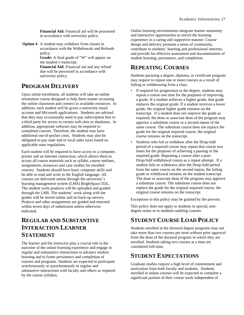**Financial Aid:** Financial aid will be processed in accordance with university policy.

**Option 4** A student may withdraw from classes in accordance with the Withdrawals and Refunds policy.

> **Grade:** A final grade of "W" will appear on the student's transcript.

> **Financial Aid:** Financial aid and any refund due will be processed in accordance with university policy.

## <span id="page-29-0"></span>**PROGRAM DELIVERY**

Upon initial enrollment, all students will take an online orientation course designed to help them master accessing the online classroom and connect to available resources. In addition, each student will be given a university email account and Microsoft applications. Students are advised that they may occasionally need to pay subscription fees to a third party for access to certain web sites or databases. In addition, appropriate software may be required to completed courses. Therefore, the student may have additional out-of-pocket costs. Students may also be obligated to pay state and or local sales taxes based on applicable state regulations.

Each student will be required to have access to a computer, printer and an Internet connection, which allows them to access all course materials such as syllabi, course outlines, assignments, resources and case studies for enrolled courses. Students should have basic computer skills and be able to read and write in the English language. All courses are delivered online through the university's learning management system (LMS) BrightSpace D2L. The student work products will be uploaded and graded through the LMS. The students' work along with the grades will be stored online and on back-up servers. Projects and other assignments are graded and returned within seven days of submission unless otherwise indicated.

# <span id="page-29-1"></span>**REGULAR AND SUBSTANTIVE INTERACTION LEARNER STATEMENT**

The learner and the instructor play a crucial role in the outcome of the online learning experience and engage in regular and substantive interactions to advance student learning and to foster persistence and completion of courses and programs. Students are expected to participate synchronously or asynchronously in regular and substantive interactions with faculty and others as required by the course syllabus.

Online learning environments integrate learner autonomy and interactive opportunities to enrich the learning experience in a caring and supportive manner. Course design and delivery promote a sense of community, contribute to students' learning and professional interests, and provide for effective assessment and documentation of student learning, persistence, and completion.

# <span id="page-29-2"></span>**REPEATING COURSES**

Students pursuing a degree, diploma, or certificate program may request to repeat one or more courses as a result of failing or withdrawing from a class.

- If required for progression to the degree, students may repeat a course one time for the purposes of improving a grade. If a student achieves a higher grade, that grade replaces the original grade. If a student receives a lower grade, the original higher grade remains on the transcript. If a student does not improve the grade as required, the dean or associate dean of the program may approve a substitute course or a second repeat of the same course. The substitute course does not replace the grade for the original required course; the original course remains on the transcript.
- Students who fail or withdraw after the Drop/Add period of a required course may repeat that course two times for the purposes of achieving a passing or the required grade. Repeating a course after a post-Drop/Add withdrawal counts as a repeat attempt. If a student fails or withdraws after the Drop/Add period from the same course on the second repeat, the failing grade or withdrawal remains on the student transcript. The dean or associate dean of the program may approve a substitute course. The substitute course does not replace the grade for the original required course; the original course remains on the transcript.

Exceptions to this policy may be granted by the provost.

This policy does not apply to students in special, nondegree status or to students auditing courses.

# <span id="page-29-3"></span>**STUDENT COURSE LOAD POLICY**

Students enrolled in the doctoral degree programs may not take more than two courses per term without prior approval from the dean of the doctoral program in which they are enrolled. Students taking two courses at a time are considered full-time.

### <span id="page-29-4"></span>**STUDENT EXPECTATIONS**

Graduate studies require a high level of commitment and motivation from both faculty and students. Students enrolled in online courses will be expected to complete a significant portion of their course work independent of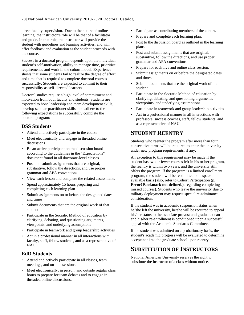direct faculty supervision. Due to the nature of online learning, the instructor's role will be that of a facilitator and guide. In that role, the instructor will provide the student with guidelines and learning activities, and will offer feedback and evaluation as the student proceeds with the course.

Success in a doctoral program depends upon the individual student's self-motivation, ability to manage time, prioritize requirements, and work in the cohort model. Experience shows that some students fail to realize the degree of effort and time that is required to complete doctoral courses successfully. Students are expected to commit to their responsibility as self-directed learners.

Doctoral studies require a high level of commitment and motivation from both faculty and students. Students are expected to hone leadership and team development skills, develop scholar-practitioner skills, and adhere to the following expectations to successfully complete the doctoral program:

### <span id="page-30-0"></span>**DSS Students**

- Attend and actively participate in the course
- Meet electronically and engage in threaded online discussions
- Be an active participant on the discussion board according to the guidelines in the "Expectations" document found in all doctorate-level classes
- Post and submit assignments that are original, substantive, follow the directions, and use proper grammar and APA conventions
- View each lesson and complete the related assessments
- Spend approximately 15 hours preparing and completing each learning plan
- Submit assignments on or before the designated dates and times
- Submit documents that are the original work of that student
- Participate in the Socratic Method of education by clarifying, debating, and questioning arguments, viewpoints, and underlying assumptions
- Participate in teamwork and group leadership activities
- Act in a professional manner in all interactions with faculty, staff, fellow students, and as a representative of NAU.

#### <span id="page-30-1"></span>**EdD Students**

- Attend and actively participate in all classes, team meetings, and on-line sessions.
- Meet electronically, in person, and outside regular class hours to prepare for team debates and to engage in threaded online discussions.
- Participate as contributing members of the cohort.
- Prepare and complete each learning plan.
- Post to the discussion board as outlined in the learning plans.
- Post and submit assignments that are original, substantive, follow the directions, and use proper grammar and APA conventions.
- Prepare for each live and online class session.
- Submit assignments on or before the designated dates and times.
- Submit documents that are the original work of the student.
- Participate in the Socratic Method of education by clarifying, debating, and questioning arguments, viewpoints, and underlying assumptions.
- Participate in teamwork and group leadership activities.
- Act in a professional manner in all interactions with professors, success coaches, staff, fellow students, and as a representative of NAU.

## <span id="page-30-2"></span>**STUDENT REENTRY**

Students who reenter the program after more than four consecutive terms will be required to enter the university under new program requirements, if any.

An exception to this requirement may be made if the student has two or fewer courses left in his or her program, the reentry is within two years, and the university still offers the program. If the program is a limited enrollment program, the student will be readmitted on a space available basis (also, refer to Cohort Participation (p. **Error! Bookmark not defined.**), regarding completing missed courses). Students who leave the university due to military deployment may request special re-admittance consideration.

If the student was in academic suspension status when he/she left the university, he/she will be required to appeal his/her status to the associate provost and graduate dean and his/her re-enrollment is conditioned upon a successful appeal with the Academic Standards Committee.

If the student was admitted on a probationary basis, the student's academic progress will be evaluated to determine acceptance into the graduate school upon reentry.

### <span id="page-30-3"></span>**SUBSTITUTION OF INSTRUCTORS**

National American University reserves the right to substitute the instructor of a class without notice.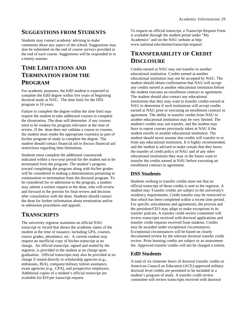### <span id="page-31-0"></span>**SUGGESTIONS FROM STUDENTS**

Students may contact academic advising to make comments about any aspect of the school. Suggestions may also be submitted on the end of course surveys provided at the end of each course. Suggestions will be responded to in a timely manner.

# <span id="page-31-1"></span>**TIME LIMITATIONS AND TERMINATION FROM THE PROGRAM**

For academic purposes, the EdD student is expected to complete the EdD degree within five years of beginning doctoral study at NAU. The time limit for the DSS program is 10 years.

Failure to complete the degree within the time limit may require the student to take additional courses to complete the dissertation. The dean will determine if any courses need to be retaken for program relevance at the time of review. If the dean does not validate a course or courses, the student must retake the appropriate course(s) as part of his/her program of study to complete the degree. The student should contact financial aid to discuss financial aid restrictions regarding time limitations.

Students must complete the additional coursework indicated within a two-year period for the student not to be terminated from the program. The student's progress toward completing the program along with his/her grades will be considered in making a determination pertaining to continuation or termination from the doctoral program. To be considered for re-admission to the program, a student may submit a written request to the dean, who will review and forward to the provost for final review and decision after consultation with the dean. Students should contact the dean for further information about termination and/or re-admission procedures and appeals.

### <span id="page-31-2"></span>**TRANSCRIPTS**

The university registrar maintains an official NAU transcript or record that shows the academic status of the student at the time of issuance, including GPA, courses, course grades, attendance, etc. A current student may request an unofficial copy of his/her transcript at no charge. An official transcript, signed and sealed by the registrar, is provided to the student at no charge upon graduation. Official transcripts may also be provided at no charge if issued directly to scholarship agencies (e.g., embassies, BIA), company/military tuition assistance, exam agencies (e.g., CPA), and prospective employers. Additional copies of a student's official transcript are available for \$10 per transcript request.

To request an official transcript, a Transcript Request Form is available through the student portal under "My Academics" and on the NAU website at http: www.national.edu/alumni/transcript-request/.

# <span id="page-31-3"></span>**TRANSFERABILITY OF CREDIT DISCLOSURE**

Credits earned at NAU may not transfer to another educational institution. Credits earned at another educational institution may not be accepted by NAU. The student should obtain confirmation that NAU will accept any credits earned at another educational institution before the student executes an enrollment contract or agreement. The student should also contact any educational institutions that they may want to transfer credits earned at NAU to determine if such institutions will accept credits earned at NAU prior to executing an enrollment contract or agreement. The ability to transfer credits from NAU to another educational institution may be very limited. The student's credits may not transfer, and the student may have to repeat courses previously taken at NAU if the student enrolls in another educational institution. The student should never assume that credits will transfer to or from any educational institution. It is highly recommended, and the student is advised to make certain that they know the transfer of credit policy of NAU and of any other educational institutions they may in the future want to transfer the credits earned at NAU before executing an enrollment contract or agreement.

### <span id="page-31-4"></span>**DSS Students**

Students wishing to transfer credits must see that an official transcript of those credits is sent to the registrar. A student may Transfer credits are subject to the university's residency requirements. Credit transfer may be restricted to that which has been completed within a recent time period. For specific articulations and agreements, the provost and the president/CEO may adapt or make exceptions to its transfer policies. A transfer credit review committee will review transcripts received with doctoral applications and transfer credit requests received from students. Credits may be awarded under exceptional circumstances. Exceptional circumstances will be based on clearly documented review by the relevant doctoral transfer credit review. Prior learning credits are subject to an assessment fee. Approved transfer credits will not be charged a tuition.

### <span id="page-31-5"></span>**EdD Students**

A total of six trimester hours of doctoral transfer credits or American Council on Education (ACE)-approved military doctoral level credits are permitted to be included in a student's program of study. A transfer credit review committee will review transcripts received with doctoral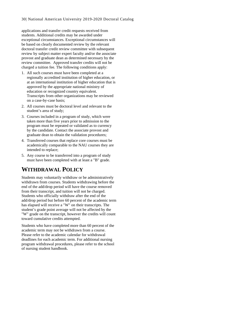applications and transfer credit requests received from students. Additional credits may be awarded under exceptional circumstances. Exceptional circumstances will be based on clearly documented review by the relevant doctoral transfer credit review committee with subsequent review by subject matter expert faculty and/or the associate provost and graduate dean as determined necessary by the review committee. Approved transfer credits will not be charged a tuition fee. The following conditions apply:

- 1. All such courses must have been completed at a regionally accredited institution of higher education, or at an international institution of higher education that is approved by the appropriate national ministry of education or recognized country equivalent. Transcripts from other organizations may be reviewed on a case-by-case basis;
- 2. All courses must be doctoral level and relevant to the student's area of study;
- 3. Courses included in a program of study, which were taken more than five years prior to admission to the program must be repeated or validated as to currency by the candidate. Contact the associate provost and graduate dean to obtain the validation procedures;
- 4. Transferred courses that replace core courses must be academically comparable to the NAU courses they are intended to replace;
- 5. Any course to be transferred into a program of study must have been completed with at least a "B" grade.

# <span id="page-32-0"></span>**WITHDRAWAL POLICY**

Students may voluntarily withdraw or be administratively withdrawn from courses. Students withdrawing before the end of the add/drop period will have the course removed from their transcript, and tuition will not be charged. Students who officially withdraw after the end of the add/drop period but before 60 percent of the academic term has elapsed will receive a "W" on their transcripts. The student's grade point average will not be affected by the "W" grade on the transcript, however the credits will count toward cumulative credits attempted.

Students who have completed more than 60 percent of the academic term may not be withdrawn from a course. Please refer to the academic calendar for withdrawal deadlines for each academic term. For additional nursing program withdrawal procedures, please refer to the school of nursing student handbook.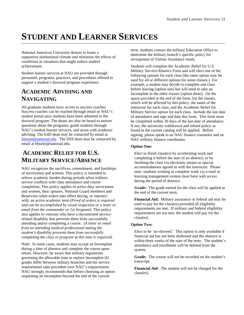# <span id="page-33-0"></span>**STUDENT AND LEARNER SERVICES**

National American University desires to foster a supportive institutional climate and minimize the effects of conditions or situations that might reduce student achievement.

Student learner services at NAU are provided through personnel, programs, practices, and procedures offered to support a student's doctoral program experience.

# <span id="page-33-1"></span>**ACADEMIC ADVISING AND NAVIGATING**

All graduate students have access to success coaches. Success coaches can be reached through email or NAU's student portal once students have been admitted to the doctoral program. The deans are also on board to answer questions about the programs, guide students through NAU's student learner services, and assist with academic advising. The EdD dean may be contacted by email at [fmoore@national.edu.](mailto:fmoore@national.edu) The DSS dean may be contacted by email at bburke@national.edu.

# <span id="page-33-2"></span>**ACADEMIC RELIEF FOR U.S. MILITARY SERVICE/ABSENCE**

NAU recognizes the sacrifices, commitment, and hardships of servicemen and women. This policy is intended to relieve academic burden during periods when military service conflicts with class attendance and course completion. This policy applies to active duty servicemen and women, their spouses, National Guard members and Reservists when orders take effect during, or intersect with, an active academic term *(Proof of orders is required and can be accomplished by visual inspection or a letter or email from the commander or 1st Sergeant)*. This policy also applies to veterans who have a documented servicerelated disability that prevents them from successfully attending and/or completing a course. *(A letter or email from an attending medical professional stating the student's disability prevents them from successfully completing the class or program at this time is required).* 

Note: In some cases, students may accept an Incomplete during a time of absence and complete the course upon return. However, be aware that military regulations governing the allowable time to replace Incomplete (I) grades differ between military branches and the service requirements take precedent over NAU's requirements. NAU strongly recommends that before choosing an option requesting an incomplete beyond the end of the current

term, students contact the military Education Office to determine the military branch's specific policy for recoupment of Tuition Assistance funds.

Students will complete the Academic Relief for U.S. Military Service/Absence Form and will elect one of the following options for each class (the same option may be used for all or different options for some classes.) For example, a student may decide to complete one class before leaving [option one] but will need to take an incomplete in the other classes [option three]. On the space provided at the end of the form, list the classes, which will be affected by this policy, the name of the instructor for each class, and the Academic Relief for Military Service option for each class. Include the last date of attendance and sign and date this form. This form must be completed within 30 days of the last date of attendance. If not, the university withdrawal and refund policy as found in the current catalog will be applied. Before signing, please speak to an NAU finance counselor and an NAU military finance coordinator.

#### **Option One:**

Elect to finish class(es) by accelerating work and completing it before the start of an absence, or by finishing the class via electronic means or special accommodations agreed to with the instructor. Please note: students wishing to complete work via e-mail or learning management system must have web access during the period of absence.

**Grade:** The grade earned for the class will be applied at the end of the current term.

**Financial Aid:** Military assistance or federal aid may be used to pay for the class(es) provided all eligibility requirements are met. If military and federal eligibility requirements are not met, the student will pay for the class(es).

#### **Option Two:**

Elect to be 'no-showed.' This option is only available if financial aid has not been disbursed and the absence is within three weeks of the start of the term. The student's attendance and enrollment will be deleted from the system.

**Grade:** The course will not be recorded on the student's transcript.

**Financial Aid:** The student will not be charged for the class(es).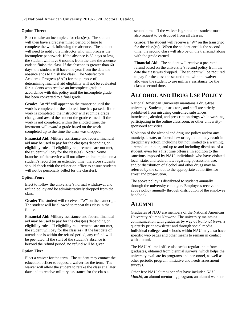#### **Option Three:**

Elect to take an incomplete for class(es). The student will then have a predetermined period of time to complete the work following the absence. The student will need to notify the instructor who will process the incomplete paperwork. If the absence is 60 days or less, the student will have 6 months from the date the absence ends to finish the class. If the absence is greater than 60 days, the student will have one year from the date the absence ends to finish the class. The Satisfactory Academic Progress (SAP) for the purpose of determining financial aid eligibility will not be evaluated for students who receive an incomplete grade in accordance with this policy until the incomplete grade has been converted to a final grade.

**Grade:** An "I" will appear on the transcript until the work is completed or the allotted time has passed. If the work is completed, the instructor will submit a grade change and award the student the grade earned. If the work is not completed within the allotted time, the instructor will award a grade based on the work completed up to the time the class was dropped.

**Financial Aid:** Military assistance and federal financial aid may be used to pay for the class(es) depending on eligibility rules. If eligibility requirements are not met, the student will pay for the class(es). **Note:** Some branches of the service will not allow an incomplete on a student's record for an extended time, therefore students should check with the education office to ensure students will not be personally billed for the class(es).

#### **Option Four:**

Elect to follow the university's normal withdrawal and refund policy and be administratively dropped from the class.

**Grade:** The student will receive a "W" on the transcript. The student will be allowed to repeat this class in the future.

**Financial Aid:** Military assistance and federal financial aid may be used to pay for the class(es) depending on eligibility rules. If eligibility requirements are not met, the student will pay for the class(es) If the last date of attendance is within the refund period, any refund will be pro-rated. If the start of the student's absence is beyond the refund period, no refund will be given.

#### **Option Five:**

Elect a waiver for the term. The student may contact the education officer to request a waiver for the term. The waiver will allow the student to retake the class at a later date and to receive military assistance for the class a

second time. If the waiver is granted the student must also request to be dropped from all classes.

**Grade:** The student will receive a "W" on the transcript for the class(es). When the student enrolls the second time, the second class will also be on the transcript along with the grade earned.

**Financial Aid:** The student will receive a pro-rated refund based on the university's refund policy from the date the class was dropped. The student will be required to pay for the class the second time with the waiver allowing the student to use military assistance for the class a second time.

### <span id="page-34-0"></span>**ALCOHOL AND DRUG USE POLICY**

National American University maintains a drug-free university. Students, instructors, and staff are strictly prohibited from misusing controlled substances, intoxicants, alcohol, and prescription drugs while working, participating in the online classroom, or other universitysponsored activities.

Violation of the alcohol and drug use policy and/or any municipal, state, or federal law or regulation may result in disciplinary action, including but not limited to a warning, a remediation plan, and up to and including dismissal of a student, even for a first time offense. In addition to the sanctions imposed by NAU, individuals who have violated local, state, and federal law regarding possession, use, and/or distribution of alcohol and other drugs may be referred by the school to the appropriate authorities for arrest and prosecution.

The above policy is distributed to students annually through the university catalogue. Employees receive the above policy annually through distribution of the employee handbook.

### <span id="page-34-1"></span>**ALUMNI**

Graduates of NAU are members of the National American University Alumni Network. The university maintains communication with graduates by way of *National News*, a quarterly print newsletter and through social media. Individual colleges and schools within NAU may also have specific web pages and other means to remain in contact with alumni.

The NAU Alumni office also seeks regular input from graduates, obtained from biennial surveys, which helps the university evaluate its programs and personnel, as well as other periodic program, initiative and needs assessment surveys.

Other free NAU alumni benefits have included *NAU Match!*, an alumni mentoring program; an alumni webinar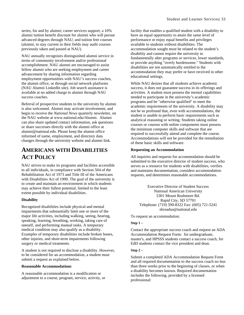series, for and by alumni; career services support; a 10% alumni tuition benefit discount for alumni who will pursue advanced degrees through NAU; and tuition free courses (alumni, to stay current in their fields may audit courses previously taken and passed at NAU).

NAU annually recognizes distinguished alumni service in terms of community involvement and/or professional accomplishment. NAU alumni are encouraged to assist fellow alumni who are seeking employment and career advancement by sharing information regarding employment opportunities with NAU's success coaches, the alumni office, or through social network platforms (NAU Alumni LinkedIn site). Job search assistance is available at no added charge to alumni through NAU success coaches.

Referral of prospective students to the university by alumni is also welcomed. Alumni may activate involvement, and begin to receive the *National News* quarterly newsletter, on the NAU website at www.national.edu/Alumni. Alumni can also share updated contact information, ask questions or share successes directly with the alumni office at alumni@national.edu. Please keep the alumni office informed of name, employment, and directory data changes through the university website and alumni link.

## <span id="page-35-0"></span>**AMERICANS WITH DISABILITIES ACT POLICY**

NAU strives to make its programs and facilities accessible to all individuals, in compliance with Section 504 of the Rehabilitation Act of 1973 and Title III of the Americans with Disabilities Act of 1990. The goal of the university is to create and maintain an environment in which students may achieve their fullest potential, limited to the least extent possible by individual disabilities.

#### **Disability**

Recognized disabilities include physical and mental impairments that substantially limit one or more of the major life activities, including walking, seeing, hearing, speaking, learning, breathing, working, taking care of oneself, and performing manual tasks. A temporary medical condition may also qualify as a disability. Examples of temporary disabilities include broken bones, other injuries, and short-term impairments following surgery or medical treatments.

A student is not required to disclose a disability. However, to be considered for an accommodation, a student must submit a request as explained below.

#### **Reasonable Accommodations**

A reasonable accommodation is a modification or adjustment to a course, program, service, activity, or facility that enables a qualified student with a disability to have an equal opportunity to attain the same level of performance or enjoy equal benefits and privileges available to students without disabilities. The accommodation sought must be related to the student's disability and cannot require the university to fundamentally alter programs or services, lower standards, or provide anything "overly burdensome." Students with disabilities are not automatically entitled to the accommodation they may prefer or have received in other educational settings.

While NAU desires that all students achieve academic success, it does not guarantee success in its offerings and activities. A student must possess the mental capabilities needed to participate in the university's academic programs and be "otherwise qualified" to meet the academic requirements of the university. A disability may not be so profound that, even with accommodations, the student is unable to perform basic requirements such as analytical reasoning or writing. Students taking online courses or courses with online components must possess the minimum computer skills and software that are required to successfully attend and complete the course. Accommodations will not be provided for the remediation of these basic skills and software.

#### **Requesting an Accommodation**

All inquiries and requests for accommodation should be submitted to the executive director of student success, who serves as a resource for students with disabilities, verifies and maintains documentation, considers accommodation requests, and determines reasonable accommodations.

Executive Director of Student Success National American University 5301 Mount Rushmore Rd. Rapid City, SD 57701 Telephone: (719) 590-8322 Fax: (605) 721-5241 sbroadus@national.edu

To request an accommodation:

#### **Step 1 –**

Contact the appropriate success coach and request an ADA Accommodation Request Form: for undergraduate, master's, and HPSSS students contact a success coach, for EdD students contact the vice president and dean.

#### **Step 2 –**

Submit a completed ADA Accommodation Request Form and all required documentation to the success coach no less than three weeks prior to the beginning of classes, or when a disability becomes known. Required documentation includes the following, provided by a licensed professional: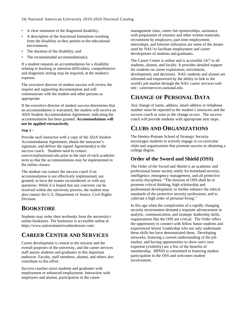- A clear statement of the diagnosed disability;
- A description of the functional limitations resulting from the disability as they pertain to the educational environment;
- The duration of the disability; and
- The recommended accommodation(s).

If a student requests an accommodation for a disability relating to learning or attention difficulties, comprehensive and diagnostic testing may be required, at the student's expense.

The executive director of student success will review the request and supporting documentation and will communicate with the student and other persons as appropriate.

If the executive director of student success determines that an accommodation is warranted, the student will receive an ADA Student Accommodation Agreement, indicating the accommodation has been granted. **Accommodations will not be applied retroactively.**

### **Step 3 –**

Provide each instructor with a copy of the ADA Student Accommodation Agreement, obtain the instructor's signature, and deliver the signed Agreement(s) to the success coach. Students need to contact uservices@national.edu prior to the start of each academic term so that the accommodations may be implemented in the online classes.

The student can contact the success coach if an accommodation is not effectively implemented, not granted, to have the matter reconsidered, or with any questions. While it is hoped that any concerns can be resolved within the university process, the student may also contact the U.S. Department of Justice, Civil Rights Division.

# **BOOKSTORE**

Students may order their textbooks from the university's online bookstore. The bookstore is accessible online at https://www.nationalamericanbookstore.com/.

# **CAREER CENTER AND SERVICES**

Career development is central to the mission and the overall purposes of the university, and the career services staff assists students and graduates in this important endeavor. Faculty, staff members, alumni, and others also contribute to this effort.

Success coaches assist students and graduates with employment or enhanced employment. Interaction with employers and alumni, participation in the career

management class, career fair sponsorships, assistance with preparation of resumes and other written materials, recruitment by employers, part-time employment, internships, and Internet utilization are some of the means used by NAU to facilitate employment and career development of students and graduates.

The Career Center is online and is accessible 24/7 to all students, alumni, and faculty. It provides detailed support for students on career exploration, enrichment, development, and decisions. NAU students and alumni are informed and empowered by the ability to link to the world's job market through the NAU career services web site: careerservices.national.edu.

# **CHANGE OF PERSONAL DATA**

Any change of name, address, email address or telephone number must be reported to the student's instructor and the success coach as soon as the change occurs. The success coach will provide students with appropriate next steps.

# **CLUBS AND ORGANIZATIONS**

The Henley-Putnam School of Strategic Security encourages students to actively engage in co-curricular clubs and organizations that promote success in obtaining a college degree.

### **Order of the Sword and Shield (OSS)**

The Order of the Sword and Shield is an academic and professional honor society solely for homeland security, intelligence, emergency management, and all protective security disciplines: "The mission of OSS shall be to promote critical thinking, high scholarship and professional development; to further enhance the ethical standards of the protective security professions; and to cultivate a high order of personal living."

In this age when the complexities of a rapidly changing security environment demand a requisite advancement in analytic, communication, and strategic leadership skills, organizations like the OSS are critical. The Order offers the opportunity to connect with fellow honor students and experienced Senior Leadership who not only understand these skills but have demonstrated them. Developing networks, fostering a current understanding of the job market, and having opportunities to show one's own expertise (visibility) are a few of the benefits of membership. HPSSS is committed to fostering student participation in the OSS and welcomes student involvement.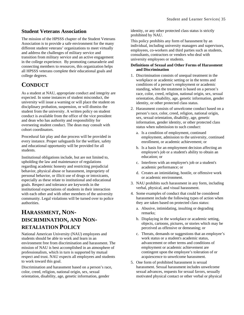### **Student Veterans Association**

The mission of the HPSSS chapter of the Student Veterans Association is to provide a safe environment for the many different student veterans' organizations to meet virtually and address the challenges of military service and transition from military service and an active engagement in the college experience. By promoting camaraderie and connecting members to resources, this organization helps all HPSSS veterans complete their educational goals and college degrees.

# **CONDUCT**

As a student at NAU, appropriate conduct and integrity are expected. In some instances of student misconduct, the university will issue a warning or will place the student on disciplinary probation, suspension, or will dismiss the student from the university. A written policy on student conduct is available from the office of the vice president and dean who has authority and responsibility for overseeing student conduct. The dean may consult with cohort coordinators.

Procedural fair play and due process will be provided in every instance. Proper safeguards for the welfare, safety and educational opportunity will be provided for all students.

Institutional obligations include, but are not limited to, upholding the law and maintenance of regulations regarding academic honesty and restricting prejudicial behavior, physical abuse or harassment, impropriety of personal behavior, or illicit use of drugs or intoxicants, especially as these relate to institutional and educational goals. Respect and tolerance are keywords in the institutional expectations of students in their interaction with each other and with other members of the university community. Legal violations will be turned over to police authorities.

# **HARASSMENT, NON-DISCRIMINATION, AND NON-RETALIATION POLICY**

National American University (NAU) employees and students should be able to work and learn in an environment free from discrimination and harassment. The mission of NAU is best accomplished in an atmosphere of professionalism, which in turn is supported by mutual respect and trust. NAU expects all employees and students to work toward this goal.

Discrimination and harassment based on a person's race, color, creed, religion, national origin, sex, sexual orientation, disability, age, genetic information, gender

identity, or any other protected class status is strictly prohibited by NAU.

This policy prohibits any form of harassment by an individual, including university managers and supervisors, employees, co-workers and third parties such as students, consultants, contractors or vendors who deal with university employees or students.

### **Definitions of Sexual and Other Forms of Harassment and Discrimination**

- 1. Discrimination consists of unequal treatment in the workplace or academic setting or in the terms and conditions of a person's employment or academic standing, when the treatment is based on a person's race, color, creed, religion, national origin, sex, sexual orientation, disability, age, genetic information, gender identity, or other protected class status.
- 2. Harassment consists of unwelcome conduct based on a person's race, color, creed, religion, national origin, sex, sexual orientation, disability, age, genetic information, gender identity, or other protected class status when submission to such conduct:
	- a. Is a condition of employment, continued employment, admission to the university, continued enrollment, or academic achievement; or
	- b. Is a basis for an employment decision affecting an employee's job or a student's ability to obtain an education; or
	- c. Interferes with an employee's job or a student's academic performance; or
	- d. Creates an intimidating, hostile, or offensive work or academic environment.
- 3. NAU prohibits such harassment in any form, including verbal, physical, and visual harassment.
- 4. Some examples of conduct that could be considered harassment include the following types of action when they are taken based on protected class status:
	- a. Abusive, intimidating, insulting or degrading remarks;
	- b. Displaying in the workplace or academic setting, objects, cartoons, pictures, or stories which may be perceived as offensive or demeaning; or
	- c. Threats, demands or suggestions that an employee's work status or a student's academic status, advancement or other terms and conditions of employment or academic achievement are contingent upon the employee's toleration of or acquiescence to unwelcome harassment.
- 5. One form of prohibited harassment is sexual harassment. Sexual harassment includes unwelcome sexual advances, requests for sexual favors, sexually motivated physical contact or other verbal or physical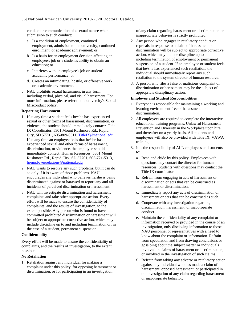conduct or communication of a sexual nature when submission to such conduct:

- a. Is a condition of employment, continued employment, admission to the university, continued enrollment, or academic achievement; or
- b. Is a basis for an employment decision affecting an employee's job or a student's ability to obtain an education; or
- c. Interferes with an employee's job or student's academic performance; or
- d. Creates an intimidating, hostile, or offensive work or academic environment.
- 6. NAU prohibits sexual harassment in any form, including verbal, physical, and visual harassment. For more information, please refer to the university's Sexual Misconduct policy.

### **Reporting Harassment**

- 1. If at any time a student feels he/she has experienced sexual or other forms of harassment, discrimination, or violence, the student should immediately contact: Title IX Coordinator, 5301 Mount Rushmore Rd., Rapid City, SD 57701, 605-809-8511[, TitleIX@national.edu.](mailto:TitleIX@national.edu) If at any time an employee feels that he/she has experienced sexual and other forms of harassment, discrimination, or violence, the employee should immediately contact: Human Resources, 5301 Mount Rushmore Rd., Rapid City, SD 57701, 605-721-5313, [hremployeerelations@national.edu](mailto:hremployeerelations@national.edu)
- 2. NAU wants to resolve any such problems, but it can do so only if it is aware of those problems. NAU encourages any individual who believes he/she is being discriminated against or harassed to report any and all incidents of perceived discrimination or harassment.
- 3. NAU will investigate discrimination and harassment complaints and take other appropriate action. Every effort will be made to ensure the confidentiality of complaints, and the results of investigation, to the extent possible. Any person who is found to have committed prohibited discrimination or harassment will be subject to appropriate corrective action, which may include discipline up to and including termination or, in the case of a student, permanent suspension.

#### **Confidentiality**

Every effort will be made to ensure the confidentiality of complaints, and the results of investigation, to the extent possible.

#### **No Retaliation**

1. Retaliation against any individual for making a complaint under this policy, for opposing harassment or discrimination, or for participating in an investigation

of any claim regarding harassment or discrimination or inappropriate behavior is strictly prohibited.

- 2. Any person who engages in retaliatory conduct or reprisals in response to a claim of harassment or discrimination will be subject to appropriate corrective action, which may include discipline up to and including termination of employment or permanent suspension of a student. If an employee or student feels that he/she has experienced such retaliation, the individual should immediately report any such retaliation to the system director of human resource.
- 3. A person who files a false or malicious complaint of discrimination or harassment may be the subject of appropriate disciplinary action.

### **Employee and Student Responsibilities**

- 1. Everyone is responsible for maintaining a working and learning environment free of harassment and discrimination.
- 2. All employees are required to complete the interactive educational training programs, Unlawful Harassment Prevention and Diversity in the Workplace upon hire and thereafter on a yearly basis. All students and employees will also be provided with Title IX, VAWA training.
- 3. It is the responsibility of ALL employees and students to:
	- a. Read and abide by this policy. Employees with questions may contact the director for human resources. Students with questions may contact the Title IX coordinator.
	- b. Refrain from engaging in acts of harassment or discrimination or acts that can be construed as harassment or discrimination.
	- c. Immediately report any acts of discrimination or harassment or acts that can be construed as such.
	- d. Cooperate with any investigation regarding discrimination, harassment, or inappropriate conduct.
	- e. Maintain the confidentiality of any complaint or information received or provided in the course of an investigation, only disclosing information to those NAU personnel or representatives with a need to know about the complaint or information. Refrain from speculation and from drawing conclusions or gossiping about the subject matter or individuals involved in claims of harassment or discrimination, or involved in the investigation of such claims.
	- f. Refrain from taking any adverse or retaliatory action against any individual who has made a claim of harassment, opposed harassment, or participated in the investigation of any claim regarding harassment or inappropriate behavior.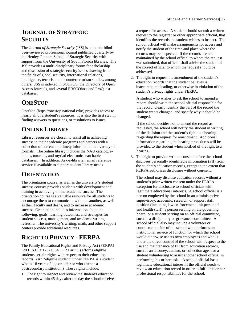# **JOURNAL OF STRATEGIC SECURITY**

The *Journal of Strategic Security* (JSS) is a double-blind peer-reviewed professional journal published quarterly by the Henley-Putnam School of Strategic Security with support from the University of South Florida libraries. The JSS provides a multi-disciplinary forum for scholarship and discussion of strategic security issues drawing from the fields of global security, international relations, intelligence, terrorism and counterterrorism studies, among others. JSS is indexed in SCOPUS, the Directory of Open Access Journals, and several EBSCOhost and ProQuest databases.

# **ONESTOP**

OneStop (https://onestop.national.edu/) provides access to nearly all of a student's resources. It is also the first step in finding answers to questions, or resolutions to issues.

# **ONLINE LIBRARY**

Library resources are chosen to assist all in achieving success in their academic programs and careers with a collection of current and timely information in a variety of formats. The online library includes the NAU catalog, ebooks, tutorials, and myriad electronic searchable databases. In addition, Ask-a-librarian email reference service is available to support student library needs.

## **ORIENTATION**

The orientation course, as well as the university's student success courses provides students with development and training in achieving online academic success. The orientation course is a valuable resource for all students to encourage them to communicate with one another, as well as their faculty and deans, and to increase academic success. Orientation includes information about the following: goals, learning outcomes, and strategies for student success, management, and academic writing refresher. The university's writing, math, and other support centers provide additional resources.

# **RIGHT TO PRIVACY - FERPA**

The Family Educational Rights and Privacy Act (FERPA) (20 U.S.C. § 1232g; 34 CFR Part 99) affords eligible students certain rights with respect to their education records. (An "eligible student" under FERPA is a student who is 18 years of age or older or who attends a postsecondary institution.) These rights include:

1. The right to inspect and review the student's education records within 45 days after the day the school receives a request for access. A student should submit a written request to the registrar or other appropriate official, that identifies the records the student wishes to inspect. The school official will make arrangements for access and notify the student of the time and place where the records may be inspected. If the records are not maintained by the school official to whom the request was submitted, that official shall advise the student of the correct official to whom the request should be addressed.

2. The right to request the amendment of the student's education records that the student believes is inaccurate, misleading, or otherwise in violation of the student's privacy rights under FERPA.

A student who wishes to ask the school to amend a record should write the school official responsible for the record, clearly identify the part of the record the student wants changed, and specify why it should be changed.

If the school decides not to amend the record as requested, the school will notify the student in writing of the decision and the student's right to a hearing re-garding the request for amendment. Additional information regarding the hearing procedures will be provided to the student when notified of the right to a hearing.

3. The right to provide written consent before the school discloses personally identifiable information (PII) from the student's education records, except to the extent that FERPA authorizes disclosure without con-sent.

The school may disclose education records without a student's prior written consent under the FERPA exception for disclosure to school officials with legitimate educational interests. A school official is a person employed by the school in an administrative, supervisory, academic, research, or support staff position (including law en-forcement unit personnel and health staff); a person serving on the governing board; or a student serving on an official committee, such as a disciplinary or grievance com-mittee. A school official also may include a volunteer or contractor outside of the school who performs an institutional service of function for which the school would otherwise use its own employees and who is under the direct control of the school with respect to the use and maintenance of PII from education records, such as an attorney, auditor, or collection agent or a student volunteering to assist another school official in performing his or her tasks. A school official has a legitimate educational interest if the official needs to review an educa-tion record in order to fulfill his or her professional responsibilities for the school.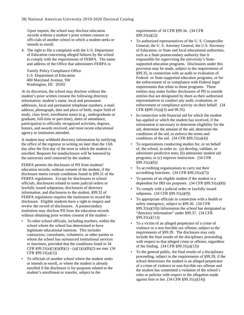Upon request, the school may disclose education records without a student's prior written consent to offi-cials of another school in which a student seeks or intends to enroll.

4. The right to file a complaint with the U.S. Department of Education concerning alleged failures by the school to comply with the requirements of FERPA. The name and address of the Office that administers FERPA is:

Family Policy Compliance Office U.S. Department of Education 400 Maryland Avenue, SW Washington, DC 20202

At its discretion, the school may disclose without the student's prior written consent the following directory information: student's name, local and permanent addresses, local and permanent telephone numbers, e-mail address, photograph, date and place of birth, major field of study, class level, enrollment status (e.g., undergraduate or graduate, full-time or part-time), dates of attendance, participation in officially recognized activities, degrees, honors, and awards received, and most recent educational agency or institution attended.

A student may withhold directory information by notifying the office of the registrar in writing no later than the 15th day after the first day of the term in which the student is enrolled. Requests for nondisclosure will be honored by the university until removed by the student.

FERPA permits the disclosure of PII from students' education records, without consent of the student, if the disclosure meets certain conditions found in §99.31 of the FERPA regulations. Except for disclosures to school officials, disclosures related to some judicial orders or lawfully issued subpoenas, disclosures of directory information, and disclosures to the student, §99.32 of FERPA regulations requires the institution to record the disclosure. Eligible students have a right to inspect and review the record of disclosures. A postsecondary institution may disclose PII from the education records without obtaining prior written consent of the student –

- To other school officials, including teachers, within the school whom the school has determined to have legitimate educational interests. This includes contractors, consultants, volunteers, or other parties to whom the school has outsourced institutional services or functions, provided that the conditions listed in 34 CFR  $§99.31(a)(1)(i)(B)(1) - (a)(1)(i)(B)(2)$  are met. (34 CFR §99.31(a)(1))
- To officials of another school where the student seeks or intends to enroll, or where the student is already enrolled if the disclosure is for purposes related to the student's enrollment or transfer, subject to the

requirements of 34 CFR §99.34. (34 CFR §99.31(a)(2))

- To authorized representatives of the U. S. Comptroller General, the U. S. Attorney General, the U.S. Secretary of Education, or State and local educational authorities, such as a State postsecondary authority that is responsible for supervising the university's Statesupported education programs. Disclosures under this provision may be made, subject to the requirements of §99.35, in connection with an audit or evaluation of Federal- or State-supported education programs, or for the enforcement of or compliance with Federal legal requirements that relate to those programs. These entities may make further disclosures of PII to outside entities that are designated by them as their authorized representatives to conduct any audit, evaluation, or enforcement or compliance activity on their behalf. (34 CFR §§99.31(a)(3) and 99.35)
- In connection with financial aid for which the student has applied or which the student has received, if the information is necessary to determine eligibility for the aid, determine the amount of the aid, determine the conditions of the aid, or enforce the terms and conditions of the aid.  $(34 \text{ CFR } \S 99.31(a)(4))$
- To organizations conducting studies for, or on behalf of, the school, in order to: (a) develop, validate, or administer predictive tests; (b) administer student aid programs; or (c) improve instruction. (34 CFR §99.31(a)(6))
- To accrediting organizations to carry out their accrediting functions. (34 CFR §99.31(a)(7))
- To parents of an eligible student if the student is a dependent for IRS tax purposes. (34 CFR §99.31(a)(8))
- To comply with a judicial order or lawfully issued subpoena. (34 CFR §99.31(a)(9))
- To appropriate officials in connection with a health or safety emergency, subject to §99.36. (34 CFR  $§99.31(a)(10)$ ) Information the school has designated as "directory information" under §99.37. (34 CFR §99.31(a)(11))
- To a victim of an alleged perpetrator of a crime of violence or a non-forcible sex offense, subject to the requirements of §99.39. The disclosure may only include the final results of the disciplinary proceeding with respect to that alleged crime or offense, regardless of the finding. (34 CFR §99.31(a)(13))
- To the general public, the final results of a disciplinary proceeding, subject to the requirements of §99.39, if the school determines the student is an alleged perpetrator of a crime of violence or non-forcible sex offense and the student has committed a violation of the school's rules or policies with respect to the allegation made against him or her. (34 CFR §99.31(a)(14))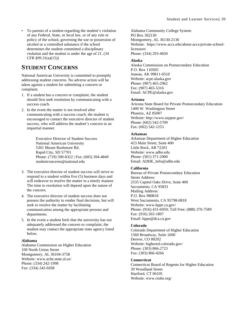• To parents of a student regarding the student's violation of any Federal, State, or local law, or of any rule or policy of the school, governing the use or possession of alcohol or a controlled substance if the school determines the student committed a disciplinary violation and the student is under the age of 21. (34 CFR §99.31(a)(15))

# **STUDENT CONCERNS**

National American University is committed to promptly addressing student concerns. No adverse action will be taken against a student for submitting a concern or complaint.

- 1. If a student has a concern or complaint, the student should first seek resolution by communicating with a success coach.
- 2. In the event the matter is not resolved after communicating with a success coach, the student is encouraged to contact the executive director of student success, who will address the student's concern in an impartial manner.

Executive Director of Student Success National American University 5301 Mount Rushmore Rd. Rapid City, SD 57701 Phone: (719) 590-8322 | Fax: (605) 394-4849 studentconcerns@national.edu

- 3. The executive director of student success will strive to respond to a student within five (5) business days and will endeavor to resolve the matter in a timely manner. The time to resolution will depend upon the nature of the concern.
- 4. The executive director of student success does not possess the authority to render final decisions, but will seek to resolve the matter by facilitating communication among the appropriate persons and departments.
- 5. In the event a student feels that the university has not adequately addressed the concern or complaint, the student may contact the appropriate state agency listed below.

### **Alabama**

Alabama Commission on Higher Education 100 North Union Street Montgomery, AL 36104-3758 Website: www.ache.state.al.us/ Phone: (334) 242-1998 Fax: (334) 242-0268

Alabama Community College System PO Box 302130 Montgomery, AL 36130-2130 Website: https://www.accs.edu/about-accs/private-schoollicensure/ Phone: (334) 293-4650

### **Alaska**

Alaska Commission on Postsecondary Education P.O. Box 110505 Juneau, AK 99811-0510 Website: acpe.alaska.gov Phone: (907) 465-2962 Fax: (907) 465-5316 Email: ACPE@alaska.gov

### **Arizona**

Arizona State Board for Private Postsecondary Education 1400 W. Washington Street Phoenix, AZ 85007 Website: http://www.azppse.gov/ Phone: (602) 542-5709 Fax: (602) 542-1253

### **Arkansas**

Arkansas Department of Higher Education 423 Main Street, Suite 400 Little Rock, AR 72201 Website: www.adhe.edu Phone: (501) 371-2000 Email: ADHE\_Info@adhe.edu

### **California**

Bureau of Private Postsecondary Education Street Address: 2535 Capitol Oaks Drive, Suite 400 Sacramento, CA 95833 Mailing Address: P.O. Box 980818 West Sacramento, CA 95798-0818 Website: www.bppe.ca.gov/ Phone: (916) 431-6959; Toll Free: (888) 370-7589 Fax: (916) 263-1897 Email: bppe@dca.ca.gov

### **Colorado**

Colorado Department of Higher Education 1560 Broadway, Suite 1600 Denver, CO 80202 Website: highered.colorado.gov/ Phone: (303) 866-2723 Fax: (303) 866-4266

#### **Connecticut**

Connecticut Board of Regents for Higher Education 39 Woodland Street Hartford, CT 06105 Website: www.ctohe.org/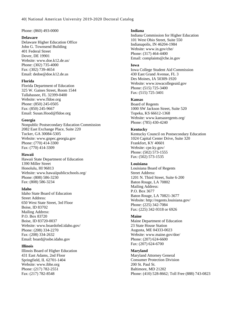#### Phone: (860) 493-0000

#### **Delaware**

Delaware Higher Education Office John G. Townsend Building 401 Federal Street Dover, DE 19901 Website: www.doe.k12.de.us/ Phone: (302) 735-4000 Fax: (302) 739-4654 Email: dedoe@doe.k12.de.us

#### **Florida**

Florida Department of Education 325 W. Gaines Street, Room 1544 Tallahassee, FL 32399-0400 Website: www.fldoe.org Phone: (850) 245-0505 Fax: (850) 245-9667 Email: Susan.Hood@fldoe.org

#### **Georgia**

Nonpublic Postsecondary Education Commission 2082 East Exchange Place, Suite 220 Tucker, GA 30084-5305 Website: www.gnpec.georgia.gov Phone: (770) 414-3300 Fax: (770) 414-3309

#### **Hawaii**

Hawaii State Department of Education 1390 Miller Street Honolulu, HI 96813 Website: www.hawaiipublicschools.org/ Phone: (808) 586-3230 Fax: (808) 586-3234

#### **Idaho**

Idaho State Board of Education Street Address: 650 West State Street, 3rd Floor Boise, ID 83702 Mailing Address: P.O. Box 83720 Boise, ID 83720-0037 Website: www.boardofed.idaho.gov/ Phone: (208) 334-2270 Fax: (208) 334-2632 Email: board@osbe.idaho.gov

#### **Illinois**

Illinois Board of Higher Education 431 East Adams, 2nd Floor Springfield, IL 62701-1404 Website: www.ibhe.org Phone: (217) 782-2551 Fax: (217) 782-8548

#### **Indiana**

Indiana Commission for Higher Education 101 West Ohio Street, Suite 550 Indianapolis, IN 46204-1984 Website: www.in.gov/che/ Phone: (317) 464-4400 Email: complaints@che.in.gov

#### **Iowa**

Iowa College Student Aid Commission 430 East Grand Avenue, FL 3 Des Moines, IA 50309-1920 Website: www.iowacollegeaid.gov Phone: (515) 725-3400 Fax: (515) 725-3401

#### **Kansas**

Board of Regents 1000 SW Jackson Street, Suite 520 Topeka, KS 66612-1368 Website: www.kansasregents.org/ Phone: (785) 430-4240

#### **Kentucky**

Kentucky Council on Postsecondary Education 1024 Capital Center Drive, Suite 320 Frankfort, KY 40601 Website: cpe.ky.gov/ Phone: (502) 573-1555 Fax: (502) 573-1535

#### **Louisiana**

Louisiana Board of Regents Street Address: 1201 N. Third Street, Suite 6-200 Baton Rouge, LA 70802 Mailing Address: P.O. Box 3677 Baton Rouge, LA 70821-3677 Website: http://regents.louisiana.gov/ Phone: (225) 342-7084 Fax: (225) 342-9318 or 6926

#### **Maine**

Maine Department of Education 23 State House Station Augusta, ME 04333-0023 Website: www.maine.gov/doe/ Phone: (207) 624-6600 Fax: (207) 624-6700

#### **Maryland**

Maryland Attorney General Consumer Protection Division 200 St. Paul St. Baltimore, MD 21202 Phone: (410) 528-8662; Toll Free (888) 743-0823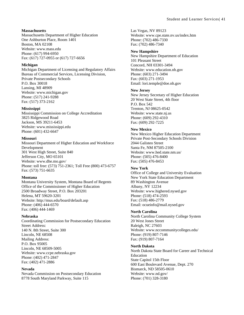### **Massachusetts**

Massachusetts Department of Higher Education One Ashburton Place, Room 1401 Boston, MA 02108 Website: www.mass.edu Phone: (617) 994-6950 Fax: (617) 727-0955 or (617) 727-6656

### **Michigan**

Michigan Department of Licensing and Regulatory Affairs Bureau of Commercial Services, Licensing Division, Private Postsecondary Schools P.O. Box 30018 Lansing, MI 48909 Website: www.michigan.gov Phone: (517) 241-9288 Fax: (517) 373-2162

### **Mississippi**

Mississippi Commission on College Accreditation 3825 Ridgewood Road Jackson, MS 39211-6453 Website: www.mississippi.edu Phone: (601) 432-6647

### **Missouri**

Missouri Department of Higher Education and Workforce Development 301 West High Street, Suite 840 Jefferson City, MO 65101 Website: www.dhe.mo.gov/ Phone: toll free: (573) 751-2361; Toll Free (800) 473-6757 Fax: (573) 751-6635

### **Montana**

Montana University System, Montana Board of Regents Office of the Commissioner of Higher Education 2500 Broadway Street, P.O. Box 203201 Helena, MT 59620-3201 Website: http://mus.edu/board/default.asp Phone: (406) 444-6570 Fax: (406) 444-1469

### **Nebraska**

Coordinating Commission for Postsecondary Education Street Address: 140 N. 8th Street, Suite 300 Lincoln, NE 68508 Mailing Address: P.O. Box 95005 Lincoln, NE 68509-5005 Website: www.ccpe.nebraska.gov Phone: (402) 471-2847 Fax: (402) 471-2886

### **Nevada**

Nevada Commission on Postsecondary Education 8778 South Maryland Parkway, Suite 115

Las Vegas, NV 89123 Website: www.cpe.state.nv.us/index.htm Phone: (702) 486-7330 Fax: (702) 486-7340

### **New Hampshire**

New Hampshire Department of Education 101 Pleasant Street Concord, NH 03301-3494 Website: www.education.nh.gov Phone: (603) 271-3494 Fax: (603) 271-1953 Email: lori.temple@doe.nh.gov

#### **New Jersey**

New Jersey Secretary of Higher Education 20 West State Street, 4th floor P.O. Box 542 Trenton, NJ 08625-0542 Website: www.state.nj.us Phone: (609) 292-4310 Fax: (609) 292-7225

### **New Mexico**

New Mexico Higher Education Department Private Post-Secondary Schools Division 2044 Galisteo Street Santa Fe, NM 87505-2100 Website: www.hed.state.nm.us/ Phone: (505) 476-8400 Fax: (505) 476-8453

### **New York**

Office of College and University Evaluation New York State Education Department 89 Washington Avenue Albany, NY 12234 Website: www.highered.nysed.gov Phone: (518) 474-2593 Fax: (518) 486-2779 Email: ocueinfo@mail.nysed.gov

### **North Carolina**

North Carolina Community College System 20 West Jones Street Raleigh, NC 27603 Website: www.nccommunitycolleges.edu/ Phone: (919) 807-7146 Fax: (919) 807-7164

### **North Dakota**

North Dakota State Board for Career and Technical Education State Capitol 15th Floor 600 East Boulevard Avenue, Dept. 270 Bismarck, ND 58505-0610 Website: www.nd.gov/ Phone: (701) 328-3180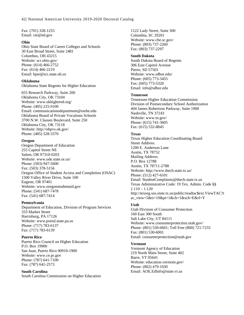Fax: (701) 328-1255 Email: cte@nd.gov

#### **Ohio**

Ohio State Board of Career Colleges and Schools 30 East Broad Street, Suite 2481 Columbus, OH 43215 Website: scr.ohio.gov/ Phone: (614) 466-2752 Fax: (614) 466-2219 Email: bpsr@scr.state.oh.us

#### **Oklahoma**

#### Oklahoma State Regents for Higher Education

655 Research Parkway, Suite 200 Oklahoma City, OK 73104 Website: www.okhighered.org/ Phone: (405) 225-9100 Email: communicationsdepartment@osrhe.edu Oklahoma Board of Private Vocations Schools 3700 N.W. Classen Boulevard, Suite 250 Oklahoma City, OK 73118 Website: http://obpvs.ok.gov/ Phone: (405) 528-3370

### **Oregon**

Oregon Department of Education 255 Capitol Street NE Salem, OR 97310-0203 Website: www.ode.state.or.us/ Phone: (503) 947-5600 Fax: (503) 378-5156 Oregon Office of Student Access and Completion (OSAC) 1500 Valley River Drive, Suite 100 Eugene, OR 97401 Website: www.oregonstudentaid.gov Phone: (541) 687-7478 Fax: (541) 687-7414

#### **Pennsylvania**

Department of Education, Division of Program Services 333 Market Street Harrisburg, PA 17126 Website: www.portal.state.pa.us Phone: (717) 783-6137 Fax: (717) 783-6139

#### **Puerto Rico**

Puerto Rico Council on Higher Education P.O. Box 19900 San Juan, Puerto Rico 00910-1900 Website: www.ce.pr.gov Phone: (787) 641-7100 Fax: (787) 641-2573

#### **South Carolina**

South Carolina Commission on Higher Education

1122 Lady Street, Suite 300 Columbia, SC 29201 Website: www.che.sc.gov/ Phone: (803) 737-2260 Fax: (803) 737-2297

#### **South Dakota**

South Dakota Board of Regents 306 East Capitol Avenue Pierre, SD 57501 Website: www.sdbor.edu/ Phone: (605) 773-3455 Fax: (605) 773-5320 Email: info@sdbor.edu

#### **Tennessee**

Tennessee Higher Education Commission Division of Postsecondary School Authorization 404 James Robertson Parkway, Suite 1900 Nashville, TN 37243 Website: www.tn.gov/ Phone: (615) 741-3605 Fax: (615) 532-8845

#### **Texas**

Texas Higher Education Coordinating Board Street Address: 1200 E. Anderson Lane Austin, TX 78752 Mailing Address: P.O. Box 12788 Austin, TX 78711-2788 Website: http://www.thecb.state.tx.us/ Phone: (512) 427-6101 Email: StudentComplaints@thecb.state.tx.us Texas Administrative Code: 19 Tex. Admin. Code §§ 1.110 – 1.120 http://texreg.sos.state.tx.us/public/readtac\$ext.ViewTAC?t ac\_view=5&ti=19&pt=1&ch=1&sch=E&rl=Y

#### **Utah**

Utah Division of Consumer Protection 160 East 300 South Salt Lake City, UT 84111 Website: www.consumerprotection.utah.gov/ Phone: (801) 530-6601; Toll Free (800) 721-7233 Fax: (801) 530-6001 Email: consumerprotection@utah.gov

#### **Vermont**

Vermont Agency of Education 219 North Main Street, Suite 402 Barre, VT 05641 Website: education.vermont.gov/ Phone: (802) 479-1030 Email: AOE.EdInfo@state.vt.us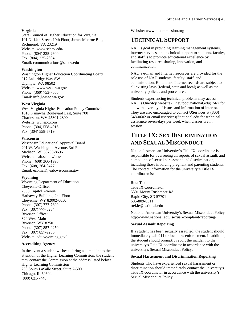### **Virginia**

State Council of Higher Education for Virginia 101 N. 14th Street, 10th Floor, James Monroe Bldg. Richmond, VA 23219 Website: www.schev.edu/ Phone: (804) 225-2600 Fax: (804) 225-2604 Email: communications@schev.edu

### **Washington**

Washington Higher Education Coordinating Board 917 Lakeridge Way SW Olympia, WA 98502 Website: www.wsac.wa.gov Phone: (360) 753-7800 Email: info@wsac.wa.gov

### **West Virginia**

West Virginia Higher Education Policy Commission 1018 Kanawha Boulevard East, Suite 700 Charleston, WV 25301-2800 Website: wvhepc.com Phone: (304) 558-4016 Fax: (304) 558-5719

### **Wisconsin**

Wisconsin Educational Approval Board 201 W. Washington Avenue, 3rd Floor Madison, WI 53708-8696 Website: eab.state.wi.us/ Phone: (608) 266-1996 Fax: (608) 264-8477 Email: eabmail@eab.wisconsin.gov

### **Wyoming**

Wyoming Department of Education Cheyenne Office: 2300 Capitol Avenue Hathaway Building, 2nd Floor Cheyenne, WY 82002-0050 Phone: (307) 777-7690 Fax: (307) 777-6234 Riverton Office: 320 West Main Riverton, WY 82501 Phone: (307) 857-9250 Fax: (307) 857-9256 Website: edu.wyoming.gov/

### **Accrediting Agency**

In the event a student wishes to bring a complaint to the attention of the Higher Learning Commission, the student may contact the Commission at the address listed below. Higher Learning Commission 230 South LaSalle Street, Suite 7-500 Chicago, IL 60604 (800) 621-7440

Website: www.hlcommission.org

# **TECHNICAL SUPPORT**

NAU's goal in providing learning management systems, internet services, and technical support to students, faculty, and staff is to promote educational excellence by facilitating resource sharing, innovation, and communication.

NAU's e-mail and Internet resources are provided for the sole use of NAU students, faculty, staff, and administration. E-mail and Internet records are subject to all existing laws (federal, state and local) as well as the university policies and procedures.

Students experiencing technical problems may access NAU's OneStop website (OneStop@national.edu) 24/7 for aid with a variety of issues and information of interest. They are also encouraged to contact UServices at (800) 548-0602 or email uservices@national.edu for technical assistance seven-days per week when classes are in session.

# **TITLE IX: SEX DISCRIMINATION AND SEXUAL MISCONDUCT**

National American University's Title IX coordinator is responsible for overseeing all reports of sexual assault, and complaints of sexual harassment and discrimination, including those involving pregnant and parenting students. The contact information for the university's Title IX coordinator is:

Ruta Tekle Title IX Coordinator 5301 Mount Rushmore Rd. Rapid City, SD 57701 605-809-8511 rtekle@national.edu

National American University's Sexual Misconduct Policy http://www.national.edu/ sexual-complaint-reporting/

### **Sexual Assault Reporting**

If a student has been sexually assaulted, the student should immediately call 911 or local law enforcement. In addition, the student should promptly report the incident to the university's Title IX coordinator in accordance with the university's Sexual Misconduct Policy.

### **Sexual Harassment and Discrimination Reporting**

Students who have experienced sexual harassment or discrimination should immediately contact the university's Title IX coordinator in accordance with the university's Sexual Misconduct Policy.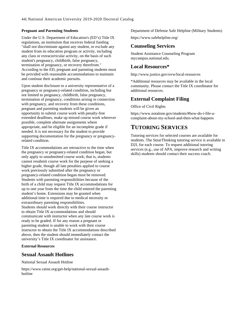### **Pregnant and Parenting Students**

Under the U.S. Department of Education's (ED's) Title IX regulations, an institution that receives federal funding "shall not discriminate against any student, or exclude any student from its education program or activity, including any class or extracurricular activity, on the basis of such student's pregnancy, childbirth, false pregnancy, termination of pregnancy, or recovery therefrom." According to the ED, pregnant and parenting students must be provided with reasonable accommodations to maintain and continue their academic pursuits.

Upon student disclosure to a university representative of a pregnancy or pregnancy-related condition, including but not limited to pregnancy, childbirth, false pregnancy, termination of pregnancy, conditions arising in connection with pregnancy, and recovery from these conditions, pregnant and parenting students will be given an opportunity to submit course work with penalty-free extended deadlines, make up missed course work wherever possible, complete alternate assignments where appropriate, and be eligible for an incomplete grade if needed. It is not necessary for the student to provide supporting documentation for the pregnancy or pregnancyrelated condition.

Title IX accommodations are retroactive to the time when the pregnancy or pregnancy-related condition began, but only apply to unsubmitted course work; that is, students cannot resubmit course work for the purpose of seeking a higher grade, though all late penalties applied to course work previously submitted after the pregnancy or pregnancy-related condition began must be removed. Students with parenting responsibilities because of the birth of a child may request Title IX accommodations for up to one year from the time the child entered the parenting student's home. Extensions may be granted when additional time is required due to medical necessity or extraordinary parenting responsibilities. Students should work directly with their course instructor to obtain Title IX accommodations and should communicate with instructor when any late course work is ready to be graded. If for any reason a pregnant or parenting student is unable to work with their course instructor to obtain the Title IX accommodations described above, then the student should immediately contact the university's Title IX coordinator for assistance.

### **External Resources**

### **Sexual Assault Hotlines**

National Sexual Assault Hotline

https://www.rainn.org/get-help/national-sexual-assaulthotline

Department of Defense Safe Helpline (Military Students)

https://www.safehelpline.org/

### **Counseling Services**

Student Assistance Counseling Program mycampus.national.edu.

### **Local Resources\***

http://www.justice.gov/ovw/local-resources

\*Additional resources may be available in the local community. Please contact the Title IX coordinator for additional resources.

### **External Complaint Filing**

Office of Civil Rights

https://www.notalone.gov/students/#how-do-i-file-acomplaint-about-my-school-and-then-what-happens

## **TUTORING SERVICES**

Tutoring services for selected courses are available for students. The SmarThinking tutoring service is available in D2L for each course. To request additional tutoring services (e.g., use of APA, improve research and writing skills) students should contact their success coach.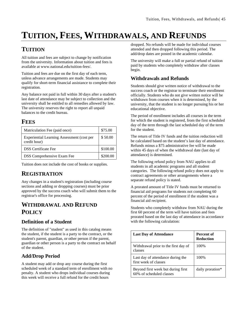# **TUITION, FEES, WITHDRAWALS, AND REFUNDS**

# **TUITION**

All tuition and fees are subject to change by notification from the university. Information about tuition and fees is available at www.national.edu/tuition-fees/.

Tuition and fees are due on the first day of each term, unless advance arrangements are made. Students may qualify for short-term financial assistance to complete their registration.

Any balance not paid in full within 30 days after a student's last date of attendance may be subject to collection and the university shall be entitled to all remedies allowed by law. The university reserves the right to report all unpaid balances to the credit bureau.

## **FEES**

| Matriculation Fee (paid once)                              | \$75.00  |
|------------------------------------------------------------|----------|
| Experiential Learning Assessment (cost per<br>credit hour) | \$50.00  |
| <b>DSS</b> Certificate Fee                                 | \$100.00 |
| <b>DSS Comprehensive Exam Fee</b>                          | \$200.00 |

Tuition does not include the cost of books or supplies.

## **REGISTRATION**

Any changes in a student's registration (including course sections and adding or dropping courses) must be prior approved by the success coach who will submit them to the registrar's office for processing.

# **WITHDRAWAL AND REFUND POLICY**

### **Definition of a Student**

The definition of "student" as used in this catalog means the student, if the student is a party to the contract, or the student's parent, guardian, or other person if the parent, guardian or other person is a party to the contract on behalf of the student.

### **Add/Drop Period**

A student may add or drop any course during the first scheduled week of a standard term of enrollment with no penalty. A student who drops individual courses during this week will receive a full refund for the credit hours

dropped. No refunds will be made for individual courses attended and then dropped following this period. The add/drop dates are posted in the academic calendar.

The university will make a full or partial refund of tuition paid by students who completely withdraw after classes begin.

### **Withdrawals and Refunds**

Students should give written notice of withdrawal to the success coach or the registrar to terminate their enrollment officially. Students who do not give written notice will be withdrawn from courses when it is determined, by the university, that the student is no longer pursuing his or her educational objective.

The period of enrollment includes all courses in the term for which the student is registered, from the first scheduled day of the term through the last scheduled day of the term for the student.

The return of Title IV funds and the tuition reduction will be calculated based on the student's last day of attendance. Refunds minus a \$75 administrative fee will be made within 45 days of when the withdrawal date (last day of attendance) is determined.

The following refund policy from NAU applies to all students in all academic programs and all student categories. The following refund policy does not apply to contract agreements or other arrangements where a separate refund policy is stated.

A prorated amount of Title IV funds must be returned to financial aid programs for students not completing 60 percent of the period of enrollment if the student was a financial aid recipient.

Students who completely withdraw from NAU during the first 60 percent of the term will have tuition and fees prorated based on the last day of attendance in accordance with the following calculation:

| <b>Last Day of Attendance</b>                                  | Percent of<br><b>Reduction</b> |
|----------------------------------------------------------------|--------------------------------|
| Withdrawal prior to the first day of<br>classes                | 100%                           |
| Last day of attendance during the<br>first week of classes     | 100%                           |
| Beyond first week but during first<br>60% of scheduled classes | daily proration*               |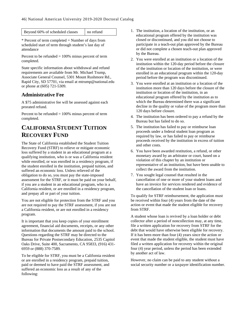Beyond 60% of scheduled classes no refund

\* Percent of term completed = Number of days from scheduled start of term through student's last day of attendance

Percent to be refunded  $= 100\%$  minus percent of term completed.

State specific information about withdrawal and refund requirements are available from Mr. Michael Trump, Associate General Counsel, 5301 Mount Rushmore Rd., Rapid City, SD 57701, via email at mtrump@national.edu or phone at (605) 721-5309.

### **Administrative Fee**

A \$75 administrative fee will be assessed against each prorated refund.

Percent to be refunded  $= 100\%$  minus percent of term completed.

# **CALIFORNIA STUDENT TUITION RECOVERY FUND**

The State of California established the Student Tuition Recovery Fund (STRF) to relieve or mitigate economic loss suffered by a student in an educational program at a qualifying institution, who is or was a California resident while enrolled, or was enrolled in a residency program, if the student enrolled in the institution, prepaid tuition, and suffered an economic loss. Unless relieved of the obligation to do so, you must pay the state-imposed assessment for the STRF, or it must be paid on your behalf, if you are a student in an educational program, who is a California resident, or are enrolled in a residency program, and prepay all or part of your tuition.

You are not eligible for protection from the STRF and you are not required to pay the STRF assessment, if you are not a California resident, or are not enrolled in a residency program.

It is important that you keep copies of your enrollment agreement, financial aid documents, receipts, or any other information that documents the amount paid to the school. Questions regarding the STRF may be directed to the Bureau for Private Postsecondary Education, 2535 Capitol Oaks Drive, Suite 400, Sacramento, CA 95833, (916) 431- 6959 or (888) 370-7589.

To be eligible for STRF, you must be a California resident or are enrolled in a residency program, prepaid tuition, paid or deemed to have paid the STRF assessment, and suffered an economic loss as a result of any of the following:

- 1. The institution, a location of the institution, or an educational program offered by the institution was closed or discontinued, and you did not choose to participate in a teach-out plan approved by the Bureau or did not complete a chosen teach-out plan approved by the Bureau.
- 2. You were enrolled at an institution or a location of the institution within the 120-day period before the closure of the institution or location of the institution, or were enrolled in an educational program within the 120-day period before the program was discontinued.
- 3. You were enrolled at an institution or a location of the institution more than 120 days before the closure of the institution or location of the institution, in an educational program offered by the institution as to which the Bureau determined there was a significant decline in the quality or value of the program more than 120 days before closure.
- 4. The institution has been ordered to pay a refund by the Bureau but has failed to do so.
- 5. The institution has failed to pay or reimburse loan proceeds under a federal student loan program as required by law, or has failed to pay or reimburse proceeds received by the institution in excess of tuition and other costs.
- 6. You have been awarded restitution, a refund, or other monetary award by an arbitrator or court, based on a violation of this chapter by an institution or representative of an institution, but have been unable to collect the award from the institution.
- 7. You sought legal counsel that resulted in the cancellation of one or more of your student loans and have an invoice for services rendered and evidence of the cancellation of the student loan or loans.

To qualify for STRF reimbursement, the application must be received within four (4) years from the date of the action or event that made the student eligible for recovery from STRF.

A student whose loan is revived by a loan holder or debt collector after a period of noncollection may, at any time, file a written application for recovery from STRF for the debt that would have otherwise been eligible for recovery. If it has been more than four (4) years since the action or event that made the student eligible, the student must have filed a written application for recovery within the original four (4) year period, unless the period has been extended by another act of law.

However, no claim can be paid to any student without a social security number or a taxpayer identification number.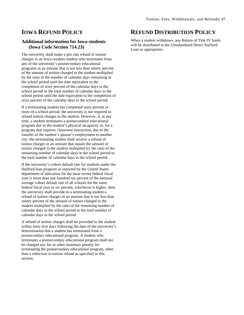### **IOWA REFUND POLICY**

### **Additional information for Iowa students (Iowa Code Section 714.23)**

The university shall make a pro rata refund of tuition charges to an Iowa resident student who terminates from any of the university's postsecondary educational programs in an amount that is not less than ninety percent of the amount of tuition charged to the student multiplied by the ratio of the number of calendar days remaining in the school period until the date equivalent to the completion of sixty percent of the calendar days in the school period to the total number of calendar days in the school period until the date equivalent to the completion of sixty percent of the calendar days in the school period.

If a terminating student has completed sixty percent or more of a school period, the university is not required to refund tuition charges to the student. However, if, at any time, a student terminates a postsecondary educational program due to the student's physical incapacity or, for a program that requires classroom instruction, due to the transfer of the student's spouse's employment to another city, the terminating student shall receive a refund of tuition charges in an amount that equals the amount of tuition charged to the student multiplied by the ratio of the remaining number of calendar days in the school period to the total number of calendar days in the school period.

If the university's cohort default rate for students under the Stafford loan program as reported by the United States department of education for the most recent federal fiscal year is more than one hundred ten percent of the national average cohort default rate of all schools for the same federal fiscal year or six percent, whichever is higher, then the university shall provide to a terminating student a refund of tuition charges in an amount that is not less than ninety percent of the amount of tuition charged to the student multiplied by the ratio of the remaining number of calendar days in the school period to the total number of calendar days in the school period.

A refund of tuition charges shall be provided to the student within forty-five days following the date of the university's determination that a student has terminated from a postsecondary educational program. A student who terminates a postsecondary educational program shall not be charged any fee or other monetary penalty for terminating the postsecondary educational program, other than a reduction in tuition refund as specified in this section.

### **REFUND DISTRIBUTION POLICY**

When a student withdraws, any Return of Title IV funds will be distributed to the Unsubsidized Direct Stafford Loan as appropriate.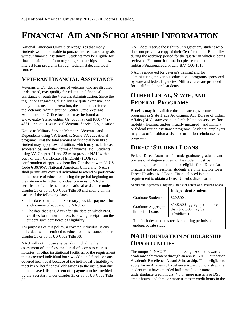# **FINANCIAL AID AND SCHOLARSHIP INFORMATION**

National American University recognizes that many students would be unable to pursue their educational goals without financial assistance. Students may be eligible for financial aid in the form of grants, scholarships, and lowinterest loan programs through federal, state, and local sources.

# **VETERAN FINANCIAL ASSISTANCE**

Veterans and/or dependents of veterans who are disabled or deceased, may qualify for educational financial assistance through the Veterans Administration. Since the regulations regarding eligibility are quite extensive, and many times need interpretation, the student is referred to the Veterans Administration Center. State Veterans Administration Office locations may be found at www.va.gov/statedva.htm. Or, you may call (888) 442- 4551, or contact your local Veterans Service Organization.

Notice to Military Service Members, Veterans, and Dependents using VA Benefits: Some VA educational programs limit the total amount of financial benefits a student may apply toward tuition, which may include cash, scholarships, and other forms of financial aid. Students using VA Chapter 31 and 33 must provide NAU with a copy of their Certificate of Eligibility (COE) as confirmation of approved benefits. Consistent with 38 US Code § 3679(e), National American University (NAU) shall permit any covered individual to attend or participate in the course of education during the period beginning on the date on which the individual provides to NAU a certificate of entitlement to educational assistance under chapter 31 or 33 of US Code Title 38 and ending on the earlier of the following dates:

- The date on which the Secretary provides payment for such course of education to NAU; or
- The date that is 90 days after the date on which NAU certifies for tuition and fees following receipt from the student such certificate of eligibility.

For purposes of this policy, a covered individual is any individual who is entitled to educational assistance under chapter 31 or 33 of US Code Title 38.

NAU will not impose any penalty, including the assessment of late fees, the denial of access to classes, libraries, or other institutional facilities, or the requirement that a covered individual borrow additional funds, on any covered individual because of the individual's inability to meet his or her financial obligations to the institution due to the delayed disbursement of a payment to be provided by the Secretary under chapter 31 or 33 of US Code Title 38.

NAU does reserve the right to unregister any student who does not provide a copy of their Certification of Eligibility during the add/drop period for the quarter in which is being reviewed. For more information please contact military@national.edu or call (877) 500-1310.

NAU is approved for veteran's training and for administering the various educational programs sponsored by state and federal agencies. Military rates are provided for qualified doctoral students.

# **OTHER LOCAL, STATE, AND FEDERAL PROGRAMS**

Benefits may be available through such government programs as State Trade Adjustment Act, Bureau of Indian Affairs (BIA), state vocational rehabilitation services (for mobility, hearing, and/or visually impaired), and military or federal tuition assistance programs. Students' employers may also offer tuition assistance or tuition reimbursement programs.

# **DIRECT STUDENT LOANS**

Federal Direct Loans are for undergraduate, graduate, and professional degree students. The student must be attending at least half-time to be eligible for a Direct Loan. Graduate and professional students are only eligible for a Direct Unsubsidized Loan. Financial need is not a requirement to obtain a Direct Unsubsidized Loan.

Annual and Aggregate (Program) Limits for Direct Unsubsidized Loans **Independent Student** Graduate Students | \$20,500 annual Graduate Aggregate limits for Loans \$138,500 aggregate (no more than \$65,500 may be subsidized)

This includes amounts received during periods of undergraduate study.

# **NAU FOUNDATION SCHOLARSHIP OPPORTUNITIES**

The nonprofit NAU Foundation recognizes and rewards academic achievement through an annual NAU Foundation Academic Excellence Award Scholarship. To be eligible to apply for an Academic Excellence Award Scholarship, the student must have attended half-time (six or more undergraduate credit hours; 4.5 or more master's or DSS credit hours, and three or more trimester credit hours in the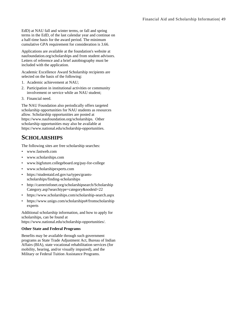EdD) at NAU fall and winter terms, or fall and spring terms in the EdD, of the last calendar year and continue on a half-time basis for the award period. The minimum cumulative GPA requirement for consideration is 3.66.

Applications are available at the foundation's website at naufoundation.org/scholarships and from student advisors. Letters of reference and a brief autobiography must be included with the application.

Academic Excellence Award Scholarship recipients are selected on the basis of the following:

- 1. Academic achievement at NAU;
- 2. Participation in institutional activities or community involvement or service while an NAU student;
- 3. Financial need.

The NAU Foundation also periodically offers targeted scholarship opportunities for NAU students as resources allow. Scholarship opportunities are posted at https://www.naufoundation.org/scholarships. Other scholarship opportunities may also be available at https://www.national.edu/scholarship-opportunities.

### **SCHOLARSHIPS**

The following sites are free scholarship searches:

- www.fastweb.com
- www.scholarships.com
- www.bigfuture.collegeboard.org/pay-for-college
- www.scholarshipexperts.com
- https://studentaid.ed.gov/sa/types/grantsscholarships/finding-scholarships
- http://careerinfonet.org/scholarshipsearch/Scholarship Category.asp?searchtype=category&nodeid=22
- https://www.scholarships.com/scholarship-search.aspx
- https://www.unigo.com/scholarships#/fromscholarship experts

Additional scholarship information, and how to apply for scholarships, can be found at

https://www.national.edu/scholarship-opportunities/.

### **Other State and Federal Programs**

Benefits may be available through such government programs as State Trade Adjustment Act, Bureau of Indian Affairs (BIA), state vocational rehabilitation services (for mobility, hearing, and/or visually impaired), and the Military or Federal Tuition Assistance Programs.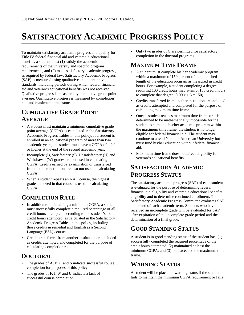# **SATISFACTORY ACADEMIC PROGRESS POLICY**

To maintain satisfactory academic progress and qualify for Title IV federal financial aid and veteran's educational benefits, a student must (1) satisfy the academic requirements of the university and specific program requirements, and (2) make satisfactory academic progress, as required by federal law. Satisfactory Academic Progress (SAP) is measured using qualitative and quantitative standards, including periods during which federal financial aid and veteran's educational benefits was not received. Qualitative progress is measured by cumulative grade point average. Quantitative progress is measured by completion rate and maximum time frame.

# **CUMULATIVE GRADE POINT AVERAGE**

- A student must maintain a minimum cumulative grade point average (CGPA) as calculated in the Satisfactory Academic Progress Tables in this policy. If a student is enrolled in an educational program of more than two academic years, the student must have a CGPA of a 2.0 or higher at the end of the second academic year.
- Incomplete (I), Satisfactory (S), Unsatisfactory (U) and Withdrawal (W) grades are not used in calculating CGPA. Credits earned by examination or transferred from another institution are also not used in calculating CGPA.
- When a student repeats an NAU course, the highest grade achieved in that course is used in calculating CGPA.

# **COMPLETION RATE**

- In addition to maintaining a minimum CGPA, a student must successfully complete a required percentage of all credit hours attempted, according to the student's total credit hours attempted, as calculated in the Satisfactory Academic Progress Tables in this policy, including those credits in remedial and English as a Second Language (ESL) courses.
- Credits transferred from another institution are included as credits attempted and completed for the purpose of calculating completion rate.

# **DOCTORAL**

- The grades of A, B, C and S indicate successful course completion for purposes of this policy.
- The grades of F, I, W and U indicate a lack of successful course completion.

• Only two grades of C are permitted for satisfactory completion in the doctoral programs.

# **MAXIMUM TIME FRAME**

- A student must complete his/her academic program within a maximum of 150 percent of the published length of the education program as measured in credit hours. For example, a student completing a degree requiring 100 credit hours may attempt 150 credit hours to complete that degree.  $(100 \times 1.5 = 150)$
- Credits transferred from another institution are included as credits attempted and completed for the purpose of calculating maximum time frame.
- Once a student reaches maximum time frame or it is determined to be mathematically impossible for the student to complete his/her academic program within the maximum time frame, the student is no longer eligible for federal financial aid. The student may continue to attend National American University but must fund his/her education without federal financial aid.
- Maximum time frame does not affect eligibility for veteran's educational benefits.

# **SATISFACTORY ACADEMIC PROGRESS STATUS**

The satisfactory academic progress (SAP) of each student is evaluated for the purpose of determining federal financial aid eligibility and veteran's educational benefits eligibility and to determine continued enrollment. The Satisfactory Academic Progress Committee evaluates SAP at the end of each academic term. Students who have received an incomplete grade will be evaluated for SAP after expiration of the incomplete grade period and the determination of a final grade.

# **GOOD STANDING STATUS**

A student is in good standing status if the student has: (1) successfully completed the required percentage of the credit hours attempted; (2) maintained at least the minimum CGPA; and (3) not exceeded the maximum time frame.

# **WARNING STATUS**

A student will be placed in warning status if the student fails to maintain the minimum CGPA requirement or fails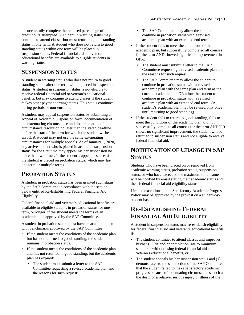to successfully complete the required percentage of the credit hours attempted. A student in warning status may continue to attend classes but must return to good standing status in one term. A student who does not return to good standing status within one term will be placed in suspension status. Federal financial aid and veteran's educational benefits are available to eligible students in warning status.

## **SUSPENSION STATUS**

A student in warning status who does not return to good standing status after one term will be placed in suspension status. A student in suspension status is not eligible to receive federal financial aid or veteran's educational benefits, but may continue to attend classes if the student makes other payment arrangements. This status continues during periods of non-enrollment.

A student may appeal suspension status by submitting an Appeal of Academic Suspension form, documentation of the extenuating circumstance and documentation of circumstance resolution no later than the stated deadline before the start of the term for which the student wishes to enroll. A student may not use the same extenuating circumstances for multiple appeals. As of January 1, 2020, any active student who is placed in academic suspension status for the first time may appeal his/her suspension no more than two times. If the student's appeal is successful, the student is placed on probation status, which may last one term or multiple terms.

## **PROBATION STATUS**

A student in probation status has been granted such status by the SAP Committee in accordance with the section below entitled Re-Establishing Federal Financial Aid Eligibility.

Federal financial aid and veteran's educational benefits are available to eligible students in probation status for one term, or longer, if the student meets the terms of an academic plan approved by the SAP Committee.

A student in probation status must have an academic plan with benchmarks approved by the SAP Committee.

- If the student meets the conditions of the academic plan but has not returned to good standing, the student remains in probation status.
- If the student meets the conditions of the academic plan and has not returned to good standing, but the academic plan has expired:
	- The student must submit a letter to the SAP Committee requesting a revised academic plan and the reasons for such request;
- The SAP Committee may allow the student to continue in probation status with a revised academic plan with an extended end term.
- If the student fails to meet the conditions of the academic plan, but successfully completed all courses for the term AND showed significant improvement in GPA:
	- The student must submit a letter to the SAP Committee requesting a revised academic plan and the reasons for such request;
	- The SAP Committee may allow the student to continue in probation status with a revised academic plan with the same plan end term as the current academic plan OR allow the student to continue in probation status with a revised academic plan with an extended end term. (A student's academic plan may be revised only once until returning to good standing).
- If the student fails to return to good standing, fails to meet the conditions of the academic plan, did not successfully complete all courses for the term AND/OR shows no significant improvement, the student will be returned to suspension status and not eligible to receive federal financial aid.

# **NOTIFICATION OF CHANGE IN SAP STATUS**

Students who have been placed on or removed from academic warning status, probation status, suspension status, or who have exceeded the maximum time frame, will be notified by email stating their academic status and their federal financial aid eligibility status.

Limited exceptions to the Satisfactory Academic Progress Policy may be approved by the provost on a student-bystudent basis.

## **RE-ESTABLISHING FEDERAL FINANCIAL AID ELIGIBILITY**

A student in suspension status may re-establish eligibility for federal financial aid and veteran's educational benefits if:

- The student continues to attend classes and improves his/her CGPA and/or completion rate to minimum standards without using federal financial aid and veteran's educational benefits, or
- The student appeals his/her suspension status and (1) demonstrates to the satisfaction of the SAP Committee that the student failed to make satisfactory academic progress because of extenuating circumstances, such as the death of a relative, serious injury or illness of the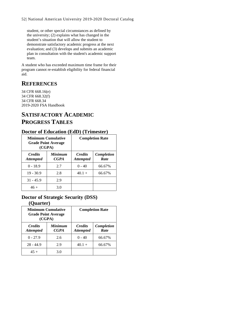student, or other special circumstances as defined by the university; (2) explains what has changed in the student's situation that will allow the student to demonstrate satisfactory academic progress at the next evaluation; and (3) develops and submits an academic plan in consultation with the student's academic support team.

A student who has exceeded maximum time frame for their program cannot re-establish eligibility for federal financial aid.

# **REFERENCES**

34 CFR 668.16(e) 34 CFR 668.32(f) 34 CFR 668.34 2019-2020 FSA Handbook

# **SATISFACTORY ACADEMIC PROGRESS TABLES**

### **Doctor of Education (EdD) (Trimester)**

| Minimum Cumulative<br><b>Grade Point Average</b><br>(CGPA) |                               | <b>Completion Rate</b>             |                    |
|------------------------------------------------------------|-------------------------------|------------------------------------|--------------------|
| <b>Credits</b><br><b>Attempted</b>                         | <b>Minimum</b><br><b>CGPA</b> | <b>Credits</b><br><b>Attempted</b> | Completion<br>Rate |
| $0 - 18.9$                                                 | 2.7                           | $0 - 40$                           | 66.67%             |
| $19 - 30.9$                                                | 2.8                           | $40.1 +$                           | 66.67%             |
| $31 - 45.9$                                                | 2.9                           |                                    |                    |
| $46 +$                                                     | 3.0                           |                                    |                    |

## **Doctor of Strategic Security (DSS)**

### **(Quarter)**

| <b>Minimum Cumulative</b><br><b>Grade Point Average</b><br>(CGPA) |                               |                                    | <b>Completion Rate</b> |
|-------------------------------------------------------------------|-------------------------------|------------------------------------|------------------------|
| <b>Credits</b><br><b>Attempted</b>                                | <b>Minimum</b><br><b>CGPA</b> | <b>Credits</b><br><b>Attempted</b> | Completion<br>Rate     |
| $0 - 27.9$                                                        | 2.6                           | $0 - 40$                           | 66.67%                 |
| $28 - 44.9$                                                       | 2.9                           | $40.1 +$                           | 66.67%                 |
| $45 +$                                                            | 3.0                           |                                    |                        |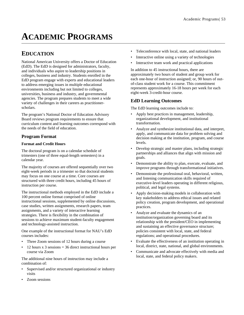# **ACADEMIC PROGRAMS**

## **EDUCATION**

National American University offers a Doctor of Education (EdD). The EdD is designed for administrators, faculty, and individuals who aspire to leadership positions in colleges, business and industry. Students enrolled in the EdD program engage with experts and educational leaders to address emerging issues in multiple educational environments including but not limited to colleges, universities, business and industry, and governmental agencies. The program prepares students to meet a wide variety of challenges in their careers as practitionerscholars.

The program's National Doctor of Education Advisory Board reviews program requirements to ensure that curriculum content and learning outcomes correspond with the needs of the field of education.

### **Program Format**

### **Format and Credit Hours**

The doctoral program is on a calendar schedule of trimesters (one of three equal-length semesters) in a calendar year.

The majority of courses are offered sequentially over two eight-week periods in a trimester so that doctoral students may focus on one course at a time. Core courses are structured with three credit hours, including 45 hours of instruction per course.

The instructional methods employed in the EdD include a 100 percent online format comprised of online instructional sessions, supplemented by online discussions, case studies, written assignments, research papers, team assignments, and a variety of interactive learning strategies. There is flexibility in the combination of sessions to achieve maximum student-faculty engagement and technology-assisted instruction.

One example of the instructional format for NAU's EdD courses includes:

- Three Zoom sessions of 12 hours during a course
- 12 hours  $x$  3 sessions = 36 direct instructional hours per course via Zoom

The additional nine hours of instruction may include a combination of:

- Supervised and/or structured organizational or industry visits
- Zoom sessions
- Teleconference with local, state, and national leaders
- Interactive online using a variety of technologies
- Interactive team work and practical applications

In addition to 45 instructional hours, there are approximately two hours of student and group work for each one-hour of instruction assigned; or, 90 hours of outof-class student work for a course. This commitment represents approximately 16-18 hours per week for each eight-week 3-credit-hour course.

### **EdD Learning Outcomes**

The EdD learning outcomes include to:

- Apply best practices in management, leadership, organizational development, and institutional transformation.
- Analyze and synthesize institutional data, and interpret, apply, and communicate data for problem solving and decision making at the institution, program, and course levels.
- Develop strategic and master plans, including strategic partnerships and alliances that align with mission and goals.
- Demonstrate the ability to plan, execute, evaluate, and improve programs through transformational initiatives.
- Demonstrate the professional oral, behavioral, written, and listening communication skills required of executive-level leaders operating in different religious, political, and legal systems.
- Apply decision-making models in collaboration with key stakeholders to address ethical issues and related policy creation, program development, and operational practices.
- Analyze and evaluate the dynamics of an institution/organization governing board and its relationship with the president/CEO in implementing and sustaining an effective governance structure; policies consistent with local, state, and federal regulations; and operational procedures.
- Evaluate the effectiveness of an institution operating in local, district, state, national, and global environments.
- Communicate and advocate effectively with media and local, state, and federal policy makers.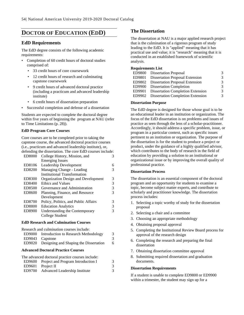### **DOCTOR OF EDUCATION (EDD)**

### **EdD Requirements**

The EdD degree consists of the following academic requirements:

- Completion of 60 credit hours of doctoral studies comprised of:
	- 33 credit hours of core coursework
	- 12 credit hours of research and culminating capstone coursework
	- 9 credit hours of advanced doctoral practice (including a practicum and advanced leadership institute)
	- 6 credit hours of dissertation preparation
- Successful completion and defense of a dissertation

Students are expected to complete the doctoral degree within five years of beginning the program at NAU (refer to Time Limitations (p. [28\)](#page-30-0)).

### **EdD Program Core Courses**

Core courses are to be completed prior to taking the capstone course, the advanced doctoral practice courses (i.e., practicum and advanced leadership institute), or, defending the dissertation. The core EdD courses include:

|               | erending the dissertation. The core East courses ment |   |
|---------------|-------------------------------------------------------|---|
| ED8000        | College History, Mission, and                         | 3 |
|               | <b>Emerging Issues</b>                                |   |
| ED8106        | Leadership Development                                | 6 |
| ED8200        | Managing Change - Leading                             | 3 |
|               | <b>Institutional Transformation</b>                   |   |
| ED8300        | Organization Design and Development                   | 3 |
| ED8400        | Ethics and Values                                     | 3 |
| ED8500        | Governance and Administration                         | 3 |
| ED8600        | Planning, Finance, and Resource                       | 3 |
|               | Development                                           |   |
| ED8700        | Policy, Politics, and Public Affairs                  | 3 |
| <b>ED8800</b> | <b>Education Analytics</b>                            | 3 |
| ED8900        | Understanding the Contemporary                        | 3 |
|               | College Student                                       |   |
|               |                                                       |   |

#### **EdD Research and Culmination Courses**

Research and culmination courses include: ED9000 Introduction to Research Methodology 3

|                                           | ED 2000 HRTOGROUGH to Research Methodology    | ັ |  |
|-------------------------------------------|-----------------------------------------------|---|--|
|                                           | ED9043 Capstone                               | 3 |  |
|                                           | ED9020 Designing and Shaping the Dissertation | 6 |  |
| <b>Advanced Doctoral Practice Courses</b> |                                               |   |  |
| ___                                       |                                               |   |  |

|        | The advanced doctoral practice courses include: |   |
|--------|-------------------------------------------------|---|
|        | ED9600 Project and Program Introduction I       | 3 |
|        | $ED9601$ Project II                             | 3 |
| ED9700 | <b>Advanced Leadership Institute</b>            | 3 |
|        |                                                 |   |

### **The Dissertation**

The dissertation at NAU is a major applied research project that is the culmination of a rigorous program of study leading to the EdD. It is "applied" meaning that it has practical use and value; it is "research" meaning that it is conducted in an established framework of scientific analysis.

### **Requirements List**

|        | ED9800 Dissertation Proposal             | 3 |
|--------|------------------------------------------|---|
| ED9801 | <b>Dissertation Proposal Extension</b>   | 3 |
| ED9802 | <b>Dissertation Proposal Extension</b>   | 3 |
|        | ED9900 Dissertation Completion           | 3 |
| ED9901 | <b>Dissertation Completion Extension</b> | 3 |
| ED9902 | <b>Dissertation Completion Extension</b> | 3 |

### **Dissertation Purpose**

The EdD degree is designed for those whose goal is to be an educational leader in an institution or organization. The focus of the EdD dissertation is on problems and issues of practice as seen through the lens of a scholar-practitioner. Accordingly, it should address a specific problem, issue, or program in a particular context, such as specific issues pertinent to an institution or organization. The purpose of the dissertation is for the student to produce a project or product, under the guidance of a highly qualified advisor, which contributes to the body of research in the field of education by providing a solution to an institutional or organizational issue or by improving the overall quality of professional practice.

### **Dissertation Process**

The dissertation is an essential component of the doctoral program and an opportunity for students to examine a topic, become subject matter experts, and contribute to scholarly and practitioner knowledge. The dissertation process includes:

- 1. Selecting a topic worthy of study for the dissertation proposal
- 2. Selecting a chair and a committee
- 3. Choosing an appropriate methodology
- 4. Obtaining proposal approval
- 5. Completing the Institutional Review Board process for approval of the research design
- 6. Completing the research and preparing the final dissertation
- 7. Obtaining dissertation committee approval
- 8. Submitting required dissertation and graduation documents.

#### **Dissertation Requirements**

If a student is unable to complete ED9800 or ED9900 within a trimester, the student may sign up for a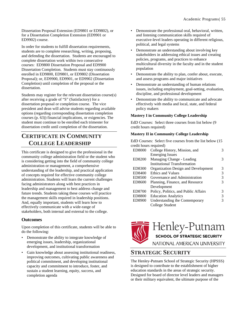Dissertation Proposal Extension (ED9801 or ED9802), or for a Dissertation Completion Extension (ED9901 or ED9902) course.

In order for students to fulfill dissertation requirements, students are to complete researching, writing, proposing, and defending the dissertation. Students are encouraged to complete dissertation work within two consecutive courses: ED9800 Dissertation Proposal and ED9900 Dissertation Completion. Students must stay continuously enrolled in ED9800, ED9801, or ED9802 (Dissertation Proposal); or, ED9900, ED9901, or ED9902 (Dissertation Completion) until completion of the proposal or the dissertation.

Students may register for the relevant dissertation course(s) after receiving a grade of "S" (Satisfactory) for a dissertation proposal or completion course. The vice president and dean will advise students regarding available options (regarding corresponding dissertation completion courses (p. [63\)](#page-65-0)) financial implications, or exigencies. The student must continue to be enrolled each trimester for dissertation credit until completion of the dissertation.

### **CERTIFICATE IN COMMUNITY COLLEGE LEADERSHIP**

This certificate is designed to give the professional in the community college administration field or the student who is considering getting into the field of community college administration or management, a comprehensive understanding of the leadership, and practical application of concepts required for effective community college administration. Students will learn the current challenges facing administrators along with best practices in leadership and management to best address change and future trends. Students taking these courses will practice the management skills required in leadership positions. And, equally important, students will learn how to effectively communicate with a wide-range of stakeholders, both internal and external to the college.

### **Outcomes**

Upon completion of this certificate, students will be able to do the following:

- Demonstrate the ability to integrate knowledge of emerging issues, leadership, organizational development, and institutional transformation
- Gain knowledge about assessing institutional readiness, improving outcomes, cultivating public awareness and political commitment, and developing institutional capacity and commitment to introduce, foster, and sustain a student learning, equity, success, and completion agenda
- Demonstrate the professional oral, behavioral, written, and listening communication skills required of executive-level leaders operating in different religious, political, and legal systems
- Demonstrate an understanding about involving key stakeholders in addressing ethical issues and creating policies, programs, and practices to enhance multicultural diversity in the faculty and in the student population
- Demonstrate the ability to plan, confer about, execute, and assess programs and major initiatives
- Demonstrate an understanding of human relations issues, including employment, goal-setting, evaluation, discipline, and professional development
- Demonstrate the ability to communicate and advocate effectively with media and local, state, and federal policy makers

### **Mastery I in Community College Leadership**

EdD Courses: Select three courses from list below (9 credit hours required)

### **Mastery II in Community College Leadership**

EdD Courses: Select five courses from the list below (15 credit hours required)

| ED8000        | College History, Mission, and        | 3 |
|---------------|--------------------------------------|---|
|               | <b>Emerging Issues</b>               |   |
| ED8200        | Managing Change - Leading            | 3 |
|               | <b>Institutional Transformation</b>  |   |
| ED8300        | Organization Design and Development  | 3 |
| ED8400        | Ethics and Values                    | 3 |
| ED8500        | Governance and Administration        | 3 |
| ED8600        | Planning, Finance, and Resource      | 3 |
|               | Development                          |   |
| ED8700        | Policy, Politics, and Public Affairs | 3 |
| <b>ED8800</b> | <b>Education Analytics</b>           | 3 |
| ED8900        | Understanding the Contemporary       | 3 |
|               | College Student                      |   |
|               |                                      |   |



Henley-Putnar

**SCHOOL OF STRATEGIC SECURITY** 

NATIONAL AMERICAN UNIVERSITY

### **STRATEGIC SECURITY**

The Henley-Putnam School of Strategic Security (HPSSS) is designed to contribute to the establishment of higher education standards in the areas of strategic security. Designed for board of director level leaders and managers or their military equivalent, the ultimate purpose of the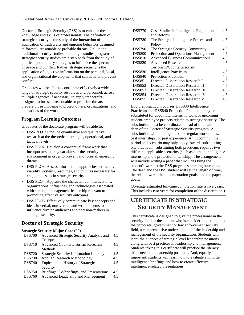Doctor of Strategic Security (DSS) is to enhance the knowledge and skills of professionals. The definition of strategic security is the study of the interaction of application of tradecrafts and ongoing behaviors designed to forestall reasonable or probable threats. Unlike the traditional security studies or strategic studies programs, strategic security studies are a step back from the study of political and military strategies to influence the spectrum of peace and conflict. Rather, strategic security is the application of objective information on the personal, local, and organizational developments that can deter and prevent conflict.

Graduates will be able to coordinate effectively a wide range of strategic security resources and personnel, across multiple agencies if necessary, to apply tradecrafts designed to forestall reasonable or probable threats and prepare those choosing to protect others, organizations, and the nations of the world.

### **Program Learning Outcomes**

Graduates of the doctorate program will be able to:

- DSS-PLO1: Produce quantitative and qualitative research at the theoretical, strategic, operational, and tactical levels.
- DSS PLO2: Develop a conceptual framework that incorporates the key variables of the security environment in order to prevent and forestall emerging threats.
- DSS PLO3: Assess information, approaches, criticality, viability, systems, resources, and cultures necessary for engaging issues in strategic security.
- DSS PLO4: Appraise the character, communications, organizations, influences, and technologies associated with strategic management leadership relevant to promoting effective security outcomes.
- DSS PLO5: Effectively communicate key concepts and ideas in verbal, non-verbal, and written forms to influence diverse audiences and decision-makers in strategic security.

### **Doctor of Strategic Security**

### **Strategic Security Major Core (90)**

| <b>DSS700</b> | Advanced Strategic Security Analysis and       | 4.5 |
|---------------|------------------------------------------------|-----|
|               | Critique                                       |     |
| <b>DSS710</b> | <b>Advanced Counterterrorism Research</b>      | 4.5 |
|               | Methods                                        |     |
| <b>DSS720</b> | <b>Strategic Security Information Literacy</b> | 4.5 |
| <b>DSS730</b> | <b>Applied Research Methodology</b>            | 4.5 |
| <b>DSS740</b> | Topics in the History of Strategic             | 4.5 |
|               | Security                                       |     |
| <b>DSS750</b> | Briefings, De-briefings, and Presentations     | 4.5 |
| <b>DSS760</b> | Advanced Leadership and Management             | 4.5 |
|               |                                                |     |

| <b>DSS770</b> | Case Studies in Intelligence Regulation | 4.5 |
|---------------|-----------------------------------------|-----|
|               | and Reform                              |     |
| <b>DSS780</b> | The Strategic Intelligence Process and  | 4.5 |
|               | Policy                                  |     |
| <b>DSS790</b> | The Strategic Security Community        | 4.5 |
| <b>DSS800</b> | Protection and Operations Management    | 4.5 |
| <b>DSS810</b> | <b>Advanced Business Communications</b> | 4.5 |
| <b>DSS820</b> | Advanced Research in                    | 4.5 |
|               | Terrorism/Counterterrorism              |     |
| <b>DSS830</b> | Intelligence Practicum                  | 4.5 |
| <b>DSS840</b> | <b>Protection Practicum</b>             | 4.5 |
| <b>DSS851</b> | Directed Dissertation Research I        | 4.5 |
| <b>DSS852</b> | Directed Dissertation Research II       | 4.5 |
| <b>DSS853</b> | Directed Dissertation Research III      | 4.5 |
| <b>DSS854</b> | Directed Dissertation Research IV       | 4.5 |
| <b>DSS855</b> | Directed Dissertation Research V        | 4.5 |

Doctoral practicum courses DSS830 Intelligence Practicum and DSS840 Protection Practicum may be substituted for upcoming internship work or upcoming student-employee projects related to strategic security. The substitution must be coordinated ahead of time with the dean of the Doctor of Strategic Security program. A substitution will not be granted for regular work duties, past internships, or past experience. An upcoming time period and scenario may only apply towards substituting one practicum: substituting both practicum requires two different, applicable scenarios (such as both an intelligence internship and a protection internship). The arrangement will include writing a paper that includes tying the student's work to the DSS program's learning outcomes. The dean and the DSS student will set the length of time, the related work, the documentation goals, and the paper goals.

(Average estimated full-time completion rate is five years. This includes two years for completion of the dissertation.)

### **CERTIFICATE IN STRATEGIC SECURITY MANAGEMENT**

This certificate is designed to give the professional in the security field or the student who is considering getting into the corporate, government or law enforcement security field, a comprehensive understanding of the leadership and management of the security organization. Students will learn the nuances of strategic level leadership positions along with best practices in leadership and management. Students taking this certificate will practice the literacy skills needed in leadership positions. And, equally important, students will learn how to evaluate and write intelligence briefings and how to create effective intelligence-related presentations.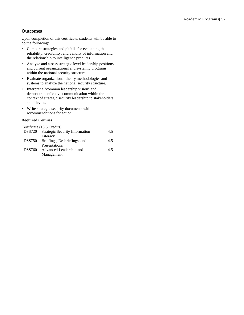### **Outcomes**

Upon completion of this certificate, students will be able to do the following:

- Compare strategies and pitfalls for evaluating the reliability, credibility, and validity of information and the relationship to intelligence products.
- Analyze and assess strategic level leadership positions and current organizational and systemic programs within the national security structure.
- Evaluate organizational theory methodologies and systems to analyze the national security structure.
- Interpret a "common leadership vision" and demonstrate effective communication within the context of strategic security leadership to stakeholders at all levels.
- Write strategic security documents with recommendations for action.

### **Required Courses**

|               | Certificate (13.5 Credits)            |     |
|---------------|---------------------------------------|-----|
| <b>DSS720</b> | <b>Strategic Security Information</b> | 45  |
|               | Literacy                              |     |
| <b>DSS750</b> | Briefings, De-briefings, and          | 4.5 |
|               | Presentations                         |     |
| <b>DSS760</b> | Advanced Leadership and               | 45  |
|               | Management                            |     |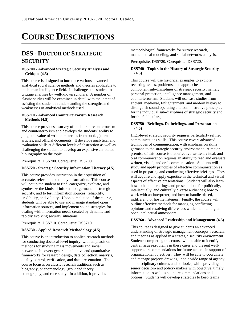# **COURSE DESCRIPTIONS**

# **DSS - DOCTOR OF STRATEGIC SECURITY**

### **DSS700 - Advanced Strategic Security Analysis and Critique (4.5)**

This course is designed to introduce various advanced analytical social science methods and theories applicable to the human intelligence field. It challenges the student to critique analyses by well-known scholars. A number of classic studies will be examined in detail with the intent of assisting the student in understanding the strengths and weaknesses of analytical methods used.

### **DSS710 - Advanced Counterterrorism Research Methods (4.5)**

This course provides a survey of the literature on terrorism and counterterrorism and develops the students' ability to judge the value of written materials from books, journal articles, and official documents. It develops analytical and evaluation skills at different levels of abstraction as well as challenging the student to develop an expansive annotated bibliography on the topic.

Prerequisite: DSS700. Corequisite: DSS700.

### **DSS720 - Strategic Security Information Literacy (4.5)**

This course provides instruction in the acquisition of accurate, relevant, and timely information. This course will equip the student to find, categorize, evaluate, and synthesize the kinds of information germane to strategic security, and to test information sources' reliability, credibility, and validity. Upon completion of the course, students will be able to use and manage standard open information sources, and implement sound strategies for dealing with information needs created by dynamic and rapidly evolving security situations.

Prerequisite: DSS710. Corequisite: DSS710.

### **DSS730 - Applied Research Methodology (4.5)**

This course is an introduction to applied research methods for conducting doctoral-level inquiry, with emphasis on methods for studying mass movements and social networks. It covers general qualitative and quantitative frameworks for research design, data collection, analysis, quality control, verification, and data presentation. The course focuses on classic research traditions such as biography, phenomenology, grounded theory, ethnography, and case study. In addition, it provides

methodological frameworks for survey research, mathematical modeling, and social networks analysis.

Prerequisite: DSS720. Corequisite: DSS720.

### **DSS740 - Topics in the History of Strategic Security (4.5)**

This course will use historical examples to explore recurring issues, problems, and approaches in the component sub-disciplines of strategic security, namely personal protection, intelligence management, and counterterrorism. Students will use case studies from ancient, medieval, Enlightenment, and modern history to distinguish sound operating and administrative principles for the individual sub-disciplines of strategic security and for the field at large.

### **DSS750 - Briefings, De-briefings, and Presentations (4.5)**

High-level strategic security requires particularly refined communications skills. This course covers advanced techniques of communication, with emphasis on skills germane to the strategic security environment. A major premise of this course is that effective written, visual, and oral communication requires an ability to read and evaluate written, visual, and oral communication. Students will study and apply principles of effective communication as used in preparing and conducting effective briefings. They will acquire and apply expertise in the technical and visual aspects of effective presentations. Students will also learn how to handle briefings and presentations for politically, intellectually, and culturally diverse audiences; how to work with an interpreter; and how to handle biased, indifferent, or hostile listeners. Finally, the course will outline effective methods for managing conflicting opinions and resolving differences while maintaining an open intellectual atmosphere.

### **DSS760 - Advanced Leadership and Management (4.5)**

This course is designed to give students an advanced understanding of strategic management concepts, research, and theories as applied in a strategic security environment. Students completing this course will be able to identify central issues/problems in these cases and present wellsupported recommendations for future actions in support of organizational objectives. They will be able to coordinate and manage projects drawing upon a wide range of agency and disciplinary cultures and outlooks, while providing senior decision- and policy- makers with objective, timely information as well as sound recommendations and options. Students will develop strategies to keep teams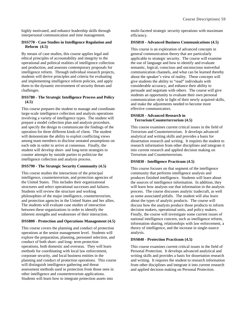highly motivated, and enhance leadership skills through interpersonal communication and time management.

### **DSS770 - Case Studies in Intelligence Regulation and Reform (4.5)**

By means of case studies, this course applies legal and ethical principles of accountability and integrity to the operational and political realities of intelligence collection and production, and assesses contemporary proposals for intelligence reform. Through individual research projects, students will derive principles and criteria for evaluating and implementing intelligence reform policies, and apply them to the dynamic environment of security threats and challenges.

### **DSS780 - The Strategic Intelligence Process and Policy (4.5)**

This course prepares the student to manage and coordinate large-scale intelligence collection and analysis operations involving a variety of intelligence types. The student will prepare a model collection plan and analysis procedure, and specify the design to communicate the findings of the operation for three different kinds of client. The student will demonstrate the ability to exploit conflicting views among team members to disclose unstated assumptions on each side in order to arrive at consensus. Finally, the student will develop short- and long-term strategies to counter attempts by outside parties to politicize the intelligence collection and analysis process.

### **DSS790 - The Strategic Security Community (4.5)**

This course studies the interactions of the principal intelligence, counterterrorism, and protection agencies of the United States. This includes their organizational structures and select operational successes and failures. Students will review the structure and working philosophies of the major intelligence, counterterrorism, and protection agencies in the United States and her allies. The students will evaluate case studies of interaction between these organizations in order to identify the inherent strengths and weaknesses of their interaction.

### **DSS800 - Protection and Operations Management (4.5)**

This course covers the planning and conduct of protection operations at the senior management level. Students will explore the preparation, planning, personnel selection, and conduct of both short- and long- term protection operations, both domestic and overseas. They will learn methods for coordinating with local law enforcement, corporate security, and local business entities in the planning and conduct of protection operations. This course will distinguish intelligence gathering and threat assessment methods used in protection from those seen in other intelligence and counterterrorism applications. Students will learn how to integrate protection assets into

multi-faceted strategic security operations with maximum efficiency.

### **DSS810 - Advanced Business Communications (4.5)**

This course is an exploration of advanced concepts in general communication theory that are particularly applicable to strategic security. The course will examine the use of language and how to identify and evaluate semantic, logical, conscious and unconscious nonverbal communication channels, and what can be learned thereby about the speaker's view of reality. These concepts will give students the ability to "read" individuals with considerable accuracy, and enhance their ability to persuade and negotiate with others. The course will give students an opportunity to evaluate their own personal communication style in light of their newly acquired skills, and make the adjustments needed to become more effective communicators.

### **DSS820 - Advanced Research in Terrorism/Counterterrorism (4.5)**

This course examines current critical issues in the field of Terrorism and Counterterrorism. It develops advanced analytical and writing skills and provides a basis for dissertation research and writing. It requires the student to research information from other disciplines and integrate it into current research and applied decision making on Terrorism and Counterterrorism.

### **DSS830 - Intelligence Practicum (4.5)**

This course focuses on that segment of the intelligence community that performs intelligence analysis and produces finished intelligence. Students will learn about the sources of intelligence information. In addition, they will learn how analysts use that information in the analysis process. The course discusses analytic tradecraft, as well as some associated pitfalls. The student will also learn about the types of analytic products. The course will discuss how the analysts produce those products to inform decision makers, operational units, and policy makers. Finally, the course will investigate some current issues of national intelligence concern, such as intelligence reform, information sharing, relationships with law enforcement, a theory of intelligence, and the increase in single-source analysis.

### **DSS840 - Protection Practicum (4.5)**

This course examines current critical issues in the field of Personal Protection. It develops advanced analytical and writing skills and provides a basis for dissertation research and writing. It requires the student to research information from other disciplines and integrate it into current research and applied decision making on Personal Protection.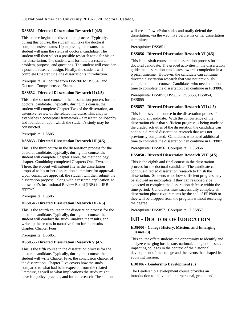### **DSS851 - Directed Dissertation Research I (4.5)**

This course begins the dissertation process. Typically, during this course, the student will take the doctoral comprehensive exams. Upon passing the exams, the student will gain the status of doctoral candidate. The student will then select a possible research topic for his or her dissertation. The student will formulate a research problem, purpose, and questions. The student will consider a possible research design. Finally, the student will complete Chapter One, the dissertation's introduction.

Prerequisite: All course from DSS700 to DSS840 and Doctoral Comprehensive Exam.

### **DSS852 - Directed Dissertation Research II (4.5)**

This is the second course in the dissertation process for the doctoral candidate. Typically, during this course, the student will complete Chapter Two of the dissertation, an extensive review of the related literature. This chapter establishes a conceptual framework - a research philosophy and foundation upon which the student's study may be constructed.

Prerequisite: DSS851

### **DSS853 - Directed Dissertation Research III (4.5)**

This is the third course in the dissertation process for the doctoral candidate. Typically, during this course, the student will complete Chapter Three, the methodology chapter. Combining completed Chapters One, Two, and Three, the student will submit file as the dissertation proposal to his or her dissertation committee for approval. Upon committee approval, the student will then submit the dissertation proposal, along with a research application, to the school's Institutional Review Board (IRB) for IRB approval.

Prerequisite: DSS851

### **DSS854 - Directed Dissertation Research IV (4.5)**

This is the fourth course in the dissertation process for the doctoral candidate. Typically, during this course, the student will conduct the study, analyze the results, and write up the results in narrative form for the results chapter, Chapter Four.

Prerequisite: DSS851

### **DSS855 - Directed Dissertation Research V (4.5)**

This is the fifth course in the dissertation process for the doctoral candidate. Typically, during this course, the student will write Chapter Five, the conclusion chapter of the dissertation. Chapter Five covers how the study compared to what had been expected from the related literature, as well as what implications the study might have for policy, practice, and future research. The student

will create PowerPoint slides and orally defend the dissertation, via the web, live before his or her dissertation committee.

Prerequisite: DSS851

### **DSS856 - Directed Dissertation Research VI (4.5)**

This is the sixth course in the dissertation process for the doctoral candidate. The graded activities in the dissertation guide the dissertation candidates towards completion in a typical timeline. However, the candidate can continue directed dissertation research that was not previously completed in this course. Candidates who need additional time to complete the dissertation can continue in FRP806.

Prerequisite: DSS851, DSS852, DSS853, DSS854, DSS855

### **DSS857 - Directed Dissertation Research VII (4.5)**

This is the seventh course in the dissertation process for the doctoral candidate. With the concurrence of the dissertation chair that sufficient progress is being made on the graded activities of the dissertation the candidate can continue directed dissertation research that was not previously completed. Candidates who need additional time to complete the dissertation can continue in FRP807.

Prerequisite: DSS856. Corequisite: DSS856

### **DSS858 - Directed Dissertation Research VIII (4.5)**

This is the eighth and final course in the dissertation process for the doctoral candidate. The candidate can continue directed dissertation research to finish the dissertation. Students who show sufficient progress may be allowed an incomplete if they can reasonably be expected to complete the dissertation defense within the time period. Candidates must successfully complete all dissertation phase requirements by the end of FRP808 or they will be dropped from the program without receiving the degree.

Prerequisite: DSS857. Corequisite: DSS857

### **ED - DOCTOR OF EDUCATION**

### **ED8000 - College History, Mission, and Emerging Issues (3)**

This course offers students the opportunity to identify and analyze emerging local, state, national, and global issues impacting colleges in the context of the historical development of the college and the events that shaped its evolving mission.

### **ED8106 - Leadership Development (6)**

The Leadership Development course provides an introduction to individual, interpersonal, group, and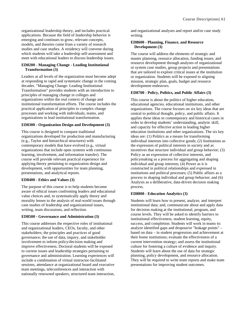organizational leadership theory, and includes practical applications. Because the field of leadership behavior is emerging and continues to grow, relevant concepts, models, and theories come from a variety of research studies and case studies. A residency will convene during which students will take a leadership self-assessment and meet with educational leaders to discuss leadership issues.

### **ED8200 - Managing Change - Leading Institutional Transformation (3)**

Leaders at all levels of the organization must become adept at responding to rapid and systematic change in the coming decades. "Managing Change: Leading Institutional Transformation" provides students with an introduction to principles of managing change in colleges and organizations within the real context of change and institutional transformation efforts. The course includes the practical application of principles to complex change processes and working with individuals, teams, and organizations to lead institutional transformation.

### **ED8300 - Organization Design and Development (3)**

This course is designed to compare traditional organizations developed for production and manufacturing (e.g., Taylor and hierarchical structures) with contemporary models that have evolved (e.g., virtual organizations that include open systems with continuous learning, involvement, and information transfer). The course will provide relevant practical experience for applying theory pertaining to organization design and development, with opportunities for team planning, presentations, and analytical reports.

### **ED8400 - Ethics and Values (3)**

The purpose of this course is to help students become aware of ethical issues confronting leaders and educational value choices and, to systematically apply theory and morality lenses to the analysis of real-world issues through case studies of leadership and organizational issues, writing, team discussions, and reflection.

### **ED8500 - Governance and Administration (3)**

This course addresses the respective roles of institutional and organizational leaders, CEOs, faculty, and other stakeholders; the principles and practices of good governance; the use of data, inquiry, and stakeholder involvement to inform policy/decision making and improve effectiveness. Doctoral students will be exposed to current issues and leadership strategies pertaining to governance and administration. Learning experiences will include a combination of virtual instructor-facilitated sessions, attendance at organizational board and executive team meetings, teleconferences and interaction with nationally renowned speakers, structured team interaction, and organizational analyses and report and/or case study writing.

### **ED8600 - Planning, Finance, and Resource Development (3)**

The course will address the elements of strategic and master planning, resource allocation, funding issues, and resource development through analyses of organizational or system case studies, group projects and presentations that are tailored to explore critical issues at the institution or organization. Students will be exposed to aligning mission, strategic plan, goals, budget and resource development endeavors.

### **ED8700 - Policy, Politics, and Public Affairs (3)**

This course is about the politics of higher education, educational agencies, educational institutions, and other organizations. The course focuses on six key ideas that are central to political thought, policy, and public affairs. It applies these ideas to contemporary and historical cases in order to develop students' understanding, analytic skill, and capacity for effective action in leading higher education institutions and other organizations. The six key ideas are: (1) Politics as a means for transforming individual interests into collective goods; (2) Institutions as the expression of political interests in society and as incentives that structure individual and group behavior; (3) Policy as an expression of collective interests, and policymaking as a process for aggregating and shaping individual and group interests; (4) Power as it is constructed in political relationships and expressed in institutions and political processes; (5) Public affairs as a process in shaping individual and group behavior; and (6) Analysis as a deliberative, data-driven decision making process.

### **ED8800 - Education Analytics (3)**

Students will learn how to present, analyze, and interpret institutional data; and, communicate about and apply data for decision making at the institutional, program, and course levels. They will be asked to identify barriers to institutional effectiveness, student learning, equity, success, and completion. Students will work in teams to: analyze identified gaps and dropout/or "leakage points" – based on data – in student progression and achievement at their home institutions; evaluate the effectiveness of a current intervention strategy; and assess the institutional culture for fostering a culture of evidence and inquiry. Students will learn about the use of data for strategic planning, policy development, and resource allocation. They will be required to write team reports and make team presentations for improving student outcomes.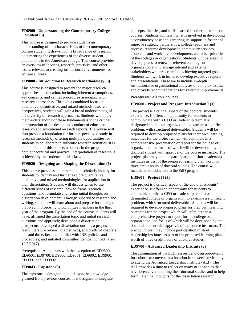### **ED8900 - Understanding the Contemporary College Student (3)**

This course is designed to provide students an understanding of the characteristics of the contemporary college student. It draws upon a broad range of research documenting the experiences of the diverse student populations in the American college. This course provides an overview of theories, research, practices, and other issues relevant to creating institutional environments for college success.

### **ED9000 - Introduction to Research Methodology (3)**

This course is designed to present the major research approaches in education, including inherent assumptions, key concepts, and central procedures associated with research approaches. Through a combined focus on qualitative, quantitative, and mixed methods research perspectives, students will gain a broad understanding of the diversity of research approaches. Students will apply their understanding of these fundamentals to the critical interpretation of the design and conduct of educational research and educational research reports. The course will also provide a foundation for further specialized study in research methods by offering multiple opportunities for students to collaborate in authentic research activities. It is the intention of this course, as others in the program, that both a theoretical and practical interpretation of research is achieved by the students in this class.

### **ED9020 - Designing and Shaping the Dissertation (6)**

This course provides an immersion in scholarly inquiry for students to identify and further explore quantitative, qualitative, and mixed methodologies for application in their dissertation. Students will discuss when to use different kinds of research, how to frame research questions, and formulate and refine initial thoughts on dissertation development. Through supervised research and writing, students will learn about and prepare for the rigor involved in proposing to committee members in the third year of the program. By the end of the course, students will have: affirmed the dissertation topic and initial research questions and approach; developed a dissertation prospectus; developed a dissertation outline, a proposalready literature review (chapter two), and drafts of chapters one and three; become familiar with IRB policies and procedures; and initiated committee member contact. (rev. 12/5/2017)

Prerequisite: All courses with the exception of ED9600, ED9601, ED9700, ED9800, ED9801, ED9802, ED9900, ED9901 and ED9902.

### **ED9043 - Capstone (3)**

The capstone is designed to build upon the knowledge gleaned from previous courses. It is designed to integrate concepts, theories, and skills learned in other doctoral core courses. Students will learn what is involved in developing a constituency base and garnering its support to foster and improve strategic partnerships, college readiness and success, resource development, community services, economic and workforce development, and other priorities of the colleges or organizations. Students will be asked to develop plans to renew or reinvent a college or organization and to engage internal and external stakeholders who are critical to achieving targeted goals. Students will work in teams to develop executive reports and presentations. These are to include in-depth institutional or organizational analyses of complex issues, and provide recommendations for systemic improvements.

Prerequisite: All core courses.

### **ED9600 - Project and Program Introduction I (3)**

The project is a critical aspect of the doctoral students' experience. It offers an opportunity for students to communicate with a CEO or leadership team at a designated college or organization to examine a significant problem, with structured deliverables. Students will be required to develop proposed plans for their own learning outcomes for the project which will culminate in a comprehensive presentation or report for the college or organization, the focus of which will be developed by the doctoral student with approval of the course instructor. The project plan may include participation in short leadership institutes as part of the proposed learning plan worth of three credit hours of doctoral studies. The course will include an introduction to the EdD program.

### **ED9601 - Project II (3)**

The project is a critical aspect of the doctoral students' experience. It offers an opportunity for students to communicate with a CEO or leadership team at a designated college or organization to examine a significant problem, with structured deliverables. Students will be required to develop proposed plans for their own learning outcomes for the project which will culminate in a comprehensive project or report for the college or organization, the focus of which will be developed by the doctoral student with approval of the course instructor. The practicum plan may include participation in short leadership institutes as part of the proposed learning plan worth of three credit hours of doctoral studies.

### **ED9700 - Advanced Leadership Institute (3)**

The culmination of the EdD is a residency, an opportunity for cohorts to convene at a location for a week or virtually to attend the Advanced Leadership Institute (ALI). The ALI provides a time to reflect on many of the topics that have been covered during their doctoral studies and to help formulate final thoughts for the dissertation research.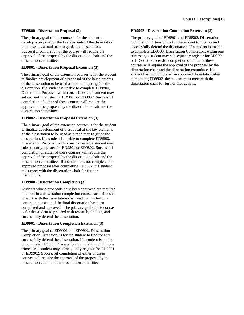### **ED9800 - Dissertation Proposal (3)**

The primary goal of this course is for the student to develop a proposal of the key elements of the dissertation to be used as a road map to guide the dissertation. Successful completion of the course will require the approval of the proposal by the dissertation chair and the dissertation committee.

### <span id="page-65-0"></span>**ED9801 - Dissertation Proposal Extension (3)**

The primary goal of the extension courses is for the student to finalize development of a proposal of the key elements of the dissertation to be used as a road map to guide the dissertation. If a student is unable to complete ED9800, Dissertation Proposal, within one trimester, a student may subsequently register for ED9801 or ED9802. Successful completion of either of these courses will require the approval of the proposal by the dissertation chair and the dissertation committee.

### **ED9802 - Dissertation Proposal Extension (3)**

The primary goal of the extension courses is for the student to finalize development of a proposal of the key elements of the dissertation to be used as a road map to guide the dissertation. If a student is unable to complete ED9800, Dissertation Proposal, within one trimester, a student may subsequently register for ED9801 or ED9802. Successful completion of either of these courses will require the approval of the proposal by the dissertation chair and the dissertation committee. If a student has not completed an approved proposal after completing ED9802, the student must meet with the dissertation chair for further instructions.

### **ED9900 - Dissertation Completion (3)**

Students whose proposals have been approved are required to enroll in a dissertation completion course each trimester to work with the dissertation chair and committee on a continuing basis until the final dissertation has been completed and approved. The primary goal of this course is for the student to proceed with research, finalize, and successfully defend the dissertation.

### **ED9901 - Dissertation Completion Extension (3)**

The primary goal of ED9901 and ED9902, Dissertation Completion Extension, is for the student to finalize and successfully defend the dissertation. If a student is unable to complete ED9900, Dissertation Completion, within one trimester, a student may subsequently register for ED9901 or ED9902. Successful completion of either of these courses will require the approval of the proposal by the dissertation chair and the dissertation committee.

### **ED9902 - Dissertation Completion Extension (3)**

The primary goal of ED9901 and ED9902, Dissertation Completion Extension, is for the student to finalize and successfully defend the dissertation. If a student is unable to complete ED9900, Dissertation Completion, within one trimester, a student may subsequently register for ED9901 or ED9902. Successful completion of either of these courses will require the approval of the proposal by the dissertation chair and the dissertation committee. If a student has not completed an approved dissertation after completing ED9902, the student must meet with the dissertation chair for further instructions.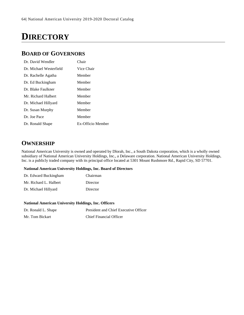# **DIRECTORY**

### **BOARD OF GOVERNORS**

| Dr. David Wendler       | Chair             |
|-------------------------|-------------------|
| Dr. Michael Westerfield | Vice Chair        |
| Dr. Rachelle Agatha     | Member            |
| Dr. Ed Buckingham       | Member            |
| Dr. Blake Faulkner      | Member            |
| Mr. Richard Halbert     | Member            |
| Dr. Michael Hillyard    | Member            |
| Dr. Susan Murphy        | Member            |
| Dr. Joe Pace            | Member            |
| Dr. Ronald Shape        | Ex-Officio Member |

# **OWNERSHIP**

National American University is owned and operated by Dlorah, Inc., a South Dakota corporation, which is a wholly owned subsidiary of National American University Holdings, Inc., a Delaware corporation. National American University Holdings, Inc. is a publicly traded company with its principal office located at 5301 Mount Rushmore Rd., Rapid City, SD 57701.

### **National American University Holdings, Inc. Board of Directors**

| Dr. Edward Buckingham  | Chairman |
|------------------------|----------|
| Mr. Richard L. Halbert | Director |
| Dr. Michael Hillyard   | Director |

### **National American University Holdings, Inc. Officers**

| Dr. Ronald L. Shape | President and Chief Executive Officer |
|---------------------|---------------------------------------|
| Mr. Tom Bickart     | <b>Chief Financial Officer</b>        |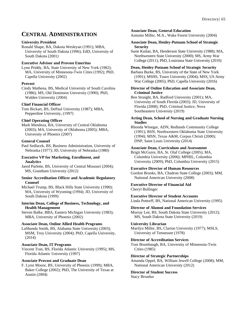### **CENTRAL ADMINISTRATION**

### **University President**

Ronald Shape, BA, Dakota Wesleyan (1991); MBA, University of South Dakota (1996); EdD, University of South Dakota (2001)

### **Executive Advisor and Provost Emeritus**

Lynn Priddy, BA, State University of New York (1982); MA, University of Minnesota-Twin Cities (1992); PhD, Capella University (2002)

### **Provost**

Cindy Mathena, BS, Medical University of South Carolina (1986); MS, Old Dominion University (1990); PhD, Walden University (2004)

### **Chief Financial Officer**

Tom Bickart, BS, DePaul University (1987); MBA, Pepperdine University, (1997)

### **Chief Operating Officer**

Mark Mendoza, BA, University of Central Oklahoma (2003); MA, University of Oklahoma (2005); MBA, University of Phoenix (2007)

### **General Counsel**

Paul Sedlacek, BS, Business Administration, University of Nebraska (1977); JD, University of Nebraska (1980)

### **Executive VP for Marketing, Enrollment, and Analytics**

Jared Parlette, BS, University of Central Missouri (2004); MS, Grantham University (2012)

#### **Senior Accreditation Officer and Academic Regulatory Counsel**

Michael Trump, BS, Black Hills State University (1990); MA, University of Wyoming (1994); JD, University of South Dakota (1999)

### **Interim Dean, College of Business, Technology, and Health Management**

Steven Balke, BBA, Eastern Michigan University (1983); MBA, University of Phoenix (2002)

### **Associate Dean, Online Allied Health Programs**

LaShunda Smith, BS, Alabama State University (2003); MSM, Troy University (2004); PhD, Capella University, (2014)

### **Associate Dean, IT Programs**

Vincent Tran, BS, Florida Atlantic University (1995); MS, Florida Atlantic University (1997)

### **Associate Provost and Graduate Dean**

F. Lynn Moore, BS, University of Phoenix (1999); MBA, Baker College (2002); PhD, The University of Texas at Austin (2004)

#### **Associate Dean, General Education**

Autumn Miller, M.A., Wake Forest University (2004)

#### **Associate Dean, Henley-Putnam School of Strategic Security**

Susie Kuilan, BA, Henderson State University (1988); MA, Northwestern State University (2000); MS, Army War College (2011); PhD, Louisiana State University (2010)

### **Dean, Henley-Putnam School of Strategic Security**

Barbara Burke, BS, University of the State of New York (1991); MSHS, Touro University (2004); MSS, US Army War College (2005); PhD, Capella University (2016)

### **Director of Online Education and Associate Dean, Criminal Justice**

Ben Straight, BA, Radford University (2001); MA, University of South Florida (2003); JD, University of Florida (2008); PhD, Criminal Justice, Nova Southeastern University (2019)

### **Acting Dean, School of Nursing and Graduate Nursing Studies**

Rhonda Winegar, ADN, Redlands Community College (1991); BSN, Northwestern Oklahoma State University (1994); MSN, Texas A&M, Corpus Christi (2000); DNP, Saint Louis University (2014)

### **Associate Dean, Curriculum and Assessment**

Brigit McGuire, BA, St. Olaf College (2005); MA, Columbia University (2006); MPHIL, Columbia University (2009); PhD, Columbia University (2015)

### **Executive Director of Human Resources**

Gordon Brooks, BA, Chadron State College (2003); MM, National American University (2008)

## **Executive Director of Financial Aid**

Cheryl Bullinger

### **Executive Director of Student Accounts**

Linda Pottorff, BS, National American University (1995)

### **Director of Alumni and Foundation Services**

Murray Lee, BS, South Dakota State University (2012); MS, South Dakota State University (2019)

### **University Librarian**

Marilyn Miller, BS, Clarion University (1977); MSLS, University of Tennessee (1978)

### **Director of Accreditation Services**

Toni Brumbaugh, BA, University of Minnesota-Twin Cities (1985)

### **Director of Strategic Partnerships**

Amanda Oppel, BA, William Jewell College (2008); MM, National American University (2012)

### **Director of Student Success**

Stacy Broadus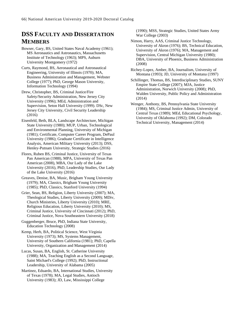# **DSS FACULTY AND DISSERTATION MEMBERS**

- Bowser, Gary, BS, United States Naval Academy (1961); MS Aeronautics and Astronautics, Massachusetts Institute of Technology (1963); MPS, Auburn University Montgomery (1972)
- Curts, Raymond, BS, Aeronautical and Astronautical Engineering, University of Illinois (1970); MA, Business Administration and Management, Webster College (1977); PhD, George Mason University, Information Technology (1994)
- Drew, Christopher, BS, Criminal Justice/Fire Safety/Security Administration, New Jersey City University (1996); MEd, Administration and Supervision, Seton Hall University (1999). DSc, New Jersey City University, Civil Security Leadership (2016)
- Eisenfeld, Beth, BLA, Landscape Architecture, Michigan State University (1980); MUP, Urban, Technological and Environmental Planning, University of Michigan (1981); Certificate, Computer Career Program, DePaul University (1986); Graduate Certificate in Intelligence Analysis, American Military University (2013); DSS, Henley-Putnam University, Strategic Studies (2016)
- Flores, Ruben BS, Criminal Justice, University of Texas Pan American (1988), MPA, University of Texas Pan American (2008), MBA, Our Lady of the Lake University (2016), PhD, Leadership Studies, Our Lady of the Lake University (2016)
- Greaves, Denise, BA, Music, Brigham Young University (1979); MA, Classics, Brigham Young University (1985); PhD, Classics, Stanford University (1994)
- Grier, Sean, BS, Religion, Liberty University (2007); MA, Theological Studies, Liberty University (2009); MDiv, Church Ministries, Liberty University (2010); MRE, Religious Education, Liberty University (2010); MS, Criminal Justice, University of Cincinnati (2012); PhD, Criminal Justice, Nova Southeastern University (2018)
- Guggenberger, Bruce, PhD, Indiana State University, Education Technology (2008)
- Kemp, Herb, BA, Political Science, West Virginia University (1973); MS, Systems Management, University of Southern California (1981); PhD, Capella University, Organization and Management (2014)
- Lucas, Susan, BA, English, St. Catherine University (1988); MA, Teaching English as a Second Language, Saint Michael's College (1992); PhD, Instructional Leadership, University of Alabama (2005)
- Martinez, Eduardo, BA, International Studies, University of Texas (1978); MA, Legal Studies, Antioch University (1983); JD, Law, Mississippi College

(1990); MSS, Strategic Studies, United States Army War College (2003)

- Nimon, Harry, AAS, Criminal Justice Technology, University of Akron (1976); BS, Technical Education, University of Akron (1976); MA, Management and Supervision, Central Michigan University (1980); DBA, University of Phoenix, Business Administration (2008)
- Richey-Lopez, Amber, BA, Journalism, University of Montana (1993); JD, University of Montana (1997)
- Schillinger, Thomas, BS, Interdisciplinary Studies, SUNY Empire State College (2007); MJA, Justice Administration, Norwich University (2008); PhD, Walden University, Public Policy and Administration (2014)
- Wenger, Anthony, BS, Pennsylvania State University (1984); MS, Criminal Justice Admin, University of Central Texas (1989); MEd, Educational Psychology, University of Oklahoma (1992); DM, Colorado Technical University, Management (2014)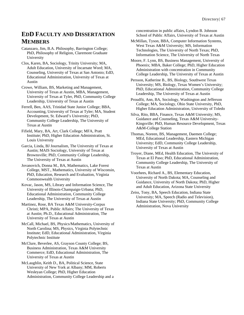# **EDD FACULTY AND DISSERTATION MEMBERS**

Catanzaro, Jim, B.A. Philosophy, Barrington College; PhD, Philosophy of Religion, Claremont Graduate University

Clos, Karen, BA, Sociology, Trinity University; MA, Adult Education, University of Incarnate Word; MA, Counseling, University of Texas at San Antonio; EdD, Educational Administration, University of Texas at Austin

Crowe, William, BS, Marketing and Management, University of Texas at Austin, MBA, Management, University of Texas at Tyler, PhD, Community College Leadership, University of Texas at Austin

Ferrell, Ben, AAS, Trinidad State Junior College; BBA, Accounting, University of Texas at Tyler; MA, Student Development, St. Edward's University; PhD, Community College Leadership, The University of Texas at Austin

Fifield, Mary, BA, Art, Clark College; MFA, Pratt Institute; PhD, Higher Education Administration, St. Louis University

Garcia, Linda, BJ Journalism, The University of Texas at Austin; MAIS Sociology, University of Texas at Brownsville; PhD, Community College Leadership, The University of Texas at Austin

Jovanovich, Donna M., BA, Mathematics, Lake Forest College, MST., Mathematics, University of Wisconsin, PhD, Education, Research and Evaluation, Virginia Commonwealth University

Kovac, Jason, MS, Library and Information Science, The University of Illinois-Champaign-Urbana; PhD, Educational Administration, Community College Leadership, The University of Texas at Austin

Martinez, Rose, BA Texas A&M University-Corpus Christi; MPA, Public Affairs; The University of Texas at Austin; Ph.D., Educational Administration, The University of Texas at Austin

McCall, Michael, BS, Physics/Mathematics, University of North Carolina; MS, Physics, Virginia Polytechnic Institute; EdD, Educational Administration, Virginia Polytechnic Institute

McClure, Beverlee, AS, Grayson County College; BS, Business Administration, Texas A&M University Commerce; EdD, Educational Administration, The University of Texas at Austin

McLaughlin, Keith D., BA, Political Science, State University of New York at Albany; MM, Roberts Wesleyan College; PhD, Higher Education Administration, Community College Leadership and a concentration in public affairs, Lyndon B. Johnson School of Public Affairs, University of Texas at Austin

McMillan, Tyson, BBA, Computer Information Systems, West Texas A&M University; MS, Information Technologies, The University of North Texas; PhD, Information Science, The University of North Texas

Moore, F. Lynn, BS, Business Management, University of Phoenix; MBA, Baker College; PhD, Higher Education Administration with concentration in Community College Leadership, The University of Texas at Austin

Persson, Katherine B., BS, Biology, Southwest Texas University; MS, Biology, Texas Women's University; PhD, Educational Administration, Community College Leadership, The University of Texas at Austin

Proudfit, Ann, BA, Sociology, Washington and Jefferson College; MA, Sociology, Ohio State University, PhD, Higher Education Administration, University of Toledo

Silva, Rito, BBA, Finance, Texas A&M University; MS, Guidance and Counseling, Texas A&M University-Kingsville; PhD, Human Resource Development, Texas A&M-College Station

Thomas, Noreen, BS, Management, Daemen College; MEd, Educational Leadership, Eastern Michigan University; EdD, Community College Leadership, University of Texas at Austin

Troyer, Diane, MEd, Health Education, The University of Texas at El Paso; PhD, Educational Administration, Community College Leadership, The University of Texas at Austin

Voorhees, Richard A., BS, Elementary Education, University of North Dakota; MA, Counseling and Guidance, University of North Dakota; PhD, Higher and Adult Education, Arizona State University

Zeiss, Tony, BA, Speech Education, Indiana State University; MA, Speech (Radio and Television), Indiana State University; PhD, Community College Administration, Nova University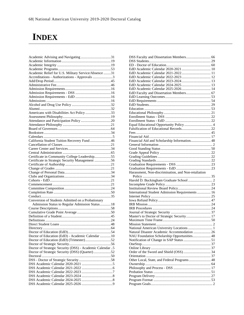# **INDEX**

| Academic Advising and Navigating 31                      |  |
|----------------------------------------------------------|--|
|                                                          |  |
|                                                          |  |
|                                                          |  |
| Academic Relief for U.S. Military Service/Absence 31     |  |
| Accreditations - Authorizations - Approvals 3            |  |
|                                                          |  |
|                                                          |  |
|                                                          |  |
|                                                          |  |
|                                                          |  |
|                                                          |  |
|                                                          |  |
|                                                          |  |
|                                                          |  |
| Americans with Disabilities Act Policy 33                |  |
|                                                          |  |
|                                                          |  |
|                                                          |  |
|                                                          |  |
|                                                          |  |
|                                                          |  |
| California Student Tuition Recovery Fund46               |  |
|                                                          |  |
|                                                          |  |
|                                                          |  |
| Certificate in Community College Leadership55            |  |
| Certificate in Strategic Security Management 56          |  |
|                                                          |  |
|                                                          |  |
|                                                          |  |
|                                                          |  |
|                                                          |  |
|                                                          |  |
|                                                          |  |
|                                                          |  |
|                                                          |  |
| Conversion of Students Admitted on a Probationary        |  |
| Admission Status to Regular Admission Status18           |  |
|                                                          |  |
|                                                          |  |
|                                                          |  |
|                                                          |  |
|                                                          |  |
|                                                          |  |
|                                                          |  |
|                                                          |  |
| Doctor of Education (EdD) - Academic Calendar  10        |  |
| Doctor of Education (EdD) (Trimester)52                  |  |
|                                                          |  |
| Doctor of Strategic Security (DSS) - Academic Calendar 5 |  |
| Doctor of Strategic Security (DSS) (Quarter)52           |  |
|                                                          |  |
|                                                          |  |
|                                                          |  |
|                                                          |  |
|                                                          |  |
|                                                          |  |
|                                                          |  |
|                                                          |  |

| EdD Faculty and Dissertation Members 67             |  |
|-----------------------------------------------------|--|
|                                                     |  |
|                                                     |  |
|                                                     |  |
|                                                     |  |
|                                                     |  |
|                                                     |  |
|                                                     |  |
|                                                     |  |
|                                                     |  |
|                                                     |  |
|                                                     |  |
|                                                     |  |
| Financial Aid and Scholarship Information 48        |  |
|                                                     |  |
|                                                     |  |
|                                                     |  |
|                                                     |  |
|                                                     |  |
|                                                     |  |
|                                                     |  |
|                                                     |  |
|                                                     |  |
|                                                     |  |
| Harassment, Non-discrimination, and Non-retaliation |  |
|                                                     |  |
|                                                     |  |
|                                                     |  |
|                                                     |  |
| International Student Admission Requirements  16    |  |
|                                                     |  |
|                                                     |  |
|                                                     |  |
|                                                     |  |
|                                                     |  |
|                                                     |  |
| Master's to Doctor of Strategic Security 17         |  |
|                                                     |  |
|                                                     |  |
| National American University Locations  1           |  |
|                                                     |  |
| NAU Foundation Scholarship Opportunities 48         |  |
|                                                     |  |
|                                                     |  |
|                                                     |  |
|                                                     |  |
|                                                     |  |
|                                                     |  |
| Other Local, State, and Federal Programs 48         |  |
|                                                     |  |
|                                                     |  |
|                                                     |  |
|                                                     |  |
|                                                     |  |